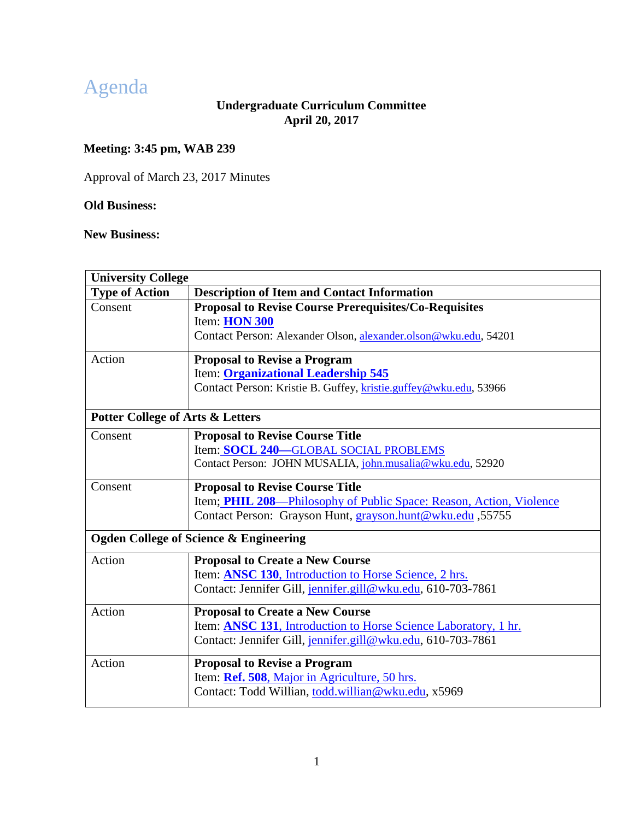# Agenda

# **Undergraduate Curriculum Committee April 20, 2017**

# **Meeting: 3:45 pm, WAB 239**

Approval of March 23, 2017 Minutes

# **Old Business:**

**New Business:**

<span id="page-0-0"></span>

| <b>University College</b>                   |                                                                         |
|---------------------------------------------|-------------------------------------------------------------------------|
| <b>Type of Action</b>                       | <b>Description of Item and Contact Information</b>                      |
| Consent                                     | <b>Proposal to Revise Course Prerequisites/Co-Requisites</b>            |
|                                             | Item: HON 300                                                           |
|                                             | Contact Person: Alexander Olson, alexander.olson@wku.edu, 54201         |
| Action                                      | <b>Proposal to Revise a Program</b>                                     |
|                                             | Item: Organizational Leadership 545                                     |
|                                             | Contact Person: Kristie B. Guffey, kristie.guffey@wku.edu, 53966        |
| <b>Potter College of Arts &amp; Letters</b> |                                                                         |
| Consent                                     | <b>Proposal to Revise Course Title</b>                                  |
|                                             | Item: SOCL 240-GLOBAL SOCIAL PROBLEMS                                   |
|                                             | Contact Person: JOHN MUSALIA, john.musalia@wku.edu, 52920               |
| Consent                                     | <b>Proposal to Revise Course Title</b>                                  |
|                                             | Item; PHIL 208—Philosophy of Public Space: Reason, Action, Violence     |
|                                             | Contact Person: Grayson Hunt, grayson.hunt@wku.edu ,55755               |
|                                             | <b>Ogden College of Science &amp; Engineering</b>                       |
| Action                                      | <b>Proposal to Create a New Course</b>                                  |
|                                             | Item: ANSC 130, Introduction to Horse Science, 2 hrs.                   |
|                                             | Contact: Jennifer Gill, jennifer.gill@wku.edu, 610-703-7861             |
| Action                                      | <b>Proposal to Create a New Course</b>                                  |
|                                             | Item: <b>ANSC 131</b> , Introduction to Horse Science Laboratory, 1 hr. |
|                                             | Contact: Jennifer Gill, jennifer.gill@wku.edu, 610-703-7861             |
| Action                                      | <b>Proposal to Revise a Program</b>                                     |
|                                             | Item: Ref. 508, Major in Agriculture, 50 hrs.                           |
|                                             | Contact: Todd Willian, todd.willian@wku.edu, x5969                      |
|                                             |                                                                         |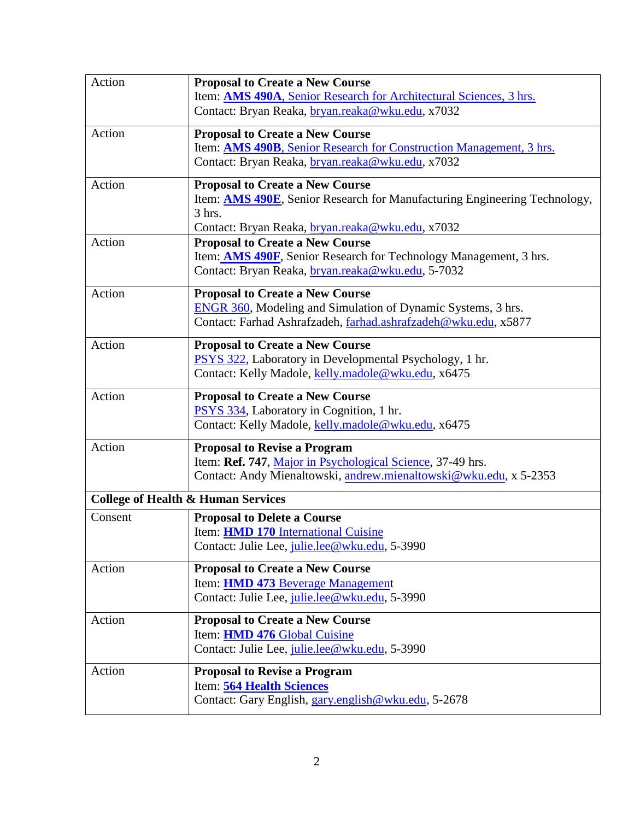<span id="page-1-0"></span>

| Action  | <b>Proposal to Create a New Course</b><br>Item: AMS 490A, Senior Research for Architectural Sciences, 3 hrs.<br>Contact: Bryan Reaka, bryan.reaka@wku.edu, x7032                          |
|---------|-------------------------------------------------------------------------------------------------------------------------------------------------------------------------------------------|
| Action  | <b>Proposal to Create a New Course</b><br>Item: AMS 490B, Senior Research for Construction Management, 3 hrs.<br>Contact: Bryan Reaka, bryan.reaka@wku.edu, x7032                         |
| Action  | <b>Proposal to Create a New Course</b><br>Item: <b>AMS 490E</b> , Senior Research for Manufacturing Engineering Technology,<br>3 hrs.<br>Contact: Bryan Reaka, bryan.reaka@wku.edu, x7032 |
| Action  | <b>Proposal to Create a New Course</b><br>Item: <b>AMS 490F</b> , Senior Research for Technology Management, 3 hrs.<br>Contact: Bryan Reaka, bryan.reaka@wku.edu, 5-7032                  |
| Action  | <b>Proposal to Create a New Course</b><br><b>ENGR 360</b> , Modeling and Simulation of Dynamic Systems, 3 hrs.<br>Contact: Farhad Ashrafzadeh, farhad.ashrafzadeh@wku.edu, x5877          |
| Action  | <b>Proposal to Create a New Course</b><br>PSYS 322, Laboratory in Developmental Psychology, 1 hr.<br>Contact: Kelly Madole, kelly.madole@wku.edu, x6475                                   |
| Action  | <b>Proposal to Create a New Course</b><br>PSYS 334, Laboratory in Cognition, 1 hr.<br>Contact: Kelly Madole, kelly.madole@wku.edu, x6475                                                  |
| Action  | <b>Proposal to Revise a Program</b><br>Item: Ref. 747, Major in Psychological Science, 37-49 hrs.<br>Contact: Andy Mienaltowski, andrew.mienaltowski@wku.edu, x 5-2353                    |
|         | <b>College of Health &amp; Human Services</b>                                                                                                                                             |
| Consent | <b>Proposal to Delete a Course</b><br>Item: <b>HMD 170</b> International Cuisine<br>Contact: Julie Lee, julie.lee@wku.edu, 5-3990                                                         |
| Action  | <b>Proposal to Create a New Course</b><br>Item: <b>HMD 473</b> Beverage Management<br>Contact: Julie Lee, julie.lee@wku.edu, 5-3990                                                       |
| Action  | <b>Proposal to Create a New Course</b><br>Item: HMD 476 Global Cuisine<br>Contact: Julie Lee, julie.lee@wku.edu, 5-3990                                                                   |
| Action  | <b>Proposal to Revise a Program</b><br>Item: 564 Health Sciences<br>Contact: Gary English, gary.english@wku.edu, 5-2678                                                                   |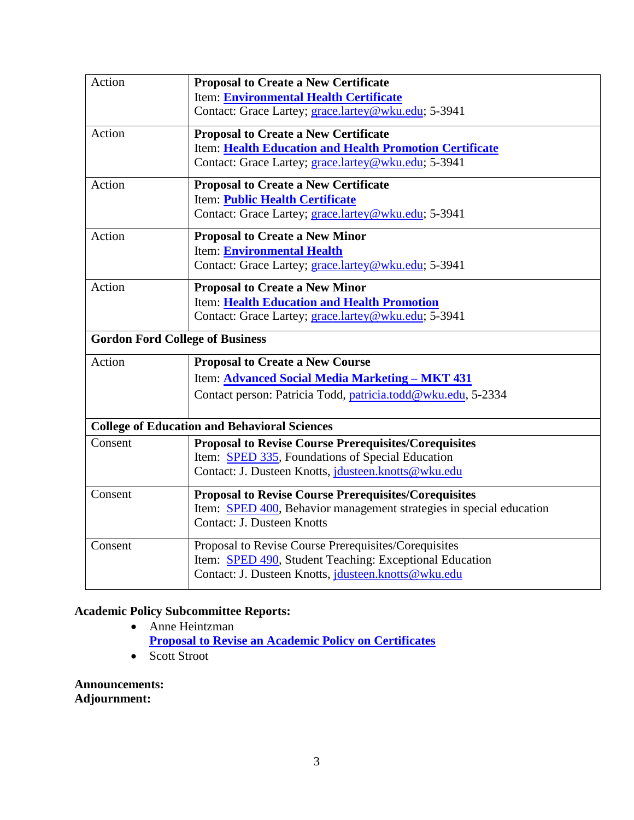| Action                                 | <b>Proposal to Create a New Certificate</b>                         |
|----------------------------------------|---------------------------------------------------------------------|
|                                        | Item: Environmental Health Certificate                              |
|                                        | Contact: Grace Lartey; grace.lartey@wku.edu; 5-3941                 |
| Action                                 | <b>Proposal to Create a New Certificate</b>                         |
|                                        | Item: Health Education and Health Promotion Certificate             |
|                                        | Contact: Grace Lartey; grace.lartey@wku.edu; 5-3941                 |
| Action                                 | <b>Proposal to Create a New Certificate</b>                         |
|                                        | Item: Public Health Certificate                                     |
|                                        | Contact: Grace Lartey; grace.lartey@wku.edu; 5-3941                 |
| Action                                 | <b>Proposal to Create a New Minor</b>                               |
|                                        | Item: Environmental Health                                          |
|                                        | Contact: Grace Lartey; grace.lartey@wku.edu; 5-3941                 |
| Action                                 | <b>Proposal to Create a New Minor</b>                               |
|                                        | Item: Health Education and Health Promotion                         |
|                                        | Contact: Grace Lartey; grace.lartey@wku.edu; 5-3941                 |
| <b>Gordon Ford College of Business</b> |                                                                     |
| Action                                 | <b>Proposal to Create a New Course</b>                              |
|                                        | Item: Advanced Social Media Marketing - MKT 431                     |
|                                        | Contact person: Patricia Todd, patricia.todd@wku.edu, 5-2334        |
|                                        |                                                                     |
|                                        | <b>College of Education and Behavioral Sciences</b>                 |
| Consent                                | <b>Proposal to Revise Course Prerequisites/Corequisites</b>         |
|                                        | Item: SPED 335, Foundations of Special Education                    |
|                                        | Contact: J. Dusteen Knotts, jdusteen.knotts@wku.edu                 |
| Consent                                | <b>Proposal to Revise Course Prerequisites/Corequisites</b>         |
|                                        | Item: SPED 400, Behavior management strategies in special education |
|                                        | <b>Contact: J. Dusteen Knotts</b>                                   |
| Consent                                | Proposal to Revise Course Prerequisites/Corequisites                |
|                                        | Item: SPED 490, Student Teaching: Exceptional Education             |
|                                        | Contact: J. Dusteen Knotts, <i>jdusteen.knotts@wku.edu</i>          |
|                                        |                                                                     |

# **Academic Policy Subcommittee Reports:**

- Anne Heintzman **[Proposal to Revise an Academic Policy on Certificates](#page-83-0)**
- Scott Stroot

# **Announcements: Adjournment:**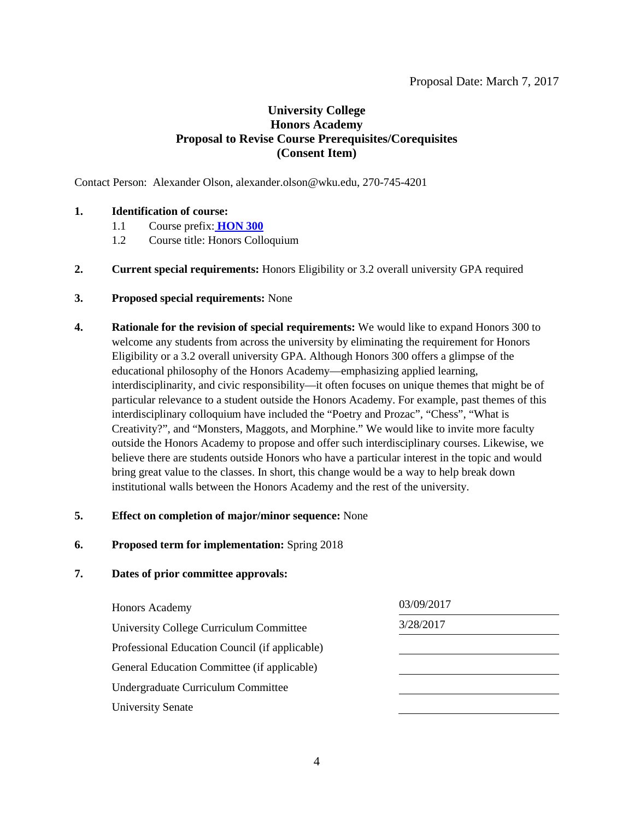# **University College Honors Academy Proposal to Revise Course Prerequisites/Corequisites (Consent Item)**

Contact Person: Alexander Olson, alexander.olson@wku.edu, 270-745-4201

#### **1. Identification of course:**

- <span id="page-3-0"></span>1.1 Course prefix: **[HON 300](#page-0-0)**
- 1.2 Course title: Honors Colloquium
- **2. Current special requirements:** Honors Eligibility or 3.2 overall university GPA required

#### **3. Proposed special requirements:** None

**4. Rationale for the revision of special requirements:** We would like to expand Honors 300 to welcome any students from across the university by eliminating the requirement for Honors Eligibility or a 3.2 overall university GPA. Although Honors 300 offers a glimpse of the educational philosophy of the Honors Academy—emphasizing applied learning, interdisciplinarity, and civic responsibility—it often focuses on unique themes that might be of particular relevance to a student outside the Honors Academy. For example, past themes of this interdisciplinary colloquium have included the "Poetry and Prozac", "Chess", "What is Creativity?", and "Monsters, Maggots, and Morphine." We would like to invite more faculty outside the Honors Academy to propose and offer such interdisciplinary courses. Likewise, we believe there are students outside Honors who have a particular interest in the topic and would bring great value to the classes. In short, this change would be a way to help break down institutional walls between the Honors Academy and the rest of the university.

#### **5. Effect on completion of major/minor sequence:** None

**6. Proposed term for implementation:** Spring 2018

| 03/09/2017 |
|------------|
| 3/28/2017  |
|            |
|            |
|            |
|            |
|            |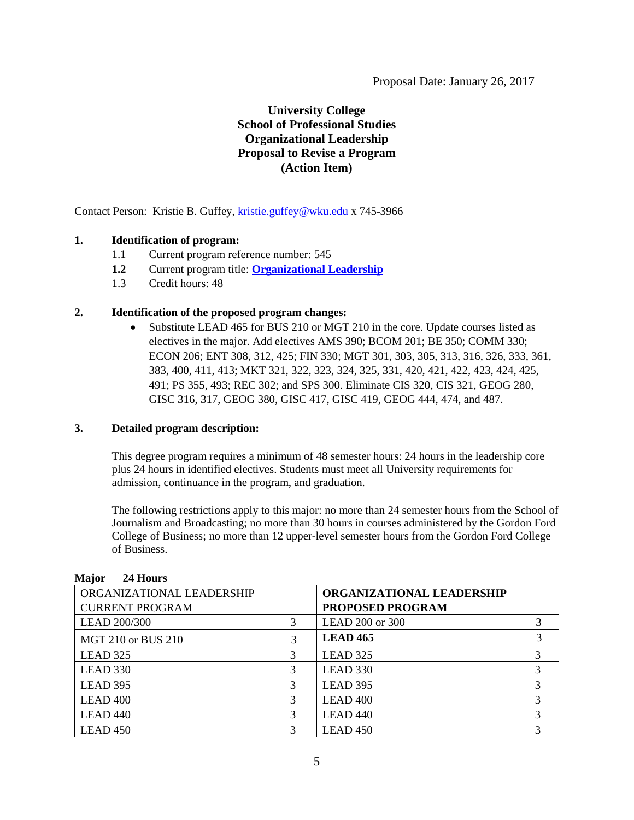# **University College School of Professional Studies Organizational Leadership Proposal to Revise a Program (Action Item)**

Contact Person: Kristie B. Guffey, [kristie.guffey@wku.edu](mailto:kristie.guffey@wku.edu) x 745-3966

#### **1. Identification of program:**

- 1.1 Current program reference number: 545
- **1.2** Current program title: **[Organizational Leadership](#page-0-0)**
- 1.3 Credit hours: 48

#### **2. Identification of the proposed program changes:**

<span id="page-4-0"></span>• Substitute LEAD 465 for BUS 210 or MGT 210 in the core. Update courses listed as electives in the major. Add electives AMS 390; BCOM 201; BE 350; COMM 330; ECON 206; ENT 308, 312, 425; FIN 330; MGT 301, 303, 305, 313, 316, 326, 333, 361, 383, 400, 411, 413; MKT 321, 322, 323, 324, 325, 331, 420, 421, 422, 423, 424, 425, 491; PS 355, 493; REC 302; and SPS 300. Eliminate CIS 320, CIS 321, GEOG 280, GISC 316, 317, GEOG 380, GISC 417, GISC 419, GEOG 444, 474, and 487.

#### **3. Detailed program description:**

This degree program requires a minimum of 48 semester hours: 24 hours in the leadership core plus 24 hours in identified electives. Students must meet all University requirements for admission, continuance in the program, and graduation.

The following restrictions apply to this major: no more than 24 semester hours from the School of Journalism and Broadcasting; no more than 30 hours in courses administered by the Gordon Ford College of Business; no more than 12 upper-level semester hours from the Gordon Ford College of Business.

| ORGANIZATIONAL LEADERSHIP |   | <b>ORGANIZATIONAL LEADERSHIP</b> |  |
|---------------------------|---|----------------------------------|--|
| <b>CURRENT PROGRAM</b>    |   | <b>PROPOSED PROGRAM</b>          |  |
| <b>LEAD 200/300</b>       |   | LEAD 200 or 300                  |  |
| <b>MGT 210 or BUS 210</b> | 3 | <b>LEAD 465</b>                  |  |
| LEAD 325                  |   | LEAD 325                         |  |
| LEAD 330                  |   | LEAD 330                         |  |
| LEAD 395                  |   | LEAD 395                         |  |
| LEAD <sub>400</sub>       | 3 | LEAD <sub>400</sub>              |  |
| LEAD <sub>440</sub>       | 3 | LEAD <sub>440</sub>              |  |
| LEAD <sub>450</sub>       |   | LEAD <sub>450</sub>              |  |

#### **Major 24 Hours**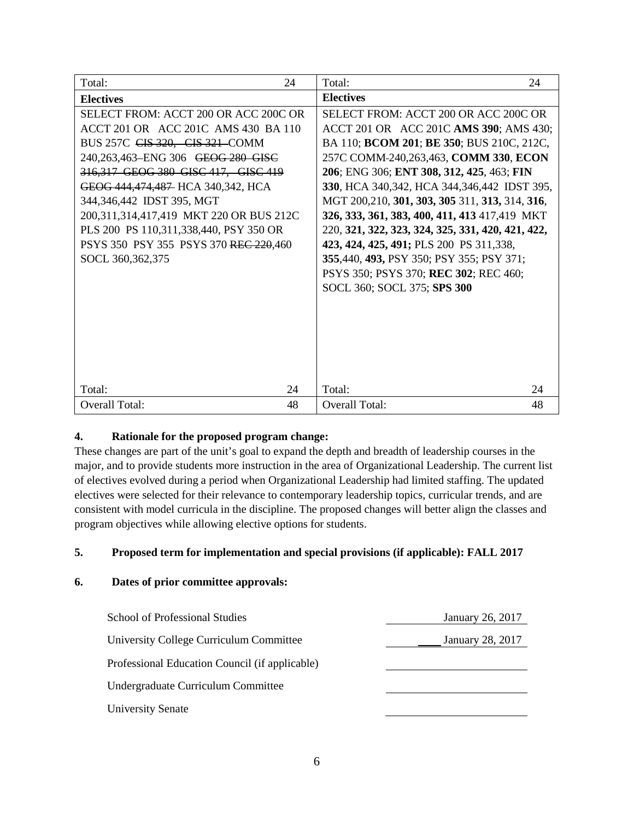| Total:<br>24                                | Total:<br>24                                      |
|---------------------------------------------|---------------------------------------------------|
| <b>Electives</b>                            | <b>Electives</b>                                  |
| <b>SELECT FROM: ACCT 200 OR ACC 200C OR</b> | <b>SELECT FROM: ACCT 200 OR ACC 200C OR</b>       |
| ACCT 201 OR ACC 201C AMS 430 BA 110         | ACCT 201 OR ACC 201C AMS 390; AMS 430;            |
| BUS 257C CIS 320, CIS 321-COMM              | BA 110; <b>BCOM 201; BE 350;</b> BUS 210C, 212C,  |
| 240,263,463-ENG 306 GEOG 280 GISC           | 257C COMM-240,263,463, COMM 330, ECON             |
| 316,317 GEOG 380 GISC 417, GISC 419         | 206; ENG 306; ENT 308, 312, 425, 463; FIN         |
| GEOG 444, 474, 487 HCA 340, 342, HCA        | 330, HCA 340, 342, HCA 344, 346, 442 IDST 395,    |
| 344,346,442 IDST 395, MGT                   | MGT 200,210, 301, 303, 305 311, 313, 314, 316,    |
| 200,311,314,417,419 MKT 220 OR BUS 212C     | 326, 333, 361, 383, 400, 411, 413 417, 419 MKT    |
| PLS 200 PS 110,311,338,440, PSY 350 OR      | 220, 321, 322, 323, 324, 325, 331, 420, 421, 422, |
| PSYS 350 PSY 355 PSYS 370 REC 220,460       | 423, 424, 425, 491; PLS 200 PS 311,338,           |
| SOCL 360, 362, 375                          | 355,440, 493, PSY 350; PSY 355; PSY 371;          |
|                                             | PSYS 350; PSYS 370; REC 302; REC 460;             |
|                                             | SOCL 360; SOCL 375; SPS 300                       |
|                                             |                                                   |
|                                             |                                                   |
|                                             |                                                   |
|                                             |                                                   |
|                                             |                                                   |
|                                             |                                                   |
| Total:<br>24                                | Total:<br>24                                      |
| <b>Overall Total:</b><br>48                 | 48<br><b>Overall Total:</b>                       |

#### **4. Rationale for the proposed program change:**

These changes are part of the unit's goal to expand the depth and breadth of leadership courses in the major, and to provide students more instruction in the area of Organizational Leadership. The current list of electives evolved during a period when Organizational Leadership had limited staffing. The updated electives were selected for their relevance to contemporary leadership topics, curricular trends, and are consistent with model curricula in the discipline. The proposed changes will better align the classes and program objectives while allowing elective options for students.

# **5. Proposed term for implementation and special provisions (if applicable): FALL 2017**

| School of Professional Studies                 | January 26, 2017        |
|------------------------------------------------|-------------------------|
| University College Curriculum Committee        | <b>January 28, 2017</b> |
| Professional Education Council (if applicable) |                         |
| Undergraduate Curriculum Committee             |                         |
| <b>University Senate</b>                       |                         |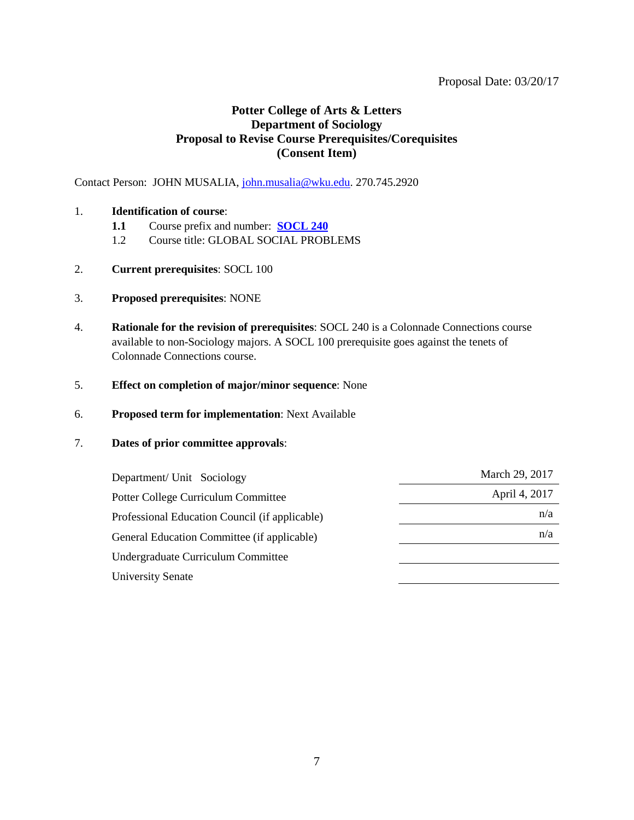#### Proposal Date: 03/20/17

# <span id="page-6-0"></span>**Potter College of Arts & Letters Department of Sociology Proposal to Revise Course Prerequisites/Corequisites (Consent Item)**

Contact Person: JOHN MUSALIA, [john.musalia@wku.edu.](mailto:john.musalia@wku.edu) 270.745.2920

#### 1. **Identification of course**:

- **1.1** Course prefix and number: **[SOCL 240](#page-0-0)**
- 1.2 Course title: GLOBAL SOCIAL PROBLEMS
- 2. **Current prerequisites**: SOCL 100
- 3. **Proposed prerequisites**: NONE
- 4. **Rationale for the revision of prerequisites**: SOCL 240 is a Colonnade Connections course available to non-Sociology majors. A SOCL 100 prerequisite goes against the tenets of Colonnade Connections course.
- 5. **Effect on completion of major/minor sequence**: None
- 6. **Proposed term for implementation**: Next Available

| March 29, 2017 |
|----------------|
| April 4, 2017  |
| n/a            |
| n/a            |
|                |
|                |
|                |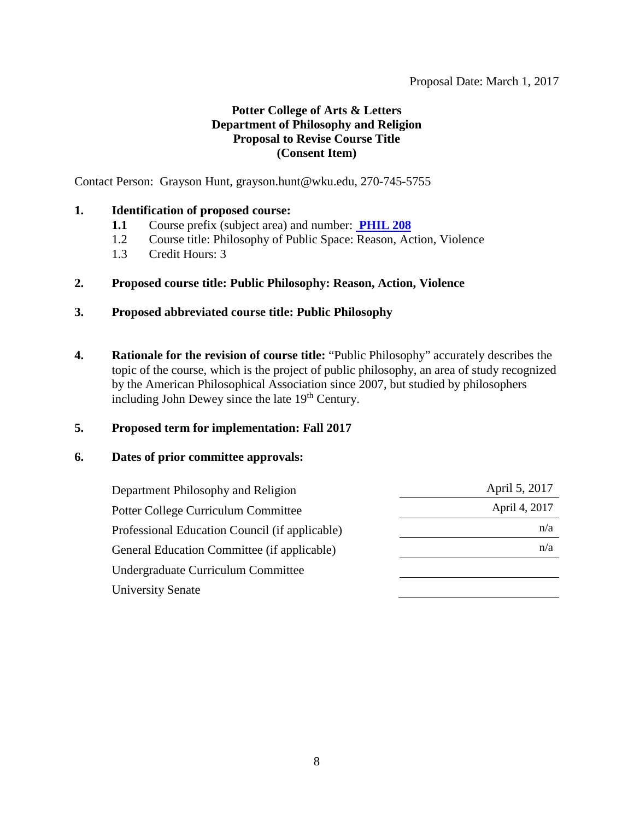#### <span id="page-7-0"></span>Proposal Date: March 1, 2017

# **Potter College of Arts & Letters Department of Philosophy and Religion Proposal to Revise Course Title (Consent Item)**

Contact Person: Grayson Hunt, grayson.hunt@wku.edu, 270-745-5755

### **1. Identification of proposed course:**

- **1.1** Course prefix (subject area) and number: **[PHIL 208](#page-0-0)**
- 1.2 Course title: Philosophy of Public Space: Reason, Action, Violence
- 1.3 Credit Hours: 3

### **2. Proposed course title: Public Philosophy: Reason, Action, Violence**

- **3. Proposed abbreviated course title: Public Philosophy**
- **4. Rationale for the revision of course title:** "Public Philosophy" accurately describes the topic of the course, which is the project of public philosophy, an area of study recognized by the American Philosophical Association since 2007, but studied by philosophers including John Dewey since the late 19<sup>th</sup> Century.

#### **5. Proposed term for implementation: Fall 2017**

| Department Philosophy and Religion             | April 5, 2017 |
|------------------------------------------------|---------------|
| <b>Potter College Curriculum Committee</b>     | April 4, 2017 |
| Professional Education Council (if applicable) | n/a           |
| General Education Committee (if applicable)    | n/a           |
| Undergraduate Curriculum Committee             |               |
| <b>University Senate</b>                       |               |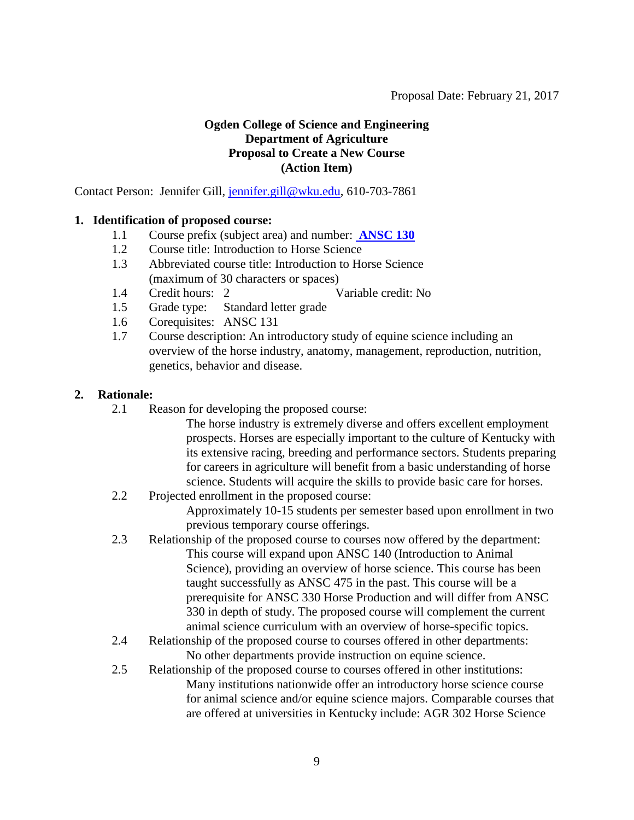### <span id="page-8-0"></span>**Ogden College of Science and Engineering Department of Agriculture Proposal to Create a New Course (Action Item)**

Contact Person: Jennifer Gill, [jennifer.gill@wku.edu,](mailto:jennifer.gill@wku.edu) 610-703-7861

### **1. Identification of proposed course:**

- 1.1 Course prefix (subject area) and number: **[ANSC 130](#page-0-0)**
- 1.2 Course title: Introduction to Horse Science
- 1.3 Abbreviated course title: Introduction to Horse Science (maximum of 30 characters or spaces)
- 1.4 Credit hours: 2 Variable credit: No
- 1.5 Grade type: Standard letter grade
- 1.6 Corequisites: ANSC 131
- 1.7 Course description: An introductory study of equine science including an overview of the horse industry, anatomy, management, reproduction, nutrition, genetics, behavior and disease.

#### **2. Rationale:**

- 2.1 Reason for developing the proposed course:
	- The horse industry is extremely diverse and offers excellent employment prospects. Horses are especially important to the culture of Kentucky with its extensive racing, breeding and performance sectors. Students preparing for careers in agriculture will benefit from a basic understanding of horse science. Students will acquire the skills to provide basic care for horses.
- 2.2 Projected enrollment in the proposed course: Approximately 10-15 students per semester based upon enrollment in two previous temporary course offerings.
- 2.3 Relationship of the proposed course to courses now offered by the department: This course will expand upon ANSC 140 (Introduction to Animal Science), providing an overview of horse science. This course has been taught successfully as ANSC 475 in the past. This course will be a prerequisite for ANSC 330 Horse Production and will differ from ANSC 330 in depth of study. The proposed course will complement the current animal science curriculum with an overview of horse-specific topics.
- 2.4 Relationship of the proposed course to courses offered in other departments: No other departments provide instruction on equine science.
- 2.5 Relationship of the proposed course to courses offered in other institutions: Many institutions nationwide offer an introductory horse science course for animal science and/or equine science majors. Comparable courses that are offered at universities in Kentucky include: AGR 302 Horse Science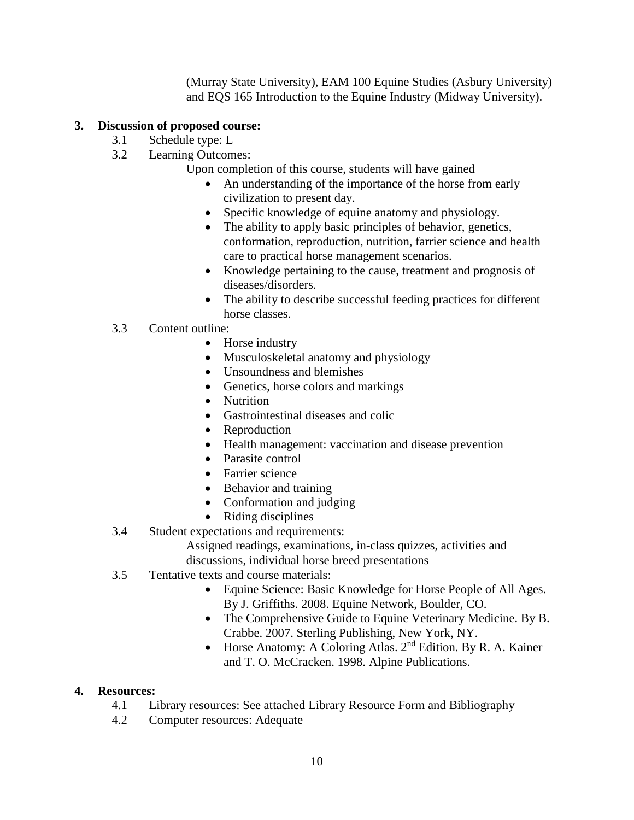(Murray State University), EAM 100 Equine Studies (Asbury University) and EQS 165 Introduction to the Equine Industry (Midway University).

# **3. Discussion of proposed course:**

- 3.1 Schedule type: L
- 3.2 Learning Outcomes:
	- Upon completion of this course, students will have gained
		- An understanding of the importance of the horse from early civilization to present day.
		- Specific knowledge of equine anatomy and physiology.
		- The ability to apply basic principles of behavior, genetics, conformation, reproduction, nutrition, farrier science and health care to practical horse management scenarios.
		- Knowledge pertaining to the cause, treatment and prognosis of diseases/disorders.
		- The ability to describe successful feeding practices for different horse classes.

# 3.3 Content outline:

- Horse industry
- Musculoskeletal anatomy and physiology
- Unsoundness and blemishes
- Genetics, horse colors and markings
- Nutrition
- Gastrointestinal diseases and colic
- **Reproduction**
- Health management: vaccination and disease prevention
- Parasite control
- Farrier science
- Behavior and training
- Conformation and judging
- Riding disciplines
- 3.4 Student expectations and requirements:
	- Assigned readings, examinations, in-class quizzes, activities and discussions, individual horse breed presentations
- 3.5 Tentative texts and course materials:
	- Equine Science: Basic Knowledge for Horse People of All Ages. By J. Griffiths. 2008. Equine Network, Boulder, CO.
	- The Comprehensive Guide to Equine Veterinary Medicine. By B. Crabbe. 2007. Sterling Publishing, New York, NY.
	- Horse Anatomy: A Coloring Atlas. 2<sup>nd</sup> Edition. By R. A. Kainer and T. O. McCracken. 1998. Alpine Publications.

# **4. Resources:**

- 4.1 Library resources: See attached Library Resource Form and Bibliography
- 4.2 Computer resources: Adequate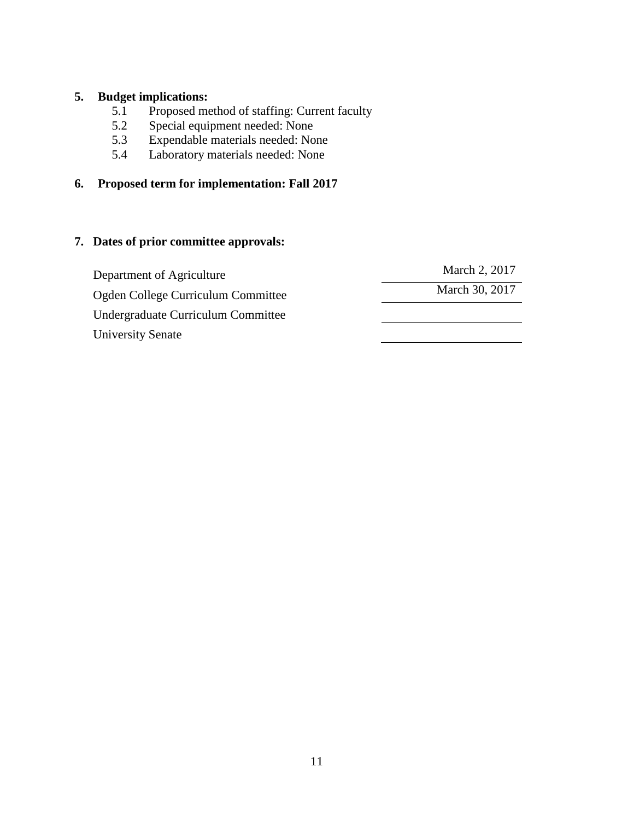### **5. Budget implications:**

- 5.1 Proposed method of staffing: Current faculty
- 5.2 Special equipment needed: None<br>5.3 Expendable materials needed: No
- 5.3 Expendable materials needed: None<br>5.4 Laboratory materials needed: None
- 5.4 Laboratory materials needed: None

# **6. Proposed term for implementation: Fall 2017**

| Department of Agriculture          | March 2, 2017  |
|------------------------------------|----------------|
| Ogden College Curriculum Committee | March 30, 2017 |
| Undergraduate Curriculum Committee |                |
| <b>University Senate</b>           |                |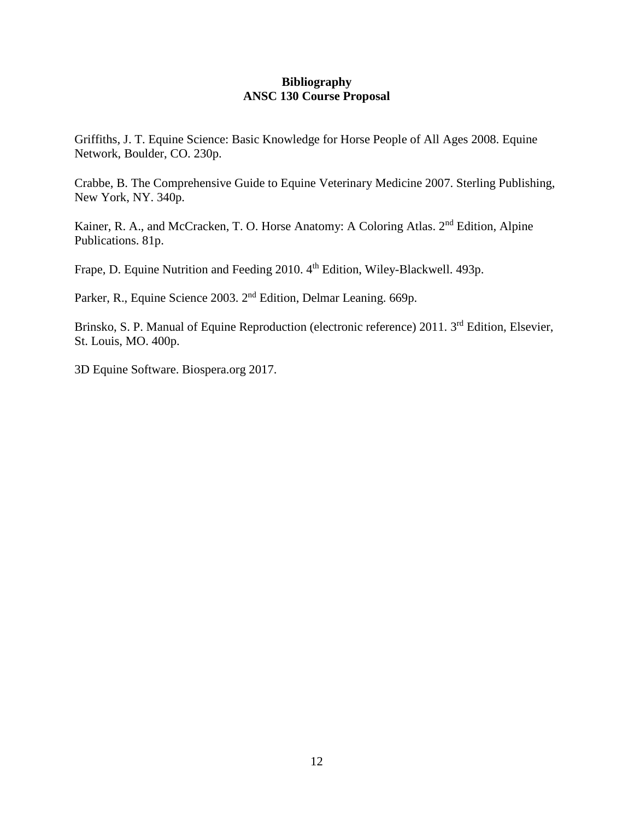#### **Bibliography ANSC 130 Course Proposal**

Griffiths, J. T. Equine Science: Basic Knowledge for Horse People of All Ages 2008. Equine Network, Boulder, CO. 230p.

Crabbe, B. The Comprehensive Guide to Equine Veterinary Medicine 2007. Sterling Publishing, New York, NY. 340p.

Kainer, R. A., and McCracken, T. O. Horse Anatomy: A Coloring Atlas. 2<sup>nd</sup> Edition, Alpine Publications. 81p.

Frape, D. Equine Nutrition and Feeding 2010. 4<sup>th</sup> Edition, Wiley-Blackwell. 493p.

Parker, R., Equine Science 2003. 2nd Edition, Delmar Leaning. 669p.

Brinsko, S. P. Manual of Equine Reproduction (electronic reference) 2011. 3<sup>rd</sup> Edition, Elsevier, St. Louis, MO. 400p.

3D Equine Software. Biospera.org 2017.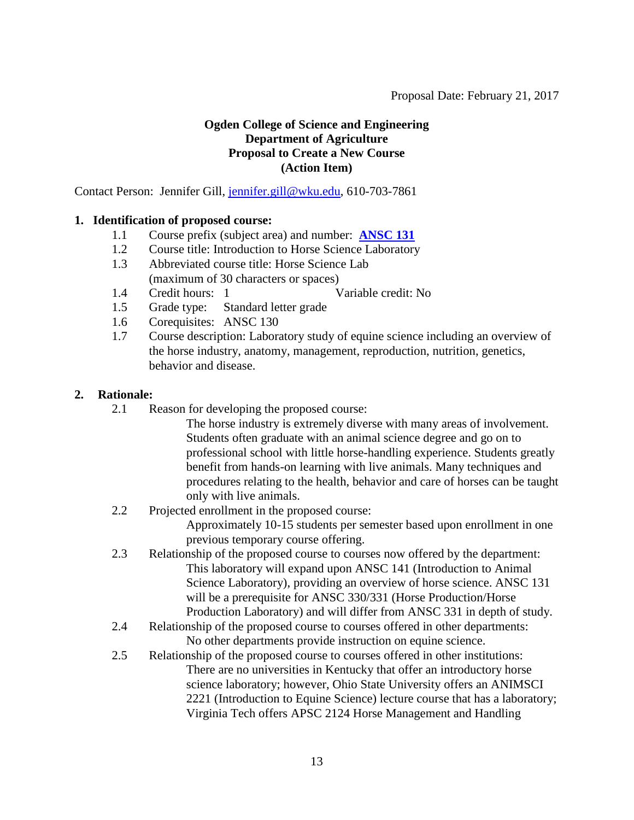### <span id="page-12-0"></span>**Ogden College of Science and Engineering Department of Agriculture Proposal to Create a New Course (Action Item)**

Contact Person: Jennifer Gill, [jennifer.gill@wku.edu,](mailto:jennifer.gill@wku.edu) 610-703-7861

### **1. Identification of proposed course:**

- 1.1 Course prefix (subject area) and number: **[ANSC 131](#page-0-0)**
- 1.2 Course title: Introduction to Horse Science Laboratory
- 1.3 Abbreviated course title: Horse Science Lab (maximum of 30 characters or spaces)
- 1.4 Credit hours: 1 Variable credit: No
- 1.5 Grade type: Standard letter grade
- 1.6 Corequisites: ANSC 130
- 1.7 Course description: Laboratory study of equine science including an overview of the horse industry, anatomy, management, reproduction, nutrition, genetics, behavior and disease.

#### **2. Rationale:**

- 2.1 Reason for developing the proposed course:
	- The horse industry is extremely diverse with many areas of involvement. Students often graduate with an animal science degree and go on to professional school with little horse-handling experience. Students greatly benefit from hands-on learning with live animals. Many techniques and procedures relating to the health, behavior and care of horses can be taught only with live animals.
- 2.2 Projected enrollment in the proposed course:

Approximately 10-15 students per semester based upon enrollment in one previous temporary course offering.

- 2.3 Relationship of the proposed course to courses now offered by the department: This laboratory will expand upon ANSC 141 (Introduction to Animal Science Laboratory), providing an overview of horse science. ANSC 131 will be a prerequisite for ANSC 330/331 (Horse Production/Horse Production Laboratory) and will differ from ANSC 331 in depth of study.
- 2.4 Relationship of the proposed course to courses offered in other departments: No other departments provide instruction on equine science.
- 2.5 Relationship of the proposed course to courses offered in other institutions: There are no universities in Kentucky that offer an introductory horse science laboratory; however, Ohio State University offers an ANIMSCI 2221 (Introduction to Equine Science) lecture course that has a laboratory; Virginia Tech offers APSC 2124 Horse Management and Handling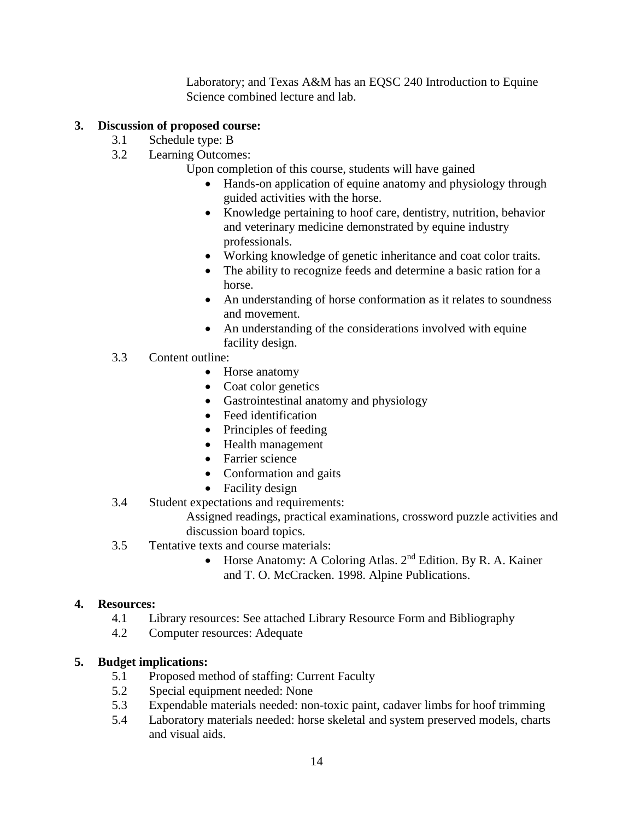Laboratory; and Texas A&M has an EQSC 240 Introduction to Equine Science combined lecture and lab.

# **3. Discussion of proposed course:**

- 3.1 Schedule type: B
- 3.2 Learning Outcomes:
	- Upon completion of this course, students will have gained
		- Hands-on application of equine anatomy and physiology through guided activities with the horse.
		- Knowledge pertaining to hoof care, dentistry, nutrition, behavior and veterinary medicine demonstrated by equine industry professionals.
		- Working knowledge of genetic inheritance and coat color traits.
		- The ability to recognize feeds and determine a basic ration for a horse.
		- An understanding of horse conformation as it relates to soundness and movement.
		- An understanding of the considerations involved with equine facility design.
- 3.3 Content outline:
	- Horse anatomy
	- Coat color genetics
	- Gastrointestinal anatomy and physiology
	- Feed identification
	- Principles of feeding
	- Health management
	- Farrier science
	- Conformation and gaits
	- Facility design
- 3.4 Student expectations and requirements:

Assigned readings, practical examinations, crossword puzzle activities and discussion board topics.

- 3.5 Tentative texts and course materials:
	- Horse Anatomy: A Coloring Atlas. 2<sup>nd</sup> Edition. By R. A. Kainer and T. O. McCracken. 1998. Alpine Publications.

# **4. Resources:**

- 4.1 Library resources: See attached Library Resource Form and Bibliography
- 4.2 Computer resources: Adequate

# **5. Budget implications:**

- 5.1 Proposed method of staffing: Current Faculty
- 5.2 Special equipment needed: None
- 5.3 Expendable materials needed: non-toxic paint, cadaver limbs for hoof trimming
- 5.4 Laboratory materials needed: horse skeletal and system preserved models, charts and visual aids.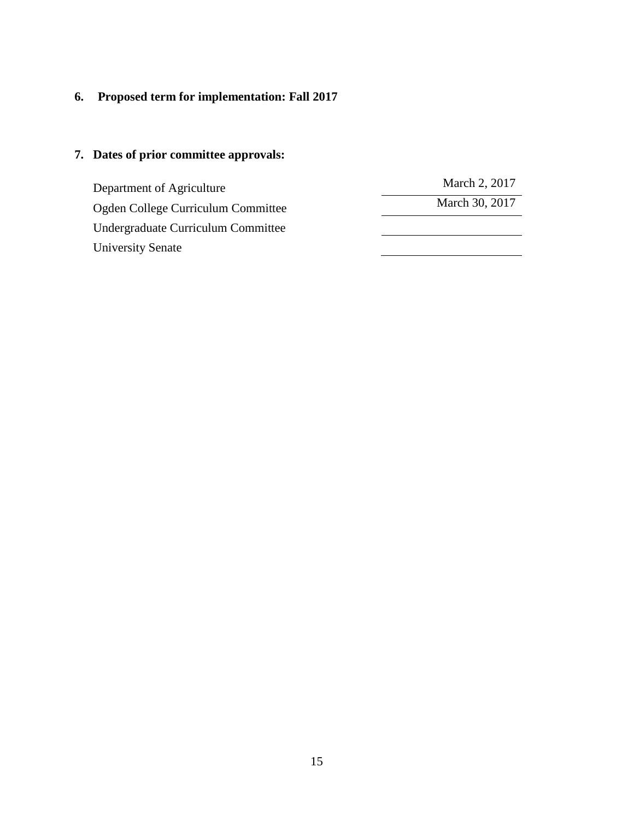# **6. Proposed term for implementation: Fall 2017**

| Department of Agriculture          | March 2, 2017  |
|------------------------------------|----------------|
| Ogden College Curriculum Committee | March 30, 2017 |
| Undergraduate Curriculum Committee |                |
| University Senate                  |                |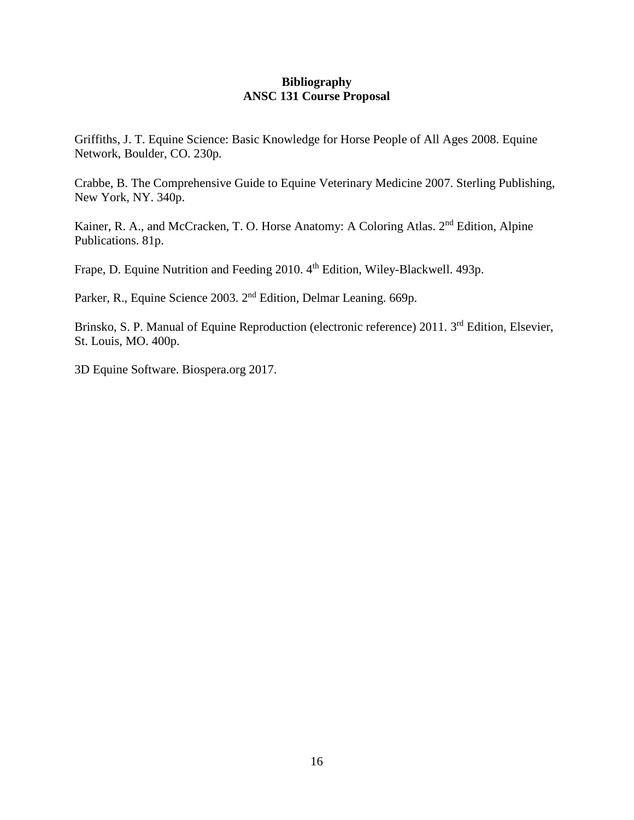#### **Bibliography ANSC 131 Course Proposal**

Griffiths, J. T. Equine Science: Basic Knowledge for Horse People of All Ages 2008. Equine Network, Boulder, CO. 230p.

Crabbe, B. The Comprehensive Guide to Equine Veterinary Medicine 2007. Sterling Publishing, New York, NY. 340p.

Kainer, R. A., and McCracken, T. O. Horse Anatomy: A Coloring Atlas. 2<sup>nd</sup> Edition, Alpine Publications. 81p.

Frape, D. Equine Nutrition and Feeding 2010. 4<sup>th</sup> Edition, Wiley-Blackwell. 493p.

Parker, R., Equine Science 2003. 2nd Edition, Delmar Leaning. 669p.

Brinsko, S. P. Manual of Equine Reproduction (electronic reference) 2011. 3<sup>rd</sup> Edition, Elsevier, St. Louis, MO. 400p.

3D Equine Software. Biospera.org 2017.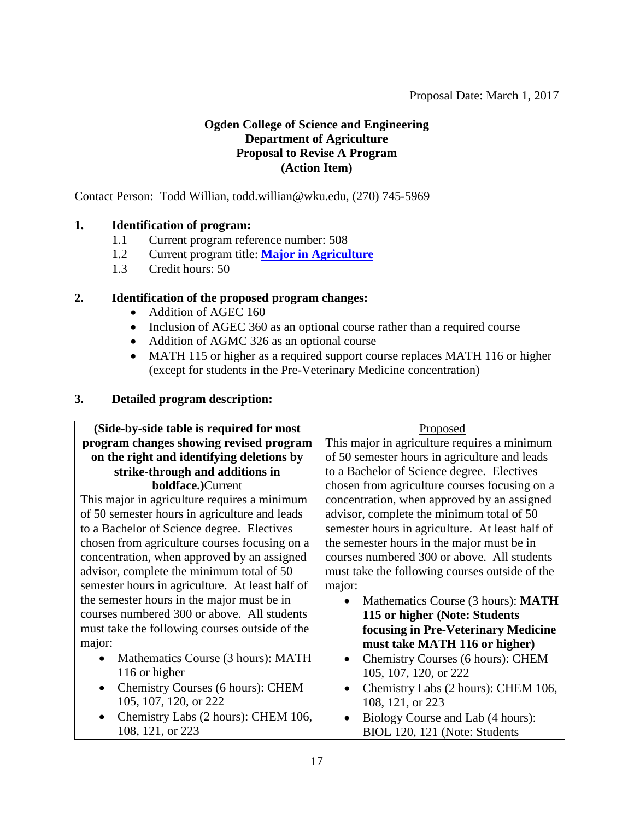# <span id="page-16-0"></span>**Ogden College of Science and Engineering Department of Agriculture Proposal to Revise A Program (Action Item)**

Contact Person: Todd Willian, todd.willian@wku.edu, (270) 745-5969

# **1. Identification of program:**

- 1.1 Current program reference number: 508
- 1.2 Current program title: **[Major in Agriculture](#page-0-0)**
- 1.3 Credit hours: 50

# **2. Identification of the proposed program changes:**

- Addition of AGEC 160
- Inclusion of AGEC 360 as an optional course rather than a required course
- Addition of AGMC 326 as an optional course
- MATH 115 or higher as a required support course replaces MATH 116 or higher (except for students in the Pre-Veterinary Medicine concentration)

# **3. Detailed program description:**

| (Side-by-side table is required for most        | Proposed                                         |
|-------------------------------------------------|--------------------------------------------------|
| program changes showing revised program         | This major in agriculture requires a minimum     |
| on the right and identifying deletions by       | of 50 semester hours in agriculture and leads    |
| strike-through and additions in                 | to a Bachelor of Science degree. Electives       |
| <b>boldface.)</b> Current                       | chosen from agriculture courses focusing on a    |
| This major in agriculture requires a minimum    | concentration, when approved by an assigned      |
| of 50 semester hours in agriculture and leads   | advisor, complete the minimum total of 50        |
| to a Bachelor of Science degree. Electives      | semester hours in agriculture. At least half of  |
| chosen from agriculture courses focusing on a   | the semester hours in the major must be in       |
| concentration, when approved by an assigned     | courses numbered 300 or above. All students      |
| advisor, complete the minimum total of 50       | must take the following courses outside of the   |
| semester hours in agriculture. At least half of | major:                                           |
| the semester hours in the major must be in      | Mathematics Course (3 hours): MATH<br>$\bullet$  |
| courses numbered 300 or above. All students     | 115 or higher (Note: Students                    |
| must take the following courses outside of the  | focusing in Pre-Veterinary Medicine              |
| major:                                          | must take MATH 116 or higher)                    |
| Mathematics Course (3 hours): MATH              | Chemistry Courses (6 hours): CHEM                |
| 116 or higher                                   | 105, 107, 120, or 222                            |
| Chemistry Courses (6 hours): CHEM               | Chemistry Labs (2 hours): CHEM 106,<br>$\bullet$ |
| 105, 107, 120, or 222                           | 108, 121, or 223                                 |
| Chemistry Labs (2 hours): CHEM 106,             | Biology Course and Lab (4 hours):                |
| 108, 121, or 223                                | BIOL 120, 121 (Note: Students                    |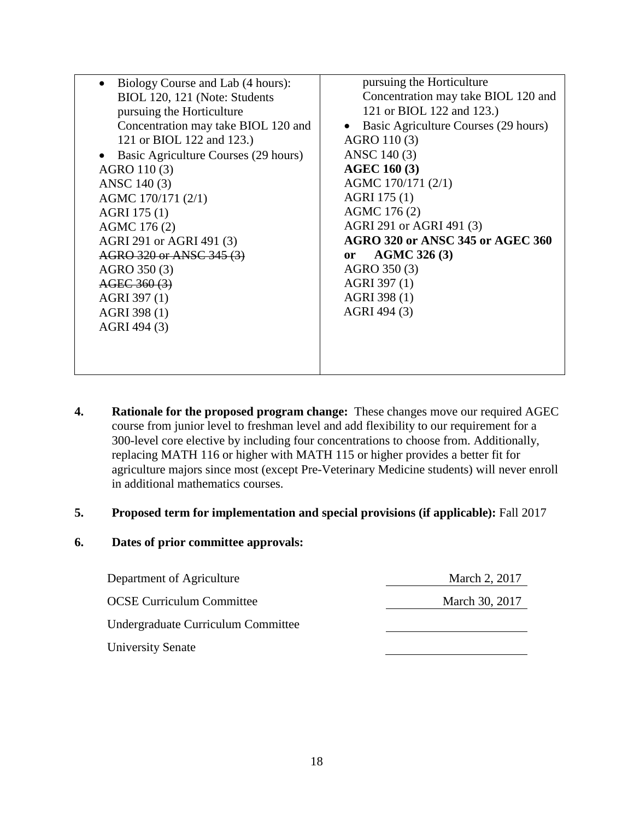| Biology Course and Lab (4 hours):    | pursuing the Horticulture               |
|--------------------------------------|-----------------------------------------|
| BIOL 120, 121 (Note: Students        | Concentration may take BIOL 120 and     |
| pursuing the Horticulture            | 121 or BIOL 122 and 123.)               |
| Concentration may take BIOL 120 and  | Basic Agriculture Courses (29 hours)    |
| 121 or BIOL 122 and 123.)            | AGRO 110 (3)                            |
| Basic Agriculture Courses (29 hours) | ANSC 140 (3)                            |
| AGRO 110 (3)                         | <b>AGEC 160 (3)</b>                     |
| ANSC 140 (3)                         | AGMC 170/171 (2/1)                      |
| AGMC 170/171 (2/1)                   | AGRI 175 (1)                            |
| AGRI 175 (1)                         | AGMC 176 (2)                            |
| AGMC 176(2)                          | AGRI 291 or AGRI 491 (3)                |
| AGRI 291 or AGRI 491 (3)             | <b>AGRO 320 or ANSC 345 or AGEC 360</b> |
| AGRO 320 or ANSC 345 (3)             | <b>AGMC 326 (3)</b><br><sub>or</sub>    |
| AGRO 350 (3)                         | AGRO 350 (3)                            |
| AGEC 360 (3)                         | AGRI 397 (1)                            |
| AGRI 397 (1)                         | AGRI 398 (1)                            |
| AGRI 398 (1)                         | AGRI 494 (3)                            |
| AGRI 494 (3)                         |                                         |
|                                      |                                         |
|                                      |                                         |
|                                      |                                         |

**4. Rationale for the proposed program change:** These changes move our required AGEC course from junior level to freshman level and add flexibility to our requirement for a 300-level core elective by including four concentrations to choose from. Additionally, replacing MATH 116 or higher with MATH 115 or higher provides a better fit for agriculture majors since most (except Pre-Veterinary Medicine students) will never enroll in additional mathematics courses.

#### **5. Proposed term for implementation and special provisions (if applicable):** Fall 2017

| Department of Agriculture          | March 2, 2017  |
|------------------------------------|----------------|
| <b>OCSE Curriculum Committee</b>   | March 30, 2017 |
| Undergraduate Curriculum Committee |                |
| <b>University Senate</b>           |                |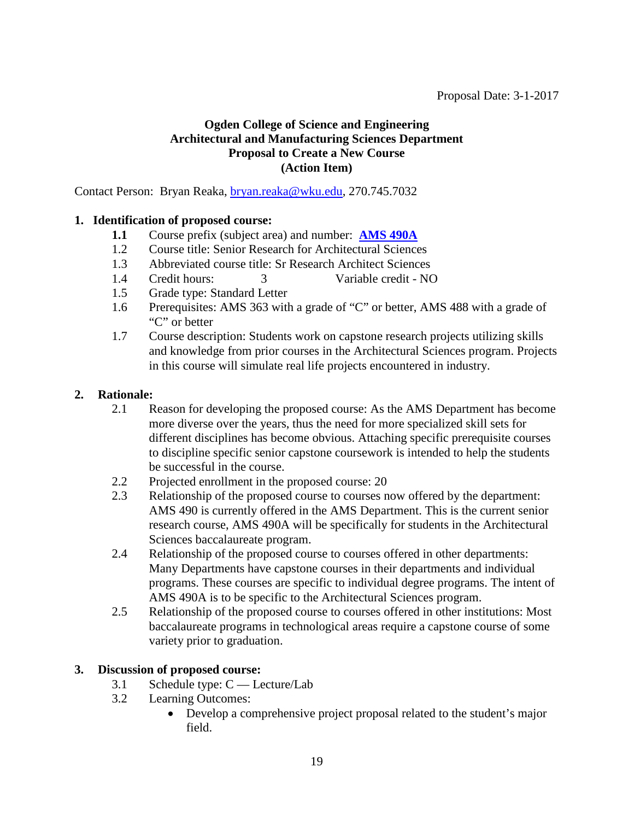### <span id="page-18-0"></span>**Ogden College of Science and Engineering Architectural and Manufacturing Sciences Department Proposal to Create a New Course (Action Item)**

Contact Person: Bryan Reaka, [bryan.reaka@wku.edu,](mailto:bryan.reaka@wku.edu) 270.745.7032

### **1. Identification of proposed course:**

- **1.1** Course prefix (subject area) and number: **[AMS 490A](#page-1-0)**
- 1.2 Course title: Senior Research for Architectural Sciences
- 1.3 Abbreviated course title: Sr Research Architect Sciences
- 1.4 Credit hours: 3 Variable credit NO
- 1.5 Grade type: Standard Letter
- 1.6 Prerequisites: AMS 363 with a grade of "C" or better, AMS 488 with a grade of "C" or better
- 1.7 Course description: Students work on capstone research projects utilizing skills and knowledge from prior courses in the Architectural Sciences program. Projects in this course will simulate real life projects encountered in industry.

#### **2. Rationale:**

- 2.1 Reason for developing the proposed course: As the AMS Department has become more diverse over the years, thus the need for more specialized skill sets for different disciplines has become obvious. Attaching specific prerequisite courses to discipline specific senior capstone coursework is intended to help the students be successful in the course.
- 2.2 Projected enrollment in the proposed course: 20
- 2.3 Relationship of the proposed course to courses now offered by the department: AMS 490 is currently offered in the AMS Department. This is the current senior research course, AMS 490A will be specifically for students in the Architectural Sciences baccalaureate program.
- 2.4 Relationship of the proposed course to courses offered in other departments: Many Departments have capstone courses in their departments and individual programs. These courses are specific to individual degree programs. The intent of AMS 490A is to be specific to the Architectural Sciences program.
- 2.5 Relationship of the proposed course to courses offered in other institutions: Most baccalaureate programs in technological areas require a capstone course of some variety prior to graduation.

#### **3. Discussion of proposed course:**

- 3.1 Schedule type: C Lecture/Lab
- 3.2 Learning Outcomes:
	- Develop a comprehensive project proposal related to the student's major field.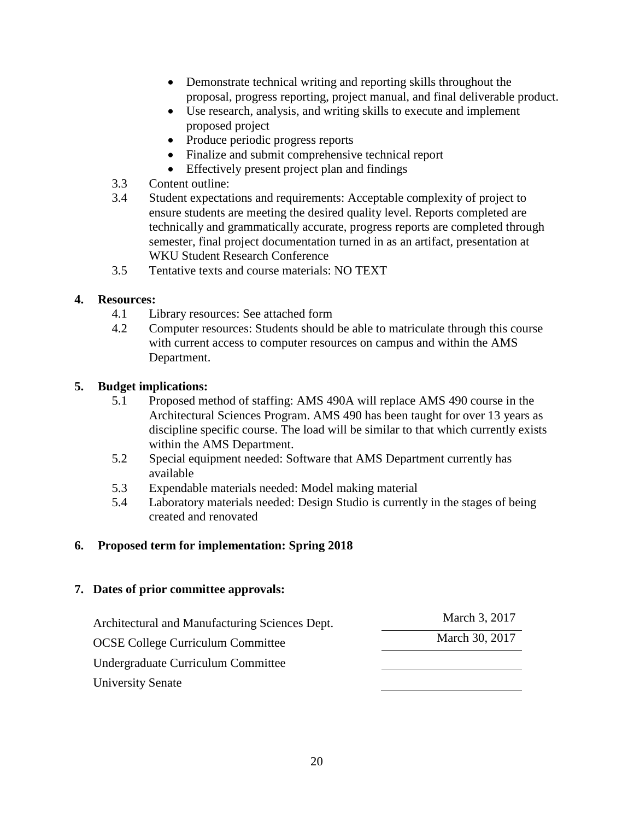- Demonstrate technical writing and reporting skills throughout the proposal, progress reporting, project manual, and final deliverable product.
- Use research, analysis, and writing skills to execute and implement proposed project
- Produce periodic progress reports
- Finalize and submit comprehensive technical report
- Effectively present project plan and findings
- 3.3 Content outline:
- 3.4 Student expectations and requirements: Acceptable complexity of project to ensure students are meeting the desired quality level. Reports completed are technically and grammatically accurate, progress reports are completed through semester, final project documentation turned in as an artifact, presentation at WKU Student Research Conference
- 3.5 Tentative texts and course materials: NO TEXT

# **4. Resources:**

- 4.1 Library resources: See attached form
- 4.2 Computer resources: Students should be able to matriculate through this course with current access to computer resources on campus and within the AMS Department.

# **5. Budget implications:**

- 5.1 Proposed method of staffing: AMS 490A will replace AMS 490 course in the Architectural Sciences Program. AMS 490 has been taught for over 13 years as discipline specific course. The load will be similar to that which currently exists within the AMS Department.
- 5.2 Special equipment needed: Software that AMS Department currently has available
- 5.3 Expendable materials needed: Model making material
- 5.4 Laboratory materials needed: Design Studio is currently in the stages of being created and renovated

# **6. Proposed term for implementation: Spring 2018**

| Architectural and Manufacturing Sciences Dept. | March 3, 2017  |
|------------------------------------------------|----------------|
| <b>OCSE College Curriculum Committee</b>       | March 30, 2017 |
| Undergraduate Curriculum Committee             |                |
| University Senate                              |                |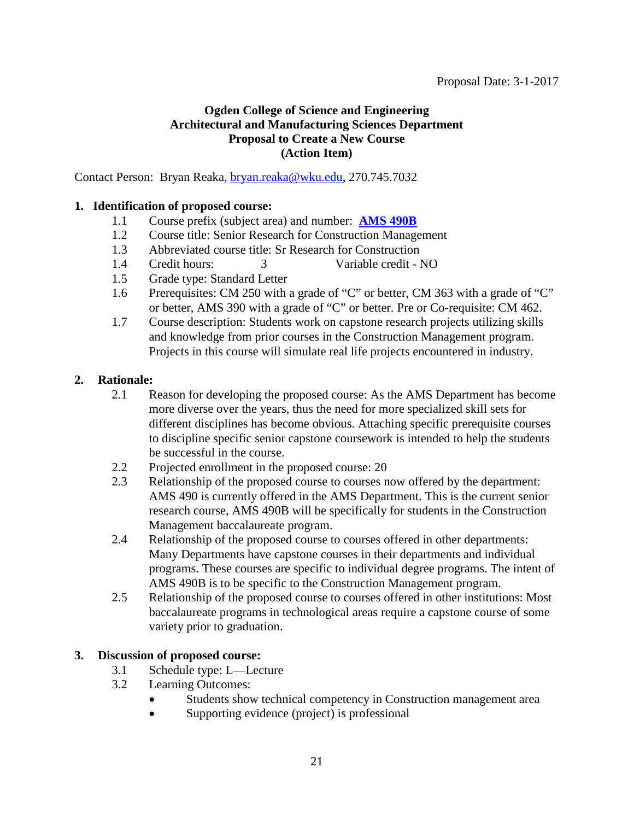# <span id="page-20-0"></span>**Ogden College of Science and Engineering Architectural and Manufacturing Sciences Department Proposal to Create a New Course (Action Item)**

Contact Person: Bryan Reaka, [bryan.reaka@wku.edu,](mailto:bryan.reaka@wku.edu) 270.745.7032

### **1. Identification of proposed course:**

- 1.1 Course prefix (subject area) and number: **[AMS 490B](#page-1-0)**
- 1.2 Course title: Senior Research for Construction Management
- 1.3 Abbreviated course title: Sr Research for Construction
- 1.4 Credit hours: 3 Variable credit NO
- 1.5 Grade type: Standard Letter
- 1.6 Prerequisites: CM 250 with a grade of "C" or better, CM 363 with a grade of "C" or better, AMS 390 with a grade of "C" or better. Pre or Co-requisite: CM 462.
- 1.7 Course description: Students work on capstone research projects utilizing skills and knowledge from prior courses in the Construction Management program. Projects in this course will simulate real life projects encountered in industry.

# **2. Rationale:**

- 2.1 Reason for developing the proposed course: As the AMS Department has become more diverse over the years, thus the need for more specialized skill sets for different disciplines has become obvious. Attaching specific prerequisite courses to discipline specific senior capstone coursework is intended to help the students be successful in the course.
- 2.2 Projected enrollment in the proposed course: 20
- 2.3 Relationship of the proposed course to courses now offered by the department: AMS 490 is currently offered in the AMS Department. This is the current senior research course, AMS 490B will be specifically for students in the Construction Management baccalaureate program.
- 2.4 Relationship of the proposed course to courses offered in other departments: Many Departments have capstone courses in their departments and individual programs. These courses are specific to individual degree programs. The intent of AMS 490B is to be specific to the Construction Management program.
- 2.5 Relationship of the proposed course to courses offered in other institutions: Most baccalaureate programs in technological areas require a capstone course of some variety prior to graduation.

# **3. Discussion of proposed course:**

- 3.1 Schedule type: L—Lecture
- 3.2 Learning Outcomes:
	- Students show technical competency in Construction management area
	- Supporting evidence (project) is professional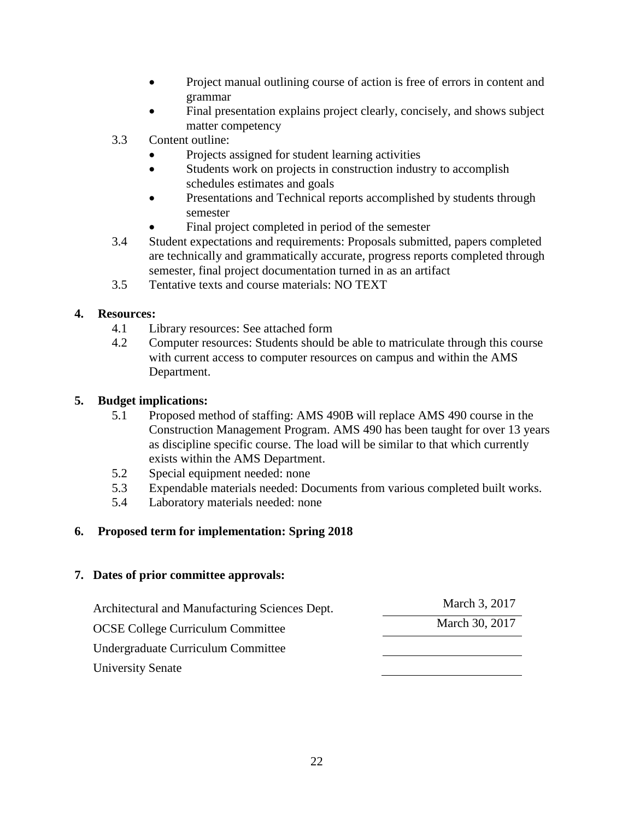- Project manual outlining course of action is free of errors in content and grammar
- Final presentation explains project clearly, concisely, and shows subject matter competency
- 3.3 Content outline:
	- Projects assigned for student learning activities
	- Students work on projects in construction industry to accomplish schedules estimates and goals
	- Presentations and Technical reports accomplished by students through semester
	- Final project completed in period of the semester
- 3.4 Student expectations and requirements: Proposals submitted, papers completed are technically and grammatically accurate, progress reports completed through semester, final project documentation turned in as an artifact
- 3.5 Tentative texts and course materials: NO TEXT

# **4. Resources:**

- 4.1 Library resources: See attached form
- 4.2 Computer resources: Students should be able to matriculate through this course with current access to computer resources on campus and within the AMS Department.

# **5. Budget implications:**

- 5.1 Proposed method of staffing: AMS 490B will replace AMS 490 course in the Construction Management Program. AMS 490 has been taught for over 13 years as discipline specific course. The load will be similar to that which currently exists within the AMS Department.
- 5.2 Special equipment needed: none
- 5.3 Expendable materials needed: Documents from various completed built works.
- 5.4 Laboratory materials needed: none

# **6. Proposed term for implementation: Spring 2018**

| Architectural and Manufacturing Sciences Dept. | March 3, 2017  |
|------------------------------------------------|----------------|
| <b>OCSE College Curriculum Committee</b>       | March 30, 2017 |
| Undergraduate Curriculum Committee             |                |
| <b>University Senate</b>                       |                |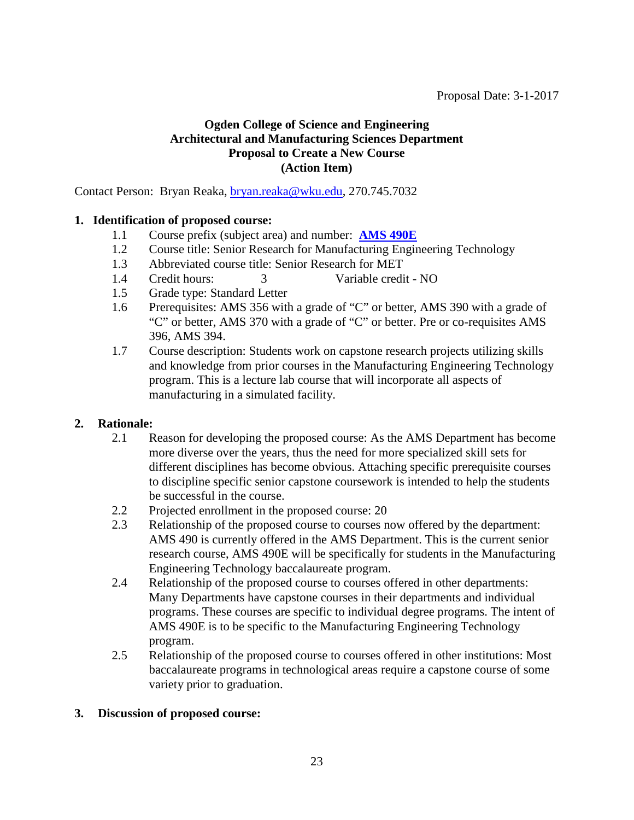### <span id="page-22-0"></span>**Ogden College of Science and Engineering Architectural and Manufacturing Sciences Department Proposal to Create a New Course (Action Item)**

Contact Person: Bryan Reaka, [bryan.reaka@wku.edu,](mailto:bryan.reaka@wku.edu) 270.745.7032

### **1. Identification of proposed course:**

- 1.1 Course prefix (subject area) and number: **[AMS 490E](#page-1-0)**
- 1.2 Course title: Senior Research for Manufacturing Engineering Technology
- 1.3 Abbreviated course title: Senior Research for MET
- 1.4 Credit hours: 3 Variable credit NO
- 1.5 Grade type: Standard Letter
- 1.6 Prerequisites: AMS 356 with a grade of "C" or better, AMS 390 with a grade of "C" or better, AMS 370 with a grade of "C" or better. Pre or co-requisites AMS 396, AMS 394.
- 1.7 Course description: Students work on capstone research projects utilizing skills and knowledge from prior courses in the Manufacturing Engineering Technology program. This is a lecture lab course that will incorporate all aspects of manufacturing in a simulated facility.

# **2. Rationale:**

- 2.1 Reason for developing the proposed course: As the AMS Department has become more diverse over the years, thus the need for more specialized skill sets for different disciplines has become obvious. Attaching specific prerequisite courses to discipline specific senior capstone coursework is intended to help the students be successful in the course.
- 2.2 Projected enrollment in the proposed course: 20<br>2.3 Relationship of the proposed course to courses n
- 2.3 Relationship of the proposed course to courses now offered by the department: AMS 490 is currently offered in the AMS Department. This is the current senior research course, AMS 490E will be specifically for students in the Manufacturing Engineering Technology baccalaureate program.
- 2.4 Relationship of the proposed course to courses offered in other departments: Many Departments have capstone courses in their departments and individual programs. These courses are specific to individual degree programs. The intent of AMS 490E is to be specific to the Manufacturing Engineering Technology program.
- 2.5 Relationship of the proposed course to courses offered in other institutions: Most baccalaureate programs in technological areas require a capstone course of some variety prior to graduation.

#### **3. Discussion of proposed course:**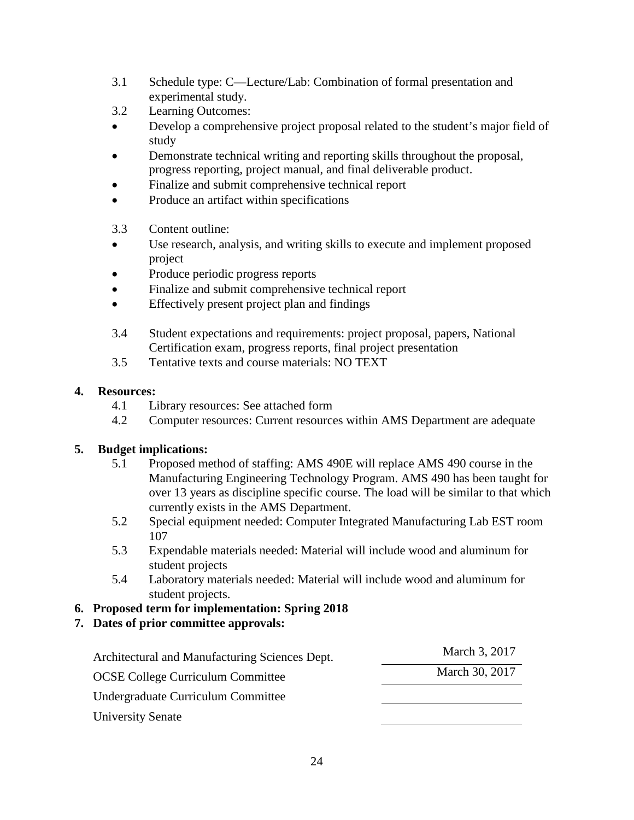- 3.1 Schedule type: C—Lecture/Lab: Combination of formal presentation and experimental study.
- 3.2 Learning Outcomes:
- Develop a comprehensive project proposal related to the student's major field of study
- Demonstrate technical writing and reporting skills throughout the proposal, progress reporting, project manual, and final deliverable product.
- Finalize and submit comprehensive technical report
- Produce an artifact within specifications
- 3.3 Content outline:
- Use research, analysis, and writing skills to execute and implement proposed project
- Produce periodic progress reports
- Finalize and submit comprehensive technical report
- Effectively present project plan and findings
- 3.4 Student expectations and requirements: project proposal, papers, National Certification exam, progress reports, final project presentation
- 3.5 Tentative texts and course materials: NO TEXT

# **4. Resources:**

- 4.1 Library resources: See attached form
- 4.2 Computer resources: Current resources within AMS Department are adequate

# **5. Budget implications:**

- 5.1 Proposed method of staffing: AMS 490E will replace AMS 490 course in the Manufacturing Engineering Technology Program. AMS 490 has been taught for over 13 years as discipline specific course. The load will be similar to that which currently exists in the AMS Department.
- 5.2 Special equipment needed: Computer Integrated Manufacturing Lab EST room 107
- 5.3 Expendable materials needed: Material will include wood and aluminum for student projects
- 5.4 Laboratory materials needed: Material will include wood and aluminum for student projects.
- **6. Proposed term for implementation: Spring 2018**
- **7. Dates of prior committee approvals:**

| Architectural and Manufacturing Sciences Dept. | March 3, 2017  |
|------------------------------------------------|----------------|
| <b>OCSE College Curriculum Committee</b>       | March 30, 2017 |
| Undergraduate Curriculum Committee             |                |
| <b>University Senate</b>                       |                |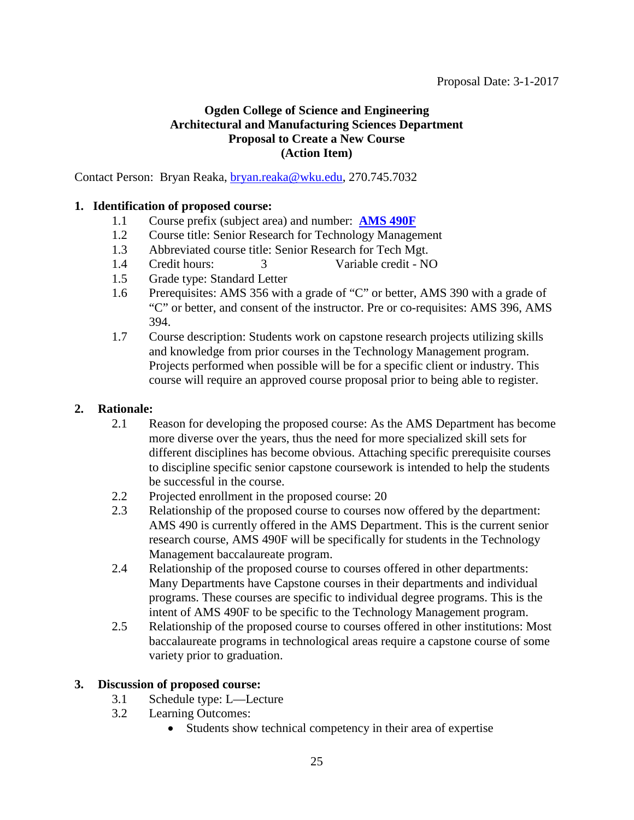# <span id="page-24-0"></span>**Ogden College of Science and Engineering Architectural and Manufacturing Sciences Department Proposal to Create a New Course (Action Item)**

Contact Person: Bryan Reaka, [bryan.reaka@wku.edu,](mailto:bryan.reaka@wku.edu) 270.745.7032

### **1. Identification of proposed course:**

- 1.1 Course prefix (subject area) and number: **[AMS 490F](#page-1-0)**
- 1.2 Course title: Senior Research for Technology Management
- 1.3 Abbreviated course title: Senior Research for Tech Mgt.
- 1.4 Credit hours: 3 Variable credit NO
- 1.5 Grade type: Standard Letter
- 1.6 Prerequisites: AMS 356 with a grade of "C" or better, AMS 390 with a grade of "C" or better, and consent of the instructor. Pre or co-requisites: AMS 396, AMS 394.
- 1.7 Course description: Students work on capstone research projects utilizing skills and knowledge from prior courses in the Technology Management program. Projects performed when possible will be for a specific client or industry. This course will require an approved course proposal prior to being able to register.

#### **2. Rationale:**

- 2.1 Reason for developing the proposed course: As the AMS Department has become more diverse over the years, thus the need for more specialized skill sets for different disciplines has become obvious. Attaching specific prerequisite courses to discipline specific senior capstone coursework is intended to help the students be successful in the course.
- 2.2 Projected enrollment in the proposed course: 20
- 2.3 Relationship of the proposed course to courses now offered by the department: AMS 490 is currently offered in the AMS Department. This is the current senior research course, AMS 490F will be specifically for students in the Technology Management baccalaureate program.
- 2.4 Relationship of the proposed course to courses offered in other departments: Many Departments have Capstone courses in their departments and individual programs. These courses are specific to individual degree programs. This is the intent of AMS 490F to be specific to the Technology Management program.
- 2.5 Relationship of the proposed course to courses offered in other institutions: Most baccalaureate programs in technological areas require a capstone course of some variety prior to graduation.

#### **3. Discussion of proposed course:**

- 3.1 Schedule type: L—Lecture
- 3.2 Learning Outcomes:
	- Students show technical competency in their area of expertise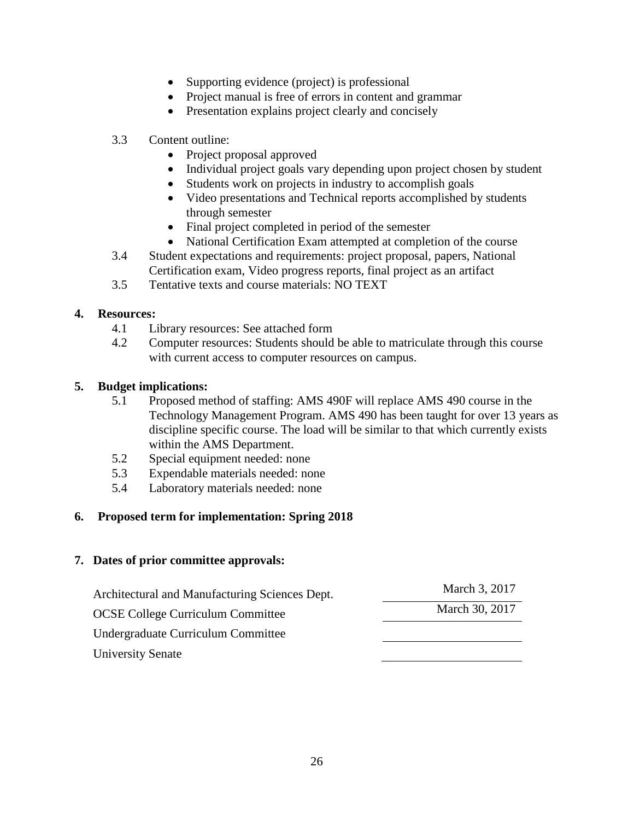- Supporting evidence (project) is professional
- Project manual is free of errors in content and grammar
- Presentation explains project clearly and concisely

### 3.3 Content outline:

- Project proposal approved
- Individual project goals vary depending upon project chosen by student
- Students work on projects in industry to accomplish goals
- Video presentations and Technical reports accomplished by students through semester
- Final project completed in period of the semester
- National Certification Exam attempted at completion of the course
- 3.4 Student expectations and requirements: project proposal, papers, National Certification exam, Video progress reports, final project as an artifact
- 3.5 Tentative texts and course materials: NO TEXT

#### **4. Resources:**

- 4.1 Library resources: See attached form
- 4.2 Computer resources: Students should be able to matriculate through this course with current access to computer resources on campus.

### **5. Budget implications:**

- 5.1 Proposed method of staffing: AMS 490F will replace AMS 490 course in the Technology Management Program. AMS 490 has been taught for over 13 years as discipline specific course. The load will be similar to that which currently exists within the AMS Department.
- 5.2 Special equipment needed: none
- 5.3 Expendable materials needed: none
- 5.4 Laboratory materials needed: none

# **6. Proposed term for implementation: Spring 2018**

| Architectural and Manufacturing Sciences Dept. | March 3, 2017  |
|------------------------------------------------|----------------|
| <b>OCSE College Curriculum Committee</b>       | March 30, 2017 |
| Undergraduate Curriculum Committee             |                |
| University Senate                              |                |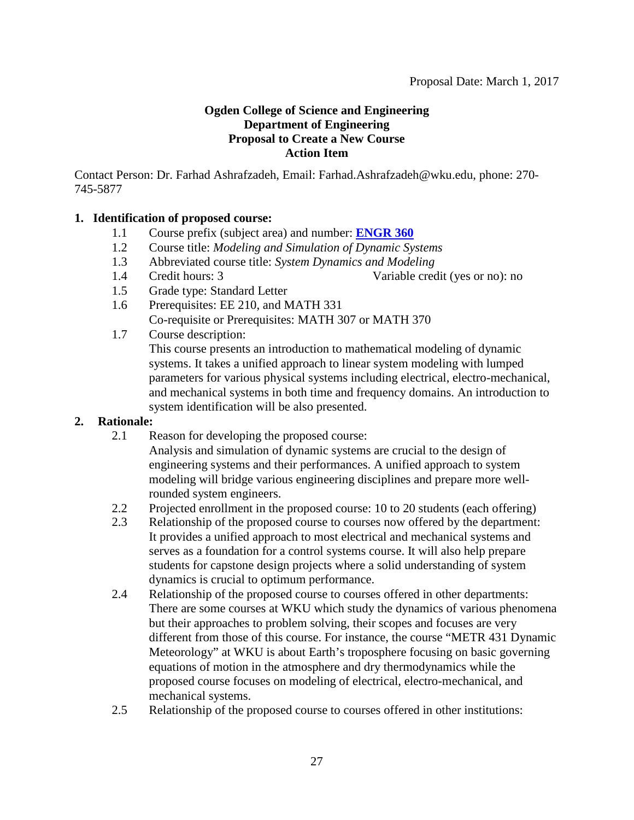# <span id="page-26-0"></span>**Ogden College of Science and Engineering Department of Engineering Proposal to Create a New Course Action Item**

Contact Person: Dr. Farhad Ashrafzadeh, Email: Farhad.Ashrafzadeh@wku.edu, phone: 270- 745-5877

# **1. Identification of proposed course:**

- 1.1 Course prefix (subject area) and number: **[ENGR 360](#page-1-0)**
- 1.2 Course title: *Modeling and Simulation of Dynamic Systems*
- 1.3 Abbreviated course title: *System Dynamics and Modeling*
- 
- 1.4 Credit hours: 3 Variable credit (yes or no): no
- 1.5 Grade type: Standard Letter
- 1.6 Prerequisites: EE 210, and MATH 331 Co-requisite or Prerequisites: MATH 307 or MATH 370
- 1.7 Course description: This course presents an introduction to mathematical modeling of dynamic systems. It takes a unified approach to linear system modeling with lumped parameters for various physical systems including electrical, electro-mechanical, and mechanical systems in both time and frequency domains. An introduction to system identification will be also presented.

# **2. Rationale:**

2.1 Reason for developing the proposed course:

Analysis and simulation of dynamic systems are crucial to the design of engineering systems and their performances. A unified approach to system modeling will bridge various engineering disciplines and prepare more wellrounded system engineers.

- 2.2 Projected enrollment in the proposed course: 10 to 20 students (each offering)
- 2.3 Relationship of the proposed course to courses now offered by the department: It provides a unified approach to most electrical and mechanical systems and serves as a foundation for a control systems course. It will also help prepare students for capstone design projects where a solid understanding of system dynamics is crucial to optimum performance.
- 2.4 Relationship of the proposed course to courses offered in other departments: There are some courses at WKU which study the dynamics of various phenomena but their approaches to problem solving, their scopes and focuses are very different from those of this course. For instance, the course "METR 431 Dynamic Meteorology" at WKU is about Earth's troposphere focusing on basic governing equations of motion in the atmosphere and dry thermodynamics while the proposed course focuses on modeling of electrical, electro-mechanical, and mechanical systems.
- 2.5 Relationship of the proposed course to courses offered in other institutions: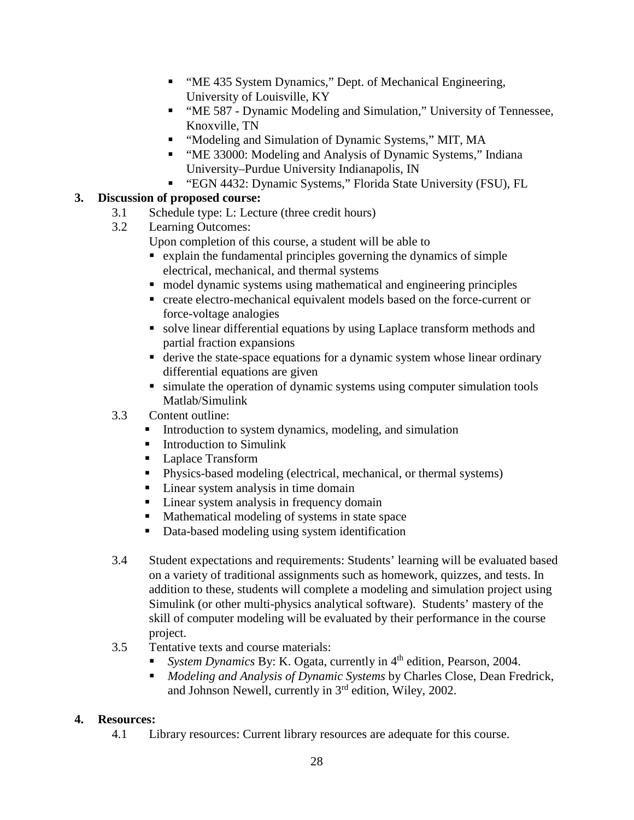- "ME 435 System Dynamics," Dept. of Mechanical Engineering, University of Louisville, KY
- "ME 587 Dynamic Modeling and Simulation," University of Tennessee, Knoxville, TN
- **•** "Modeling and Simulation of Dynamic Systems," MIT, MA
- **"** "ME 33000: Modeling and Analysis of Dynamic Systems," Indiana University–Purdue University Indianapolis, IN
- "EGN 4432: Dynamic Systems," Florida State University (FSU), FL

# **3. Discussion of proposed course:**

- 3.1 Schedule type: L: Lecture (three credit hours)
- 3.2 Learning Outcomes:

Upon completion of this course, a student will be able to

- explain the fundamental principles governing the dynamics of simple electrical, mechanical, and thermal systems
- model dynamic systems using mathematical and engineering principles
- create electro-mechanical equivalent models based on the force-current or force-voltage analogies
- solve linear differential equations by using Laplace transform methods and partial fraction expansions
- derive the state-space equations for a dynamic system whose linear ordinary differential equations are given
- **Example 1** simulate the operation of dynamic systems using computer simulation tools Matlab/Simulink

# 3.3 Content outline:

- Introduction to system dynamics, modeling, and simulation
- **Introduction to Simulink**
- Laplace Transform
- Physics-based modeling (electrical, mechanical, or thermal systems)
- Linear system analysis in time domain
- **Linear system analysis in frequency domain**
- Mathematical modeling of systems in state space
- Data-based modeling using system identification
- 3.4 Student expectations and requirements: Students' learning will be evaluated based on a variety of traditional assignments such as homework, quizzes, and tests. In addition to these, students will complete a modeling and simulation project using Simulink (or other multi-physics analytical software). Students' mastery of the skill of computer modeling will be evaluated by their performance in the course project.
- 3.5 Tentative texts and course materials:
	- *System Dynamics* By: K. Ogata, currently in 4<sup>th</sup> edition, Pearson, 2004.
	- *Modeling and Analysis of Dynamic Systems* by Charles Close, Dean Fredrick, and Johnson Newell, currently in 3rd edition, Wiley, 2002.

# **4. Resources:**

4.1 Library resources: Current library resources are adequate for this course.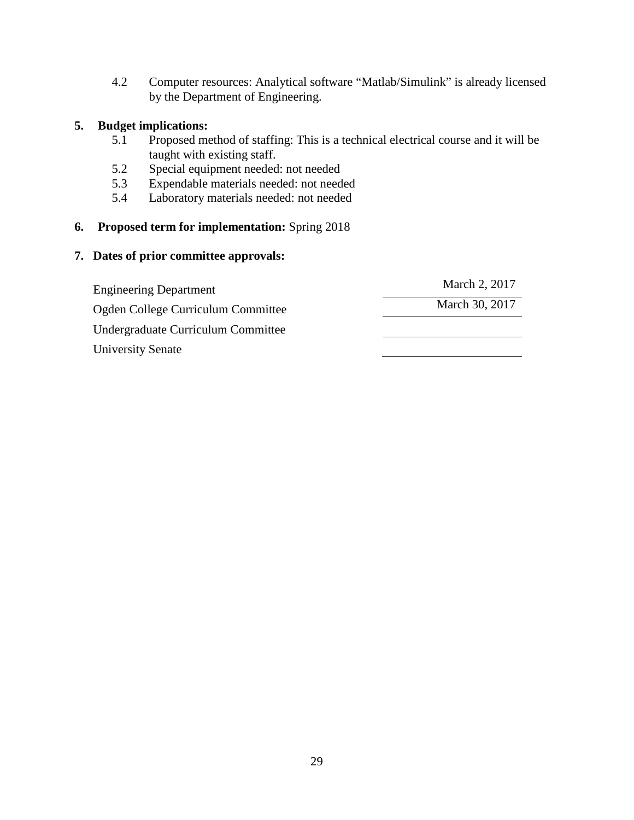4.2 Computer resources: Analytical software "Matlab/Simulink" is already licensed by the Department of Engineering.

# **5. Budget implications:**

- 5.1 Proposed method of staffing: This is a technical electrical course and it will be taught with existing staff.
- 5.2 Special equipment needed: not needed
- 5.3 Expendable materials needed: not needed
- 5.4 Laboratory materials needed: not needed

# **6. Proposed term for implementation:** Spring 2018

| <b>Engineering Department</b>      | March 2, 2017  |
|------------------------------------|----------------|
| Ogden College Curriculum Committee | March 30, 2017 |
| Undergraduate Curriculum Committee |                |
| University Senate                  |                |
|                                    |                |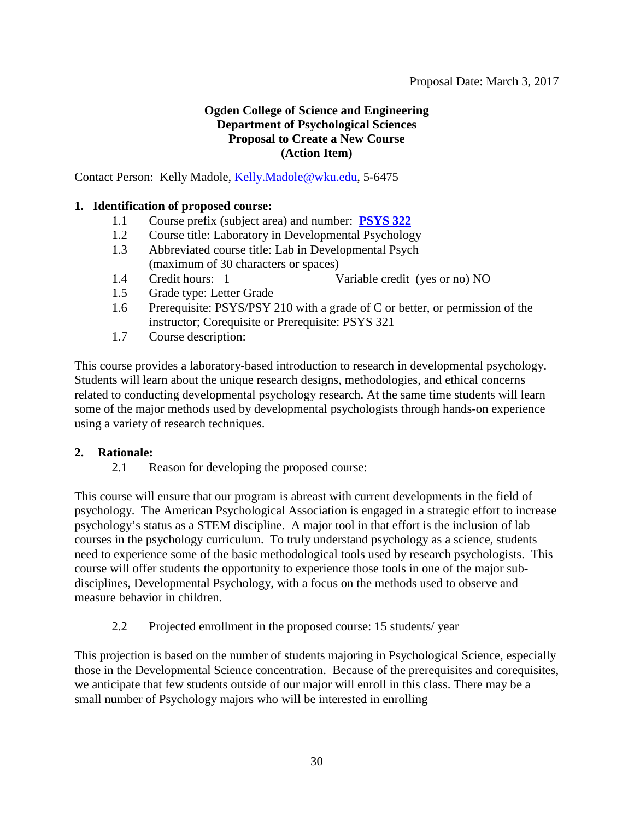# <span id="page-29-0"></span>**Ogden College of Science and Engineering Department of Psychological Sciences Proposal to Create a New Course (Action Item)**

Contact Person: Kelly Madole, [Kelly.Madole@wku.edu,](mailto:Kelly.Madole@wku.edu) 5-6475

### **1. Identification of proposed course:**

- 1.1 Course prefix (subject area) and number: **[PSYS 322](#page-1-0)**
- 1.2 Course title: Laboratory in Developmental Psychology
- 1.3 Abbreviated course title: Lab in Developmental Psych (maximum of 30 characters or spaces)
- 1.4 Credit hours: 1 Variable credit (yes or no) NO
- 1.5 Grade type: Letter Grade
- 1.6 Prerequisite: PSYS/PSY 210 with a grade of C or better, or permission of the instructor; Corequisite or Prerequisite: PSYS 321
- 1.7 Course description:

This course provides a laboratory-based introduction to research in developmental psychology. Students will learn about the unique research designs, methodologies, and ethical concerns related to conducting developmental psychology research. At the same time students will learn some of the major methods used by developmental psychologists through hands-on experience using a variety of research techniques.

#### **2. Rationale:**

2.1 Reason for developing the proposed course:

This course will ensure that our program is abreast with current developments in the field of psychology. The American Psychological Association is engaged in a strategic effort to increase psychology's status as a STEM discipline. A major tool in that effort is the inclusion of lab courses in the psychology curriculum. To truly understand psychology as a science, students need to experience some of the basic methodological tools used by research psychologists. This course will offer students the opportunity to experience those tools in one of the major subdisciplines, Developmental Psychology, with a focus on the methods used to observe and measure behavior in children.

2.2 Projected enrollment in the proposed course: 15 students/ year

This projection is based on the number of students majoring in Psychological Science, especially those in the Developmental Science concentration. Because of the prerequisites and corequisites, we anticipate that few students outside of our major will enroll in this class. There may be a small number of Psychology majors who will be interested in enrolling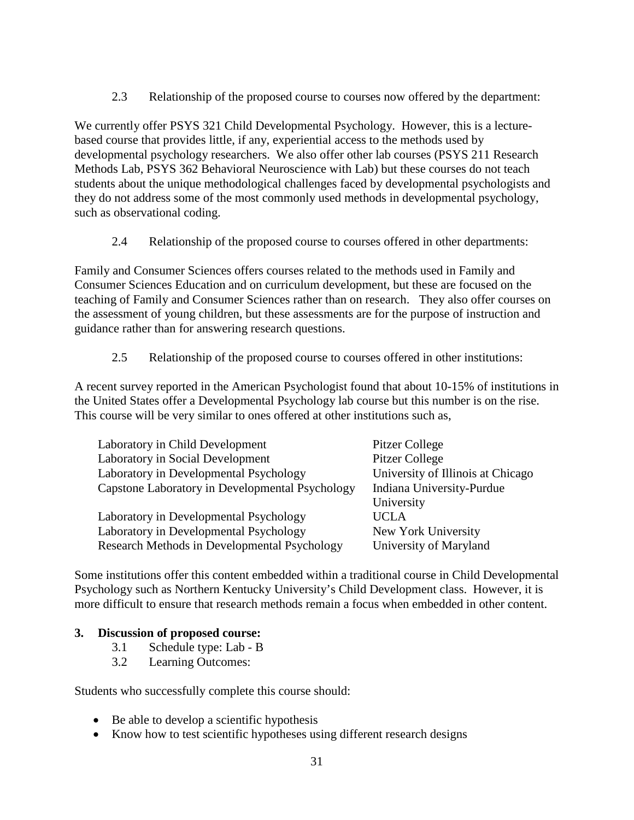2.3 Relationship of the proposed course to courses now offered by the department:

We currently offer PSYS 321 Child Developmental Psychology. However, this is a lecturebased course that provides little, if any, experiential access to the methods used by developmental psychology researchers. We also offer other lab courses (PSYS 211 Research Methods Lab, PSYS 362 Behavioral Neuroscience with Lab) but these courses do not teach students about the unique methodological challenges faced by developmental psychologists and they do not address some of the most commonly used methods in developmental psychology, such as observational coding.

2.4 Relationship of the proposed course to courses offered in other departments:

Family and Consumer Sciences offers courses related to the methods used in Family and Consumer Sciences Education and on curriculum development, but these are focused on the teaching of Family and Consumer Sciences rather than on research. They also offer courses on the assessment of young children, but these assessments are for the purpose of instruction and guidance rather than for answering research questions.

2.5 Relationship of the proposed course to courses offered in other institutions:

A recent survey reported in the American Psychologist found that about 10-15% of institutions in the United States offer a Developmental Psychology lab course but this number is on the rise. This course will be very similar to ones offered at other institutions such as,

| Laboratory in Child Development                 | Pitzer College                    |
|-------------------------------------------------|-----------------------------------|
| Laboratory in Social Development                | <b>Pitzer College</b>             |
| Laboratory in Developmental Psychology          | University of Illinois at Chicago |
| Capstone Laboratory in Developmental Psychology | Indiana University-Purdue         |
|                                                 | University                        |
| Laboratory in Developmental Psychology          | <b>UCLA</b>                       |
| Laboratory in Developmental Psychology          | New York University               |
| Research Methods in Developmental Psychology    | University of Maryland            |

Some institutions offer this content embedded within a traditional course in Child Developmental Psychology such as Northern Kentucky University's Child Development class. However, it is more difficult to ensure that research methods remain a focus when embedded in other content.

# **3. Discussion of proposed course:**

- 3.1 Schedule type: Lab B
- 3.2 Learning Outcomes:

Students who successfully complete this course should:

- Be able to develop a scientific hypothesis
- Know how to test scientific hypotheses using different research designs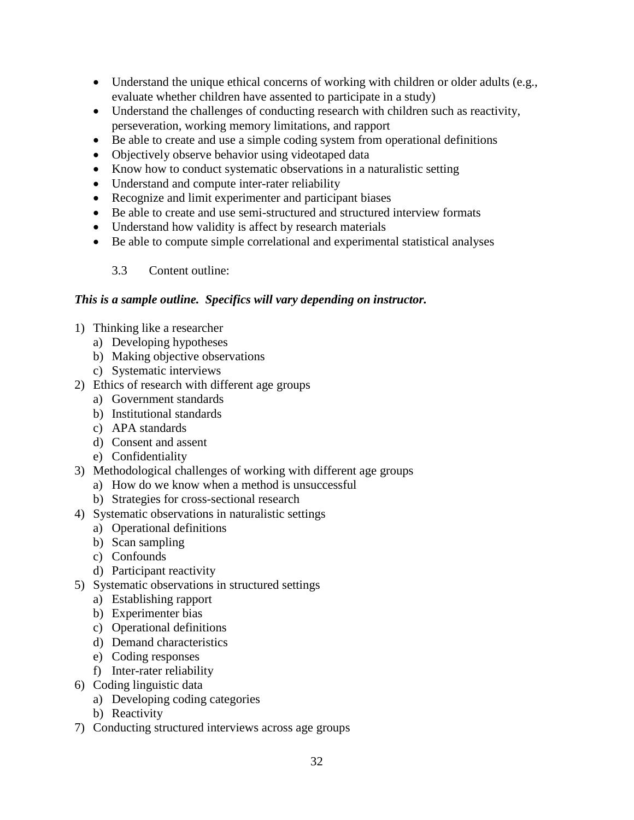- Understand the unique ethical concerns of working with children or older adults (e.g., evaluate whether children have assented to participate in a study)
- Understand the challenges of conducting research with children such as reactivity, perseveration, working memory limitations, and rapport
- Be able to create and use a simple coding system from operational definitions
- Objectively observe behavior using videotaped data
- Know how to conduct systematic observations in a naturalistic setting
- Understand and compute inter-rater reliability
- Recognize and limit experimenter and participant biases
- Be able to create and use semi-structured and structured interview formats
- Understand how validity is affect by research materials
- Be able to compute simple correlational and experimental statistical analyses

3.3 Content outline:

#### *This is a sample outline. Specifics will vary depending on instructor.*

- 1) Thinking like a researcher
	- a) Developing hypotheses
	- b) Making objective observations
	- c) Systematic interviews
- 2) Ethics of research with different age groups
	- a) Government standards
	- b) Institutional standards
	- c) APA standards
	- d) Consent and assent
	- e) Confidentiality
- 3) Methodological challenges of working with different age groups
	- a) How do we know when a method is unsuccessful
	- b) Strategies for cross-sectional research
- 4) Systematic observations in naturalistic settings
	- a) Operational definitions
	- b) Scan sampling
	- c) Confounds
	- d) Participant reactivity
- 5) Systematic observations in structured settings
	- a) Establishing rapport
	- b) Experimenter bias
	- c) Operational definitions
	- d) Demand characteristics
	- e) Coding responses
	- f) Inter-rater reliability
- 6) Coding linguistic data
	- a) Developing coding categories
	- b) Reactivity
- 7) Conducting structured interviews across age groups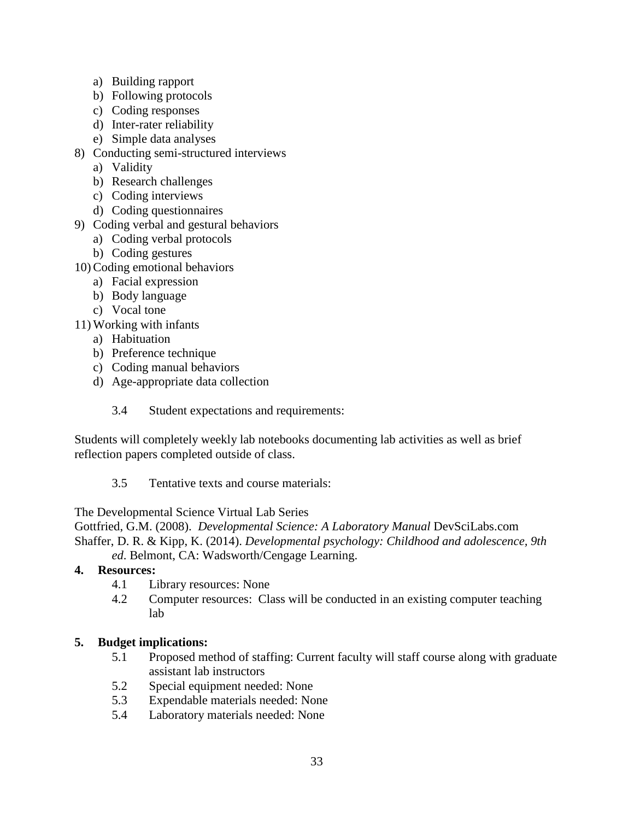- a) Building rapport
- b) Following protocols
- c) Coding responses
- d) Inter-rater reliability
- e) Simple data analyses
- 8) Conducting semi-structured interviews
	- a) Validity
	- b) Research challenges
	- c) Coding interviews
	- d) Coding questionnaires
- 9) Coding verbal and gestural behaviors
	- a) Coding verbal protocols
	- b) Coding gestures
- 10) Coding emotional behaviors
	- a) Facial expression
	- b) Body language
	- c) Vocal tone
- 11) Working with infants
	- a) Habituation
	- b) Preference technique
	- c) Coding manual behaviors
	- d) Age-appropriate data collection
		- 3.4 Student expectations and requirements:

Students will completely weekly lab notebooks documenting lab activities as well as brief reflection papers completed outside of class.

3.5 Tentative texts and course materials:

The Developmental Science Virtual Lab Series

Gottfried, G.M. (2008). *Developmental Science: A Laboratory Manual* DevSciLabs.com Shaffer, D. R. & Kipp, K. (2014). *Developmental psychology: Childhood and adolescence, 9th ed*. Belmont, CA: Wadsworth/Cengage Learning.

# **4. Resources:**

- 4.1 Library resources: None
- 4.2 Computer resources: Class will be conducted in an existing computer teaching lab

# **5. Budget implications:**

- 5.1 Proposed method of staffing: Current faculty will staff course along with graduate assistant lab instructors
- 5.2 Special equipment needed: None
- 5.3 Expendable materials needed: None
- 5.4 Laboratory materials needed: None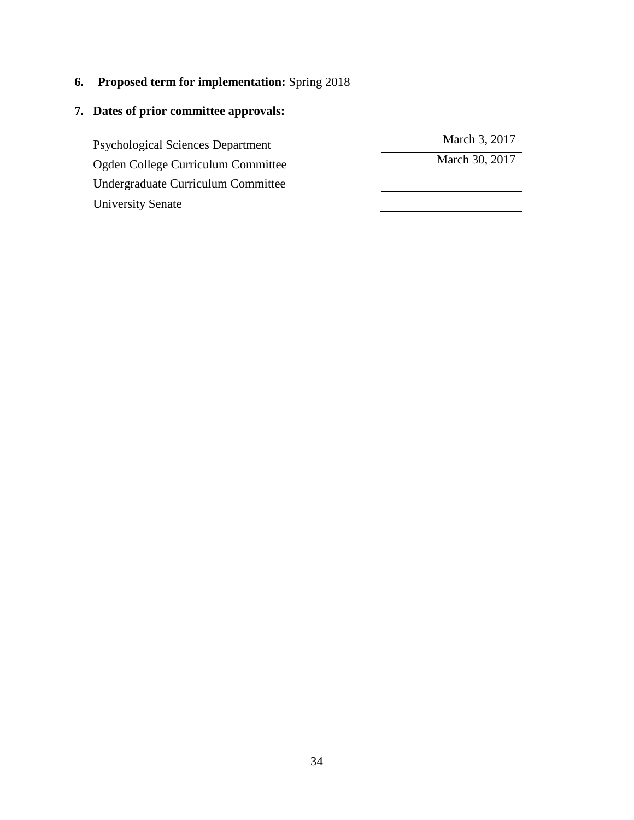**6. Proposed term for implementation:** Spring 2018

# **7. Dates of prior committee approvals:**

Psychological Sciences Department March 3, 2017<br>
March 30, 2017<br>
March 30, 2017 Ogden College Curriculum Committee Undergraduate Curriculum Committee University Senate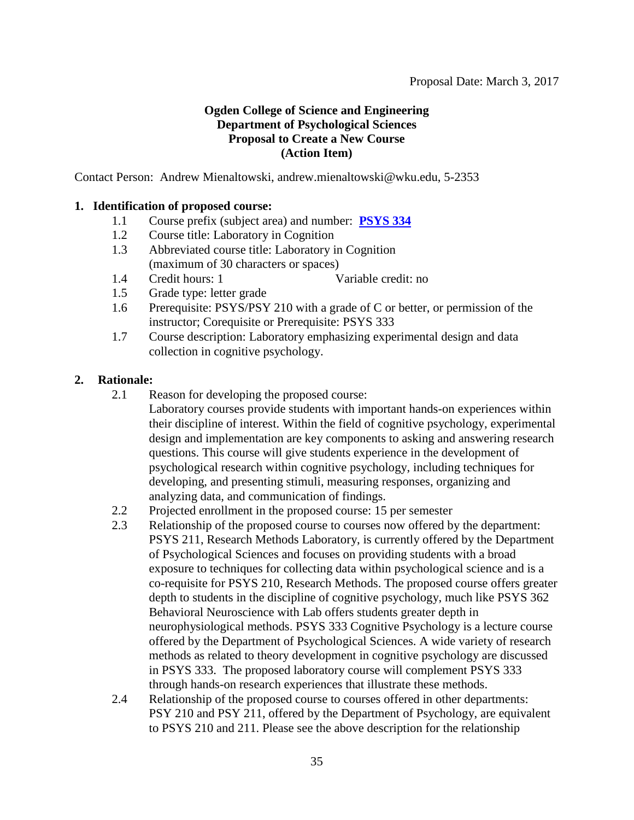# <span id="page-34-0"></span>**Ogden College of Science and Engineering Department of Psychological Sciences Proposal to Create a New Course (Action Item)**

Contact Person: Andrew Mienaltowski, andrew.mienaltowski@wku.edu, 5-2353

### **1. Identification of proposed course:**

- 1.1 Course prefix (subject area) and number: **[PSYS 334](#page-1-0)**
- 1.2 Course title: Laboratory in Cognition
- 1.3 Abbreviated course title: Laboratory in Cognition (maximum of 30 characters or spaces)
- 1.4 Credit hours: 1 Variable credit: no
- 1.5 Grade type: letter grade
- 1.6 Prerequisite: PSYS/PSY 210 with a grade of C or better, or permission of the instructor; Corequisite or Prerequisite: PSYS 333
- 1.7 Course description: Laboratory emphasizing experimental design and data collection in cognitive psychology.

### **2. Rationale:**

- 2.1 Reason for developing the proposed course:
	- Laboratory courses provide students with important hands-on experiences within their discipline of interest. Within the field of cognitive psychology, experimental design and implementation are key components to asking and answering research questions. This course will give students experience in the development of psychological research within cognitive psychology, including techniques for developing, and presenting stimuli, measuring responses, organizing and analyzing data, and communication of findings.
- 2.2 Projected enrollment in the proposed course: 15 per semester
- 2.3 Relationship of the proposed course to courses now offered by the department: PSYS 211, Research Methods Laboratory, is currently offered by the Department of Psychological Sciences and focuses on providing students with a broad exposure to techniques for collecting data within psychological science and is a co-requisite for PSYS 210, Research Methods. The proposed course offers greater depth to students in the discipline of cognitive psychology, much like PSYS 362 Behavioral Neuroscience with Lab offers students greater depth in neurophysiological methods. PSYS 333 Cognitive Psychology is a lecture course offered by the Department of Psychological Sciences. A wide variety of research methods as related to theory development in cognitive psychology are discussed in PSYS 333. The proposed laboratory course will complement PSYS 333 through hands-on research experiences that illustrate these methods.
- 2.4 Relationship of the proposed course to courses offered in other departments: PSY 210 and PSY 211, offered by the Department of Psychology, are equivalent to PSYS 210 and 211. Please see the above description for the relationship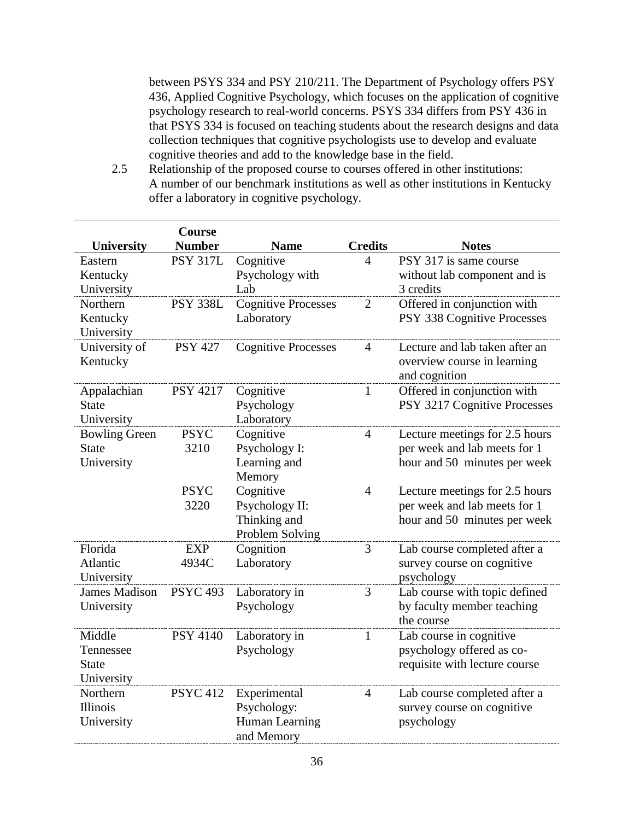between PSYS 334 and PSY 210/211. The Department of Psychology offers PSY 436, Applied Cognitive Psychology, which focuses on the application of cognitive psychology research to real-world concerns. PSYS 334 differs from PSY 436 in that PSYS 334 is focused on teaching students about the research designs and data collection techniques that cognitive psychologists use to develop and evaluate cognitive theories and add to the knowledge base in the field.

2.5 Relationship of the proposed course to courses offered in other institutions: A number of our benchmark institutions as well as other institutions in Kentucky offer a laboratory in cognitive psychology.

|                      | Course          |                            |                |                                |
|----------------------|-----------------|----------------------------|----------------|--------------------------------|
| <b>University</b>    | <b>Number</b>   | <b>Name</b>                | <b>Credits</b> | <b>Notes</b>                   |
| Eastern              | <b>PSY 317L</b> | Cognitive                  | $\overline{4}$ | PSY 317 is same course         |
| Kentucky             |                 | Psychology with            |                | without lab component and is   |
| University           |                 | Lab                        |                | 3 credits                      |
| Northern             | <b>PSY 338L</b> | <b>Cognitive Processes</b> | $\overline{2}$ | Offered in conjunction with    |
| Kentucky             |                 | Laboratory                 |                | PSY 338 Cognitive Processes    |
| University           |                 |                            |                |                                |
| University of        | <b>PSY 427</b>  | <b>Cognitive Processes</b> | $\overline{4}$ | Lecture and lab taken after an |
| Kentucky             |                 |                            |                | overview course in learning    |
|                      |                 |                            |                | and cognition                  |
| Appalachian          | <b>PSY 4217</b> | Cognitive                  | 1              | Offered in conjunction with    |
| <b>State</b>         |                 | Psychology                 |                | PSY 3217 Cognitive Processes   |
| University           |                 | Laboratory                 |                |                                |
| <b>Bowling Green</b> | <b>PSYC</b>     | Cognitive                  | $\overline{4}$ | Lecture meetings for 2.5 hours |
| <b>State</b>         | 3210            | Psychology I:              |                | per week and lab meets for 1   |
| University           |                 | Learning and               |                | hour and 50 minutes per week   |
|                      |                 | Memory                     |                |                                |
|                      | <b>PSYC</b>     | Cognitive                  | $\overline{4}$ | Lecture meetings for 2.5 hours |
|                      | 3220            | Psychology II:             |                | per week and lab meets for 1   |
|                      |                 | Thinking and               |                | hour and 50 minutes per week   |
|                      |                 | Problem Solving            |                |                                |
| Florida              | <b>EXP</b>      | Cognition                  | 3              | Lab course completed after a   |
| Atlantic             | 4934C           | Laboratory                 |                | survey course on cognitive     |
| University           |                 |                            |                | psychology                     |
| <b>James Madison</b> | <b>PSYC 493</b> | Laboratory in              | 3              | Lab course with topic defined  |
| University           |                 | Psychology                 |                | by faculty member teaching     |
|                      |                 |                            |                | the course                     |
| Middle               | <b>PSY 4140</b> | Laboratory in              | 1              | Lab course in cognitive        |
| Tennessee            |                 | Psychology                 |                | psychology offered as co-      |
| <b>State</b>         |                 |                            |                | requisite with lecture course  |
| University           |                 |                            |                |                                |
| Northern             | <b>PSYC 412</b> | Experimental               | $\overline{4}$ | Lab course completed after a   |
| <b>Illinois</b>      |                 | Psychology:                |                | survey course on cognitive     |
| University           |                 | Human Learning             |                | psychology                     |
|                      |                 | and Memory                 |                |                                |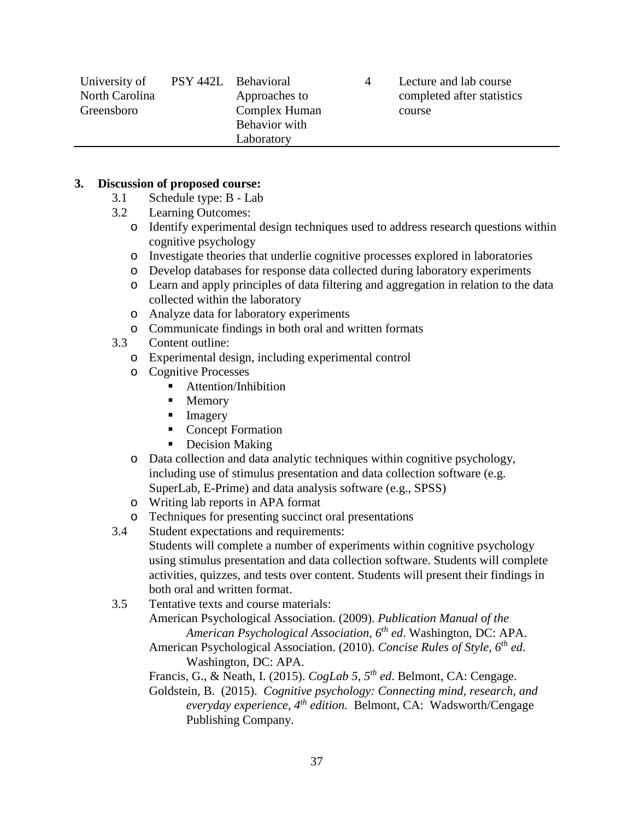| University of  | PSY 442L Behavioral |               | Lecture and lab course     |
|----------------|---------------------|---------------|----------------------------|
| North Carolina |                     | Approaches to | completed after statistics |
| Greensboro     |                     | Complex Human | course                     |
|                |                     | Behavior with |                            |
|                |                     | Laboratory    |                            |

#### **3. Discussion of proposed course:**

- 3.1 Schedule type: B Lab
- 3.2 Learning Outcomes:
	- o Identify experimental design techniques used to address research questions within cognitive psychology
	- o Investigate theories that underlie cognitive processes explored in laboratories
	- o Develop databases for response data collected during laboratory experiments
	- o Learn and apply principles of data filtering and aggregation in relation to the data collected within the laboratory
	- o Analyze data for laboratory experiments
- o Communicate findings in both oral and written formats
- Content outline:
	- o Experimental design, including experimental control
	- o Cognitive Processes
		- Attention/Inhibition
		- Memory
		- **Imagery**
		- Concept Formation
		- Decision Making
	- o Data collection and data analytic techniques within cognitive psychology, including use of stimulus presentation and data collection software (e.g. SuperLab, E-Prime) and data analysis software (e.g., SPSS)
	- o Writing lab reports in APA format
- o Techniques for presenting succinct oral presentations<br>3.4 Student expectations and requirements:
- Student expectations and requirements:

Students will complete a number of experiments within cognitive psychology using stimulus presentation and data collection software. Students will complete activities, quizzes, and tests over content. Students will present their findings in both oral and written format.

- 3.5 Tentative texts and course materials: American Psychological Association. (2009). *Publication Manual of the American Psychological Association, 6th ed*. Washington, DC: APA. American Psychological Association. (2010). *Concise Rules of Style, 6th ed*.
	- Washington, DC: APA.

Francis, G., & Neath, I. (2015). *CogLab 5, 5th ed*. Belmont, CA: Cengage.

Goldstein, B. (2015). *Cognitive psychology: Connecting mind, research, and everyday experience, 4th edition.* Belmont, CA: Wadsworth/Cengage Publishing Company.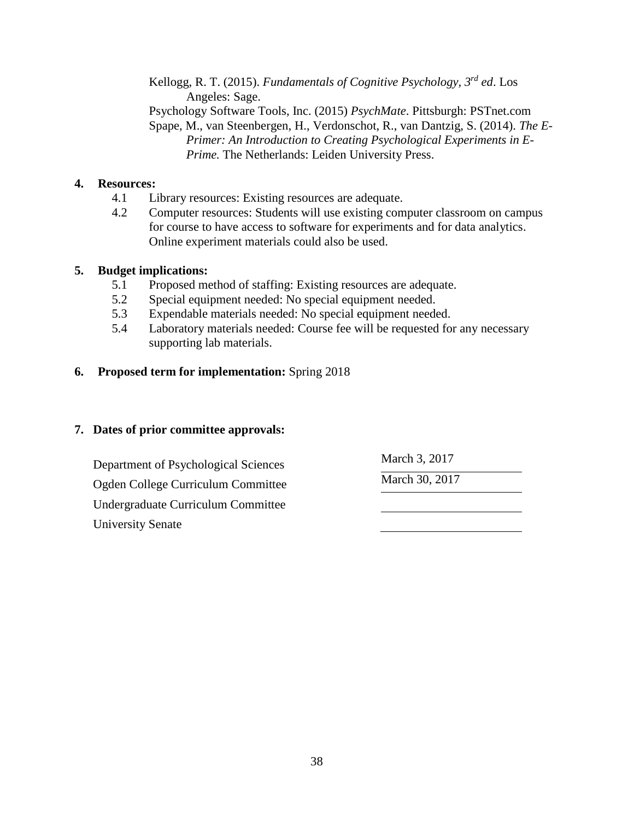Kellogg, R. T. (2015). *Fundamentals of Cognitive Psychology, 3rd ed*. Los Angeles: Sage. Psychology Software Tools, Inc. (2015) *PsychMate*. Pittsburgh: PSTnet.com Spape, M., van Steenbergen, H., Verdonschot, R., van Dantzig, S. (2014). *The E-Primer: An Introduction to Creating Psychological Experiments in E-Prime.* The Netherlands: Leiden University Press.

## **4. Resources:**

- 4.1 Library resources: Existing resources are adequate.
- 4.2 Computer resources: Students will use existing computer classroom on campus for course to have access to software for experiments and for data analytics. Online experiment materials could also be used.

## **5. Budget implications:**

- 5.1 Proposed method of staffing: Existing resources are adequate.
- 5.2 Special equipment needed: No special equipment needed.
- 5.3 Expendable materials needed: No special equipment needed.
- 5.4 Laboratory materials needed: Course fee will be requested for any necessary supporting lab materials.

## **6. Proposed term for implementation:** Spring 2018

| Department of Psychological Sciences | March 3, 2017  |  |
|--------------------------------------|----------------|--|
| Ogden College Curriculum Committee   | March 30, 2017 |  |
| Undergraduate Curriculum Committee   |                |  |
| <b>University Senate</b>             |                |  |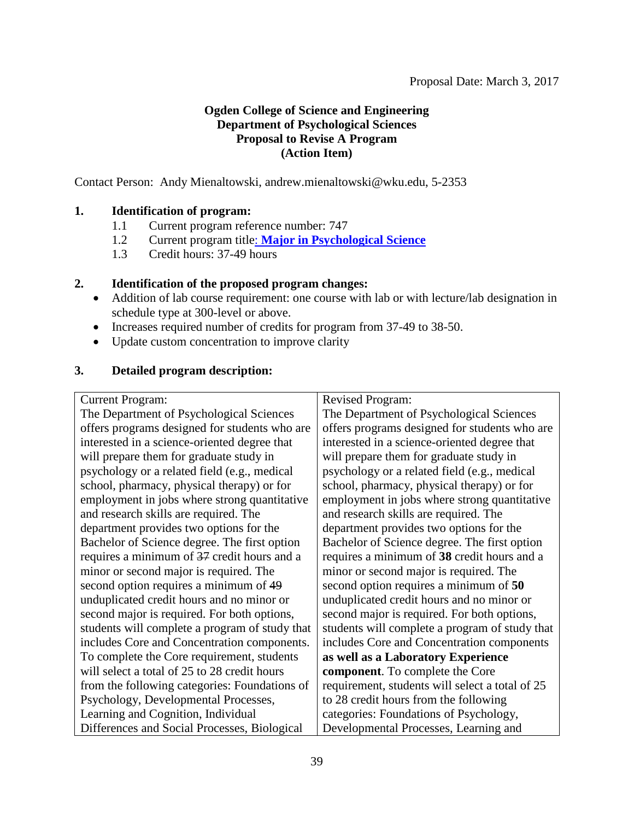## **Ogden College of Science and Engineering Department of Psychological Sciences Proposal to Revise A Program (Action Item)**

Contact Person: Andy Mienaltowski, andrew.mienaltowski@wku.edu, 5-2353

## **1. Identification of program:**

- 1.1 Current program reference number: 747
- 1.2 Current program title: **[Major in Psychological Science](#page-1-0)**
- 1.3 Credit hours: 37-49 hours

## **2. Identification of the proposed program changes:**

- Addition of lab course requirement: one course with lab or with lecture/lab designation in schedule type at 300-level or above.
- Increases required number of credits for program from 37-49 to 38-50.
- Update custom concentration to improve clarity

## **3. Detailed program description:**

Current Program:

The Department of Psychological Sciences offers programs designed for students who are interested in a science-oriented degree that will prepare them for graduate study in psychology or a related field (e.g., medical school, pharmacy, physical therapy) or for employment in jobs where strong quantitative and research skills are required. The department provides two options for the Bachelor of Science degree. The first option requires a minimum of 37 credit hours and a minor or second major is required. The second option requires a minimum of 49 unduplicated credit hours and no minor or second major is required. For both options, students will complete a program of study that includes Core and Concentration components. To complete the Core requirement, students will select a total of 25 to 28 credit hours from the following categories: Foundations of Psychology, Developmental Processes, Learning and Cognition, Individual Differences and Social Processes, Biological

Revised Program:

The Department of Psychological Sciences offers programs designed for students who are interested in a science-oriented degree that will prepare them for graduate study in psychology or a related field (e.g., medical school, pharmacy, physical therapy) or for employment in jobs where strong quantitative and research skills are required. The department provides two options for the Bachelor of Science degree. The first option requires a minimum of **38** credit hours and a minor or second major is required. The second option requires a minimum of **50** unduplicated credit hours and no minor or second major is required. For both options, students will complete a program of study that includes Core and Concentration components **as well as a Laboratory Experience component**. To complete the Core requirement, students will select a total of 25 to 28 credit hours from the following categories: Foundations of Psychology, Developmental Processes, Learning and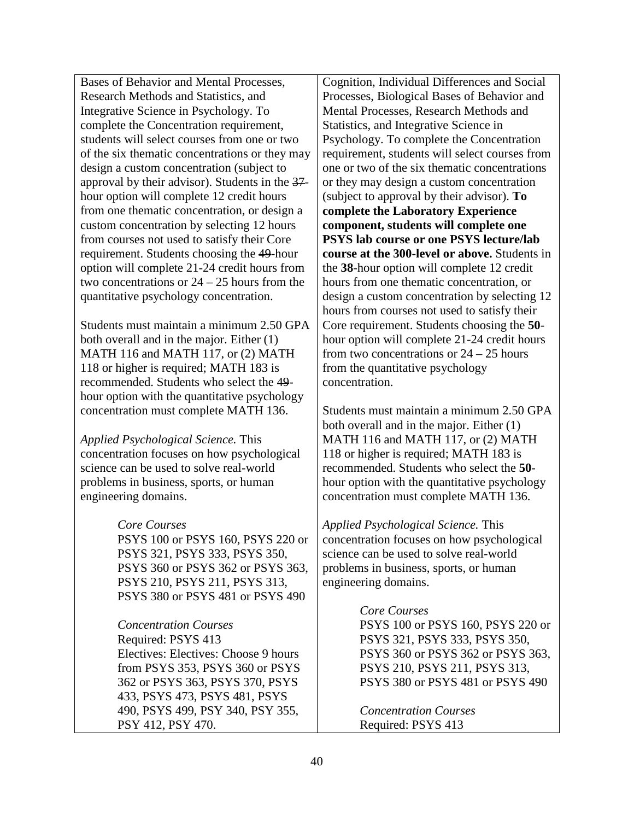Bases of Behavior and Mental Processes, Research Methods and Statistics, and Integrative Science in Psychology. To complete the Concentration requirement, students will select courses from one or two of the six thematic concentrations or they may design a custom concentration (subject to approval by their advisor). Students in the 37 hour option will complete 12 credit hours from one thematic concentration, or design a custom concentration by selecting 12 hours from courses not used to satisfy their Core requirement. Students choosing the 49-hour option will complete 21-24 credit hours from two concentrations or 24 – 25 hours from the quantitative psychology concentration.

Students must maintain a minimum 2.50 GPA both overall and in the major. Either (1) MATH 116 and MATH 117, or (2) MATH 118 or higher is required; MATH 183 is recommended. Students who select the 49 hour option with the quantitative psychology concentration must complete MATH 136.

*Applied Psychological Science.* This concentration focuses on how psychological science can be used to solve real-world problems in business, sports, or human engineering domains.

## *Core Courses*

PSYS 100 or PSYS 160, PSYS 220 or PSYS 321, PSYS 333, PSYS 350, PSYS 360 or PSYS 362 or PSYS 363, PSYS 210, PSYS 211, PSYS 313, PSYS 380 or PSYS 481 or PSYS 490

*Concentration Courses* Required: PSYS 413 Electives: Electives: Choose 9 hours from PSYS 353, PSYS 360 or PSYS 362 or PSYS 363, PSYS 370, PSYS 433, PSYS 473, PSYS 481, PSYS 490, PSYS 499, PSY 340, PSY 355, PSY 412, PSY 470.

Cognition, Individual Differences and Social Processes, Biological Bases of Behavior and Mental Processes, Research Methods and Statistics, and Integrative Science in Psychology. To complete the Concentration requirement, students will select courses from one or two of the six thematic concentrations or they may design a custom concentration (subject to approval by their advisor). **To complete the Laboratory Experience component, students will complete one PSYS lab course or one PSYS lecture/lab course at the 300-level or above.** Students in the **38**-hour option will complete 12 credit hours from one thematic concentration, or design a custom concentration by selecting 12 hours from courses not used to satisfy their Core requirement. Students choosing the **50** hour option will complete 21-24 credit hours from two concentrations or 24 – 25 hours from the quantitative psychology concentration.

Students must maintain a minimum 2.50 GPA both overall and in the major. Either (1) MATH 116 and MATH 117, or (2) MATH 118 or higher is required; MATH 183 is recommended. Students who select the **50** hour option with the quantitative psychology concentration must complete MATH 136.

*Applied Psychological Science.* This concentration focuses on how psychological science can be used to solve real-world problems in business, sports, or human engineering domains.

## *Core Courses*

PSYS 100 or PSYS 160, PSYS 220 or PSYS 321, PSYS 333, PSYS 350, PSYS 360 or PSYS 362 or PSYS 363, PSYS 210, PSYS 211, PSYS 313, PSYS 380 or PSYS 481 or PSYS 490

*Concentration Courses* Required: PSYS 413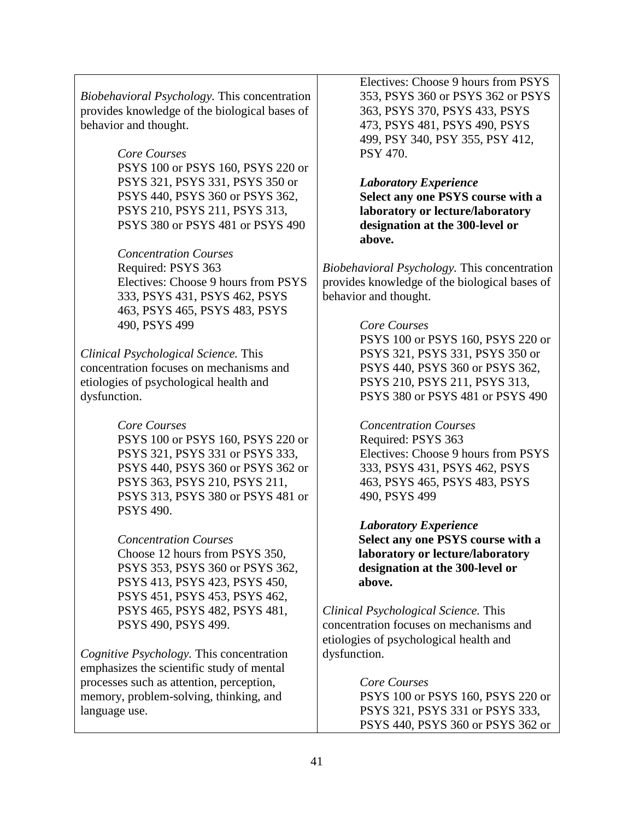*Biobehavioral Psychology.* This concentration provides knowledge of the biological bases of behavior and thought.

## *Core Courses*

PSYS 100 or PSYS 160, PSYS 220 or PSYS 321, PSYS 331, PSYS 350 or PSYS 440, PSYS 360 or PSYS 362, PSYS 210, PSYS 211, PSYS 313, PSYS 380 or PSYS 481 or PSYS 490

*Concentration Courses* Required: PSYS 363 Electives: Choose 9 hours from PSYS 333, PSYS 431, PSYS 462, PSYS 463, PSYS 465, PSYS 483, PSYS 490, PSYS 499

*Clinical Psychological Science.* This concentration focuses on mechanisms and etiologies of psychological health and dysfunction.

> *Core Courses* PSYS 100 or PSYS 160, PSYS 220 or PSYS 321, PSYS 331 or PSYS 333, PSYS 440, PSYS 360 or PSYS 362 or PSYS 363, PSYS 210, PSYS 211, PSYS 313, PSYS 380 or PSYS 481 or PSYS 490.

*Concentration Courses*

Choose 12 hours from PSYS 350, PSYS 353, PSYS 360 or PSYS 362, PSYS 413, PSYS 423, PSYS 450, PSYS 451, PSYS 453, PSYS 462, PSYS 465, PSYS 482, PSYS 481, PSYS 490, PSYS 499.

*Cognitive Psychology.* This concentration emphasizes the scientific study of mental processes such as attention, perception, memory, problem-solving, thinking, and language use.

Electives: Choose 9 hours from PSYS 353, PSYS 360 or PSYS 362 or PSYS 363, PSYS 370, PSYS 433, PSYS 473, PSYS 481, PSYS 490, PSYS 499, PSY 340, PSY 355, PSY 412, PSY 470.

*Laboratory Experience* **Select any one PSYS course with a laboratory or lecture/laboratory designation at the 300-level or above.**

*Biobehavioral Psychology.* This concentration provides knowledge of the biological bases of behavior and thought.

## *Core Courses*

PSYS 100 or PSYS 160, PSYS 220 or PSYS 321, PSYS 331, PSYS 350 or PSYS 440, PSYS 360 or PSYS 362, PSYS 210, PSYS 211, PSYS 313, PSYS 380 or PSYS 481 or PSYS 490

*Concentration Courses* Required: PSYS 363 Electives: Choose 9 hours from PSYS 333, PSYS 431, PSYS 462, PSYS 463, PSYS 465, PSYS 483, PSYS 490, PSYS 499

*Laboratory Experience* **Select any one PSYS course with a laboratory or lecture/laboratory designation at the 300-level or above.**

*Clinical Psychological Science.* This concentration focuses on mechanisms and etiologies of psychological health and dysfunction.

> *Core Courses* PSYS 100 or PSYS 160, PSYS 220 or PSYS 321, PSYS 331 or PSYS 333, PSYS 440, PSYS 360 or PSYS 362 or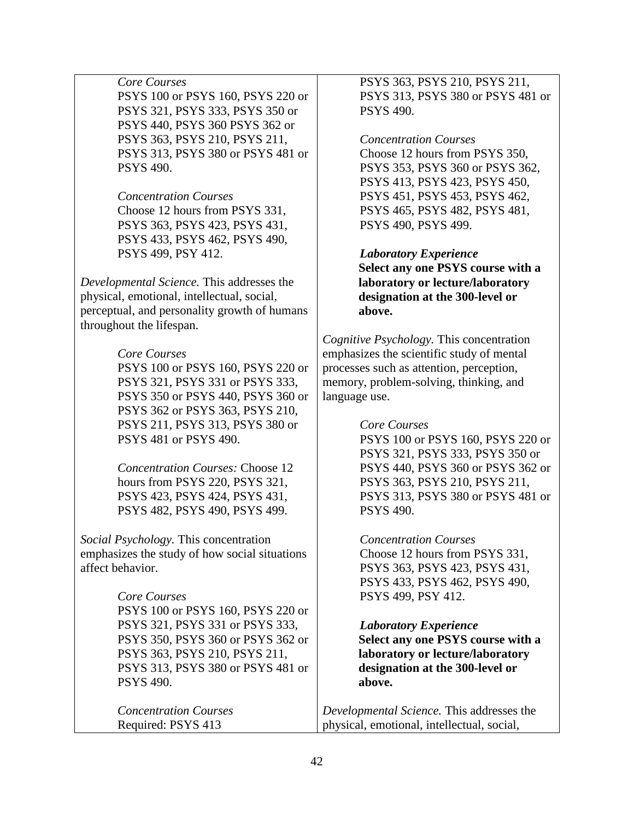## *Core Courses*

PSYS 100 or PSYS 160, PSYS 220 or PSYS 321, PSYS 333, PSYS 350 or PSYS 440, PSYS 360 PSYS 362 or PSYS 363, PSYS 210, PSYS 211, PSYS 313, PSYS 380 or PSYS 481 or PSYS 490.

#### *Concentration Courses*

Choose 12 hours from PSYS 331, PSYS 363, PSYS 423, PSYS 431, PSYS 433, PSYS 462, PSYS 490, PSYS 499, PSY 412.

*Developmental Science.* This addresses the physical, emotional, intellectual, social, perceptual, and personality growth of humans throughout the lifespan.

## *Core Courses*

PSYS 100 or PSYS 160, PSYS 220 or PSYS 321, PSYS 331 or PSYS 333, PSYS 350 or PSYS 440, PSYS 360 or PSYS 362 or PSYS 363, PSYS 210, PSYS 211, PSYS 313, PSYS 380 or PSYS 481 or PSYS 490.

*Concentration Courses:* Choose 12 hours from PSYS 220, PSYS 321, PSYS 423, PSYS 424, PSYS 431, PSYS 482, PSYS 490, PSYS 499.

*Social Psychology.* This concentration emphasizes the study of how social situations affect behavior.

#### *Core Courses*

PSYS 100 or PSYS 160, PSYS 220 or PSYS 321, PSYS 331 or PSYS 333, PSYS 350, PSYS 360 or PSYS 362 or PSYS 363, PSYS 210, PSYS 211, PSYS 313, PSYS 380 or PSYS 481 or PSYS 490.

*Concentration Courses* Required: PSYS 413

PSYS 363, PSYS 210, PSYS 211, PSYS 313, PSYS 380 or PSYS 481 or PSYS 490.

#### *Concentration Courses*

Choose 12 hours from PSYS 350, PSYS 353, PSYS 360 or PSYS 362, PSYS 413, PSYS 423, PSYS 450, PSYS 451, PSYS 453, PSYS 462, PSYS 465, PSYS 482, PSYS 481, PSYS 490, PSYS 499.

## *Laboratory Experience*

**Select any one PSYS course with a laboratory or lecture/laboratory designation at the 300-level or above.** 

*Cognitive Psychology.* This concentration emphasizes the scientific study of mental processes such as attention, perception, memory, problem-solving, thinking, and language use.

#### *Core Courses*

PSYS 100 or PSYS 160, PSYS 220 or PSYS 321, PSYS 333, PSYS 350 or PSYS 440, PSYS 360 or PSYS 362 or PSYS 363, PSYS 210, PSYS 211, PSYS 313, PSYS 380 or PSYS 481 or PSYS 490.

#### *Concentration Courses*

Choose 12 hours from PSYS 331, PSYS 363, PSYS 423, PSYS 431, PSYS 433, PSYS 462, PSYS 490, PSYS 499, PSY 412.

#### *Laboratory Experience*

**Select any one PSYS course with a laboratory or lecture/laboratory designation at the 300-level or above.**

*Developmental Science.* This addresses the physical, emotional, intellectual, social,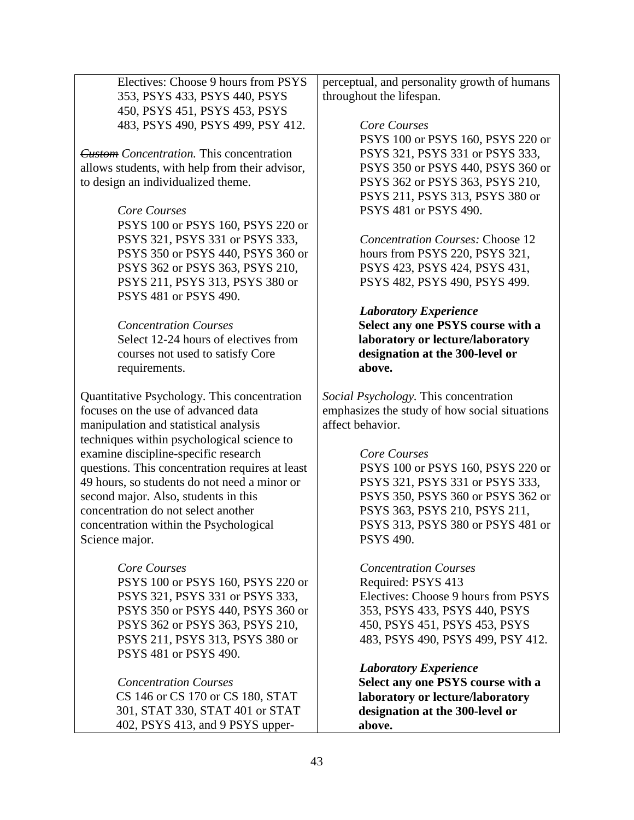Electives: Choose 9 hours from PSYS 353, PSYS 433, PSYS 440, PSYS 450, PSYS 451, PSYS 453, PSYS 483, PSYS 490, PSYS 499, PSY 412.

*Custom Concentration.* This concentration allows students, with help from their advisor, to design an individualized theme.

#### *Core Courses*

PSYS 100 or PSYS 160, PSYS 220 or PSYS 321, PSYS 331 or PSYS 333, PSYS 350 or PSYS 440, PSYS 360 or PSYS 362 or PSYS 363, PSYS 210, PSYS 211, PSYS 313, PSYS 380 or PSYS 481 or PSYS 490.

## *Concentration Courses*

Select 12-24 hours of electives from courses not used to satisfy Core requirements.

Quantitative Psychology. This concentration focuses on the use of advanced data manipulation and statistical analysis techniques within psychological science to examine discipline-specific research questions. This concentration requires at least 49 hours, so students do not need a minor or second major. Also, students in this concentration do not select another concentration within the Psychological Science major.

## *Core Courses*

PSYS 100 or PSYS 160, PSYS 220 or PSYS 321, PSYS 331 or PSYS 333, PSYS 350 or PSYS 440, PSYS 360 or PSYS 362 or PSYS 363, PSYS 210, PSYS 211, PSYS 313, PSYS 380 or PSYS 481 or PSYS 490.

#### *Concentration Courses*  CS 146 or CS 170 or CS 180, STAT

301, STAT 330, STAT 401 or STAT 402, PSYS 413, and 9 PSYS upper-

perceptual, and personality growth of humans throughout the lifespan.

#### *Core Courses*

PSYS 100 or PSYS 160, PSYS 220 or PSYS 321, PSYS 331 or PSYS 333, PSYS 350 or PSYS 440, PSYS 360 or PSYS 362 or PSYS 363, PSYS 210, PSYS 211, PSYS 313, PSYS 380 or PSYS 481 or PSYS 490.

*Concentration Courses:* Choose 12 hours from PSYS 220, PSYS 321, PSYS 423, PSYS 424, PSYS 431, PSYS 482, PSYS 490, PSYS 499.

#### *Laboratory Experience* **Select any one PSYS course with a laboratory or lecture/laboratory designation at the 300-level or above.**

*Social Psychology.* This concentration emphasizes the study of how social situations affect behavior.

## *Core Courses*

PSYS 100 or PSYS 160, PSYS 220 or PSYS 321, PSYS 331 or PSYS 333, PSYS 350, PSYS 360 or PSYS 362 or PSYS 363, PSYS 210, PSYS 211, PSYS 313, PSYS 380 or PSYS 481 or PSYS 490.

## *Concentration Courses*

Required: PSYS 413 Electives: Choose 9 hours from PSYS 353, PSYS 433, PSYS 440, PSYS 450, PSYS 451, PSYS 453, PSYS 483, PSYS 490, PSYS 499, PSY 412.

## *Laboratory Experience*

**Select any one PSYS course with a laboratory or lecture/laboratory designation at the 300-level or above.**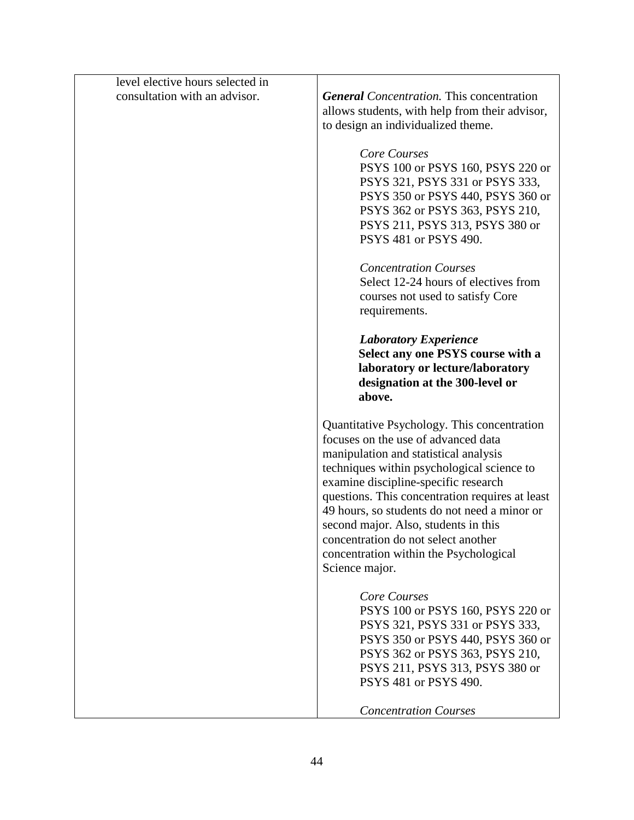| level elective hours selected in |                                                                                                                                                                                                                                                                                                                                                                                                                                                                 |
|----------------------------------|-----------------------------------------------------------------------------------------------------------------------------------------------------------------------------------------------------------------------------------------------------------------------------------------------------------------------------------------------------------------------------------------------------------------------------------------------------------------|
| consultation with an advisor.    | <b>General</b> Concentration. This concentration<br>allows students, with help from their advisor,<br>to design an individualized theme.                                                                                                                                                                                                                                                                                                                        |
|                                  | Core Courses<br>PSYS 100 or PSYS 160, PSYS 220 or<br>PSYS 321, PSYS 331 or PSYS 333,<br>PSYS 350 or PSYS 440, PSYS 360 or<br>PSYS 362 or PSYS 363, PSYS 210,<br>PSYS 211, PSYS 313, PSYS 380 or<br>PSYS 481 or PSYS 490.                                                                                                                                                                                                                                        |
|                                  | <b>Concentration Courses</b><br>Select 12-24 hours of electives from<br>courses not used to satisfy Core<br>requirements.                                                                                                                                                                                                                                                                                                                                       |
|                                  | <b>Laboratory Experience</b><br>Select any one PSYS course with a<br>laboratory or lecture/laboratory<br>designation at the 300-level or<br>above.                                                                                                                                                                                                                                                                                                              |
|                                  | Quantitative Psychology. This concentration<br>focuses on the use of advanced data<br>manipulation and statistical analysis<br>techniques within psychological science to<br>examine discipline-specific research<br>questions. This concentration requires at least<br>49 hours, so students do not need a minor or<br>second major. Also, students in this<br>concentration do not select another<br>concentration within the Psychological<br>Science major. |
|                                  | Core Courses<br>PSYS 100 or PSYS 160, PSYS 220 or<br>PSYS 321, PSYS 331 or PSYS 333,<br>PSYS 350 or PSYS 440, PSYS 360 or<br>PSYS 362 or PSYS 363, PSYS 210,<br>PSYS 211, PSYS 313, PSYS 380 or<br>PSYS 481 or PSYS 490.                                                                                                                                                                                                                                        |
|                                  | <b>Concentration Courses</b>                                                                                                                                                                                                                                                                                                                                                                                                                                    |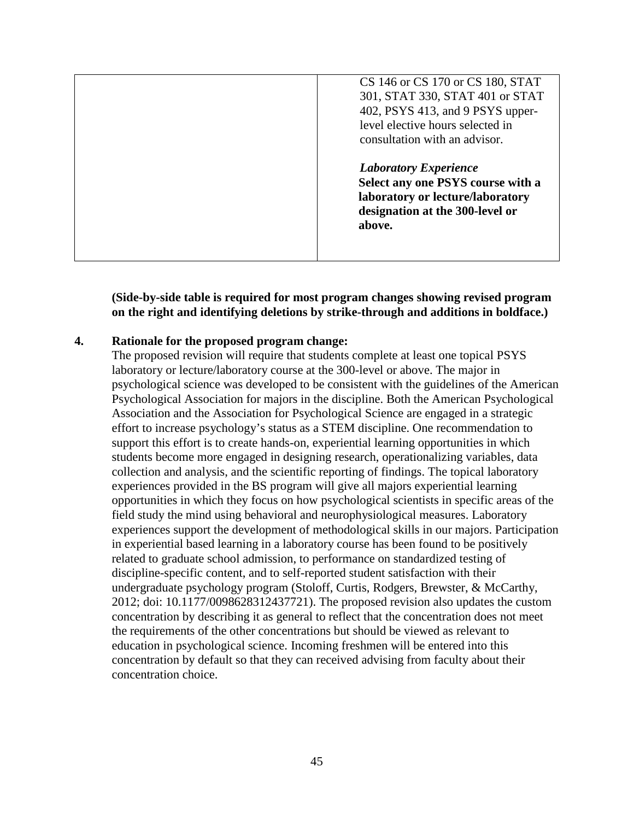| CS 146 or CS 170 or CS 180, STAT<br>301, STAT 330, STAT 401 or STAT<br>402, PSYS 413, and 9 PSYS upper-<br>level elective hours selected in<br>consultation with an advisor. |
|------------------------------------------------------------------------------------------------------------------------------------------------------------------------------|
| <b>Laboratory Experience</b><br>Select any one PSYS course with a<br>laboratory or lecture/laboratory<br>designation at the 300-level or<br>above.                           |

**(Side-by-side table is required for most program changes showing revised program on the right and identifying deletions by strike-through and additions in boldface.)**

#### **4. Rationale for the proposed program change:**

The proposed revision will require that students complete at least one topical PSYS laboratory or lecture/laboratory course at the 300-level or above. The major in psychological science was developed to be consistent with the guidelines of the American Psychological Association for majors in the discipline. Both the American Psychological Association and the Association for Psychological Science are engaged in a strategic effort to increase psychology's status as a STEM discipline. One recommendation to support this effort is to create hands-on, experiential learning opportunities in which students become more engaged in designing research, operationalizing variables, data collection and analysis, and the scientific reporting of findings. The topical laboratory experiences provided in the BS program will give all majors experiential learning opportunities in which they focus on how psychological scientists in specific areas of the field study the mind using behavioral and neurophysiological measures. Laboratory experiences support the development of methodological skills in our majors. Participation in experiential based learning in a laboratory course has been found to be positively related to graduate school admission, to performance on standardized testing of discipline-specific content, and to self-reported student satisfaction with their undergraduate psychology program (Stoloff, Curtis, Rodgers, Brewster, & McCarthy, 2012; doi: 10.1177/0098628312437721). The proposed revision also updates the custom concentration by describing it as general to reflect that the concentration does not meet the requirements of the other concentrations but should be viewed as relevant to education in psychological science. Incoming freshmen will be entered into this concentration by default so that they can received advising from faculty about their concentration choice.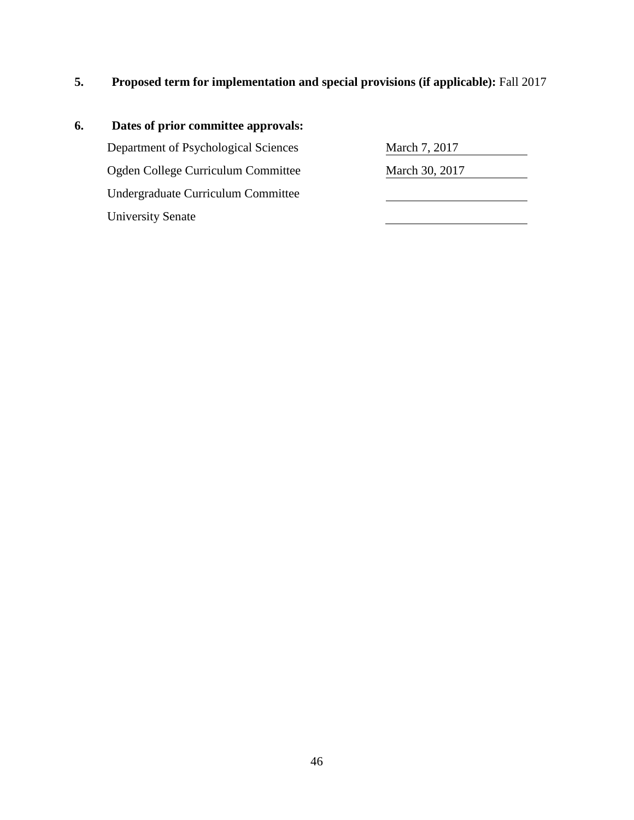**5. Proposed term for implementation and special provisions (if applicable):** Fall 2017

# **6. Dates of prior committee approvals:** Department of Psychological Sciences March 7, 2017 Ogden College Curriculum Committee March 30, 2017 Undergraduate Curriculum Committee University Senate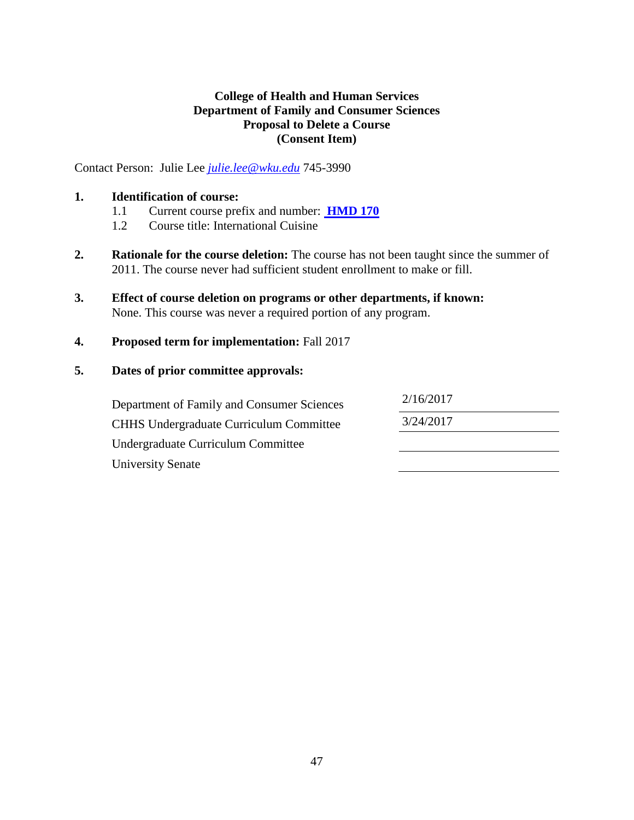## **College of Health and Human Services Department of Family and Consumer Sciences Proposal to Delete a Course (Consent Item)**

Contact Person: Julie Lee *[julie.lee@wku.edu](mailto:julie.lee@wku.edu)* 745-3990

## **1. Identification of course:**

- 1.1 Current course prefix and number: **[HMD 170](#page-1-0)**
- 1.2 Course title: International Cuisine
- **2. Rationale for the course deletion:** The course has not been taught since the summer of 2011. The course never had sufficient student enrollment to make or fill.
- **3. Effect of course deletion on programs or other departments, if known:** None. This course was never a required portion of any program.
- **4. Proposed term for implementation:** Fall 2017

## **5. Dates of prior committee approvals:**

Department of Family and Consumer Sciences 2/16/2017 CHHS Undergraduate Curriculum Committee 3/24/2017 Undergraduate Curriculum Committee University Senate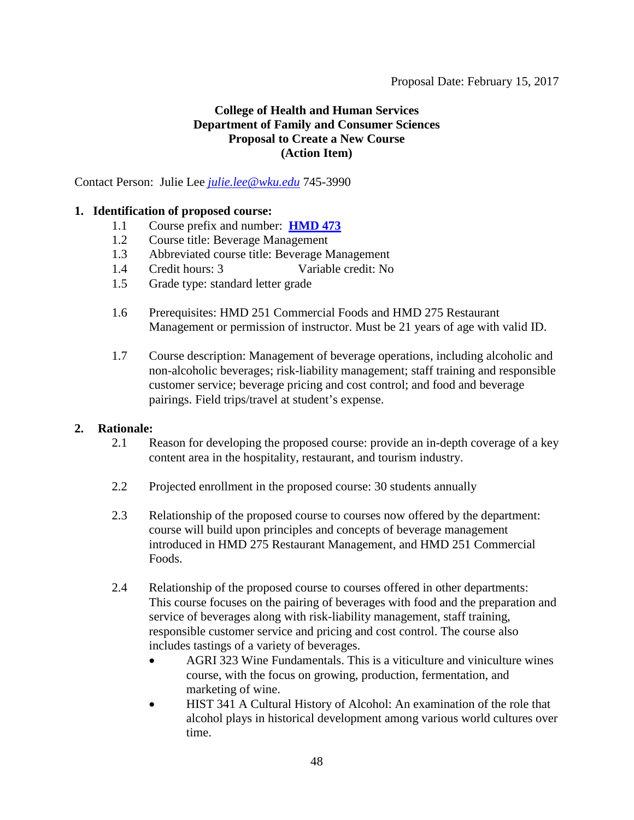## **College of Health and Human Services Department of Family and Consumer Sciences Proposal to Create a New Course (Action Item)**

Contact Person: Julie Lee *[julie.lee@wku.edu](mailto:julie.lee@wku.edu)* 745-3990

## **1. Identification of proposed course:**

- 1.1 Course prefix and number: **[HMD 473](#page-1-0)**
- 1.2 Course title: Beverage Management
- 1.3 Abbreviated course title: Beverage Management
- 1.4 Credit hours: 3 Variable credit: No
- 1.5 Grade type: standard letter grade
- 1.6 Prerequisites: HMD 251 Commercial Foods and HMD 275 Restaurant Management or permission of instructor. Must be 21 years of age with valid ID.
- 1.7 Course description: Management of beverage operations, including alcoholic and non-alcoholic beverages; risk-liability management; staff training and responsible customer service; beverage pricing and cost control; and food and beverage pairings. Field trips/travel at student's expense.

## **2. Rationale:**

- 2.1 Reason for developing the proposed course: provide an in-depth coverage of a key content area in the hospitality, restaurant, and tourism industry.
- 2.2 Projected enrollment in the proposed course: 30 students annually
- 2.3 Relationship of the proposed course to courses now offered by the department: course will build upon principles and concepts of beverage management introduced in HMD 275 Restaurant Management, and HMD 251 Commercial Foods.
- 2.4 Relationship of the proposed course to courses offered in other departments: This course focuses on the pairing of beverages with food and the preparation and service of beverages along with risk-liability management, staff training, responsible customer service and pricing and cost control. The course also includes tastings of a variety of beverages.
	- AGRI 323 Wine Fundamentals. This is a viticulture and viniculture wines course, with the focus on growing, production, fermentation, and marketing of wine.
	- HIST 341 A Cultural History of Alcohol: An examination of the role that alcohol plays in historical development among various world cultures over time.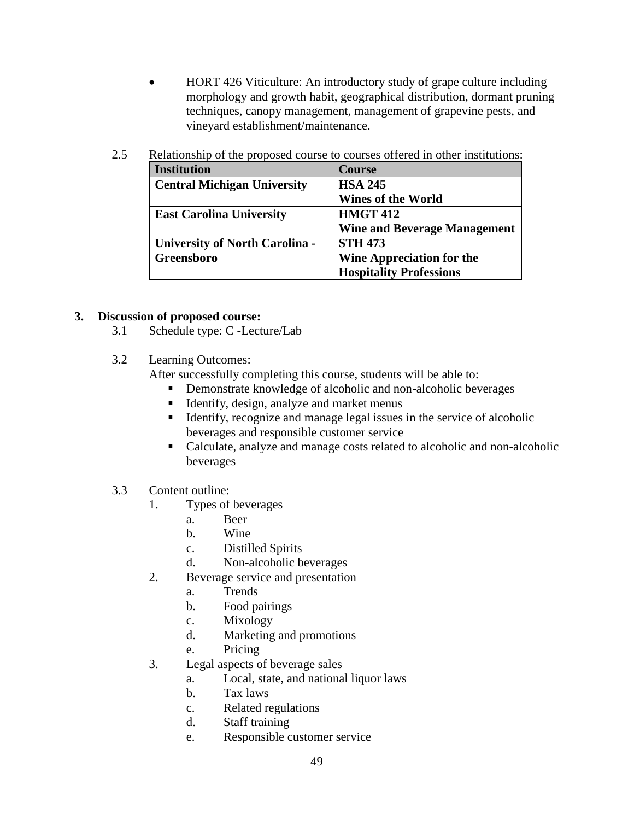• HORT 426 Viticulture: An introductory study of grape culture including morphology and growth habit, geographical distribution, dormant pruning techniques, canopy management, management of grapevine pests, and vineyard establishment/maintenance.

| <b>Institution</b>                    | <b>Course</b>                       |
|---------------------------------------|-------------------------------------|
| <b>Central Michigan University</b>    | <b>HSA 245</b>                      |
|                                       | <b>Wines of the World</b>           |
| <b>East Carolina University</b>       | <b>HMGT 412</b>                     |
|                                       | <b>Wine and Beverage Management</b> |
| <b>University of North Carolina -</b> | <b>STH 473</b>                      |
| Greensboro                            | Wine Appreciation for the           |
|                                       | <b>Hospitality Professions</b>      |

2.5 Relationship of the proposed course to courses offered in other institutions:

## **3. Discussion of proposed course:**

- 3.1 Schedule type: C -Lecture/Lab
- 3.2 Learning Outcomes:
	- After successfully completing this course, students will be able to:
		- **•** Demonstrate knowledge of alcoholic and non-alcoholic beverages
		- **IDENTIFY**, design, analyze and market menus
		- Identify, recognize and manage legal issues in the service of alcoholic beverages and responsible customer service
		- Calculate, analyze and manage costs related to alcoholic and non-alcoholic beverages
- 3.3 Content outline:
	- 1. Types of beverages
		- a. Beer
		- b. Wine
		- c. Distilled Spirits
		- d. Non-alcoholic beverages
	- 2. Beverage service and presentation
		- a. Trends
			- b. Food pairings
			- c. Mixology
			- d. Marketing and promotions
			- e. Pricing
	- 3. Legal aspects of beverage sales
		- a. Local, state, and national liquor laws
		- b. Tax laws
		- c. Related regulations
		- d. Staff training
		- e. Responsible customer service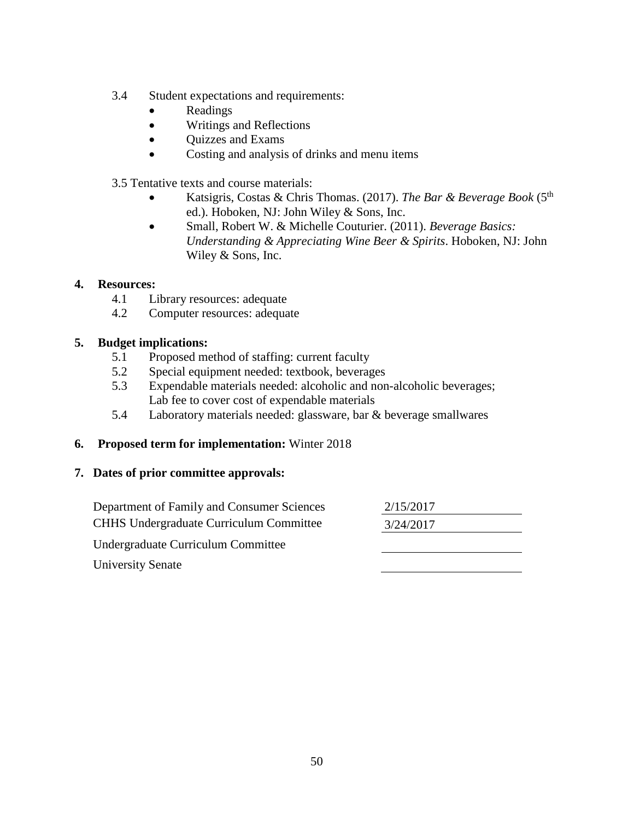- 3.4 Student expectations and requirements:
	- Readings
	- Writings and Reflections
	- Quizzes and Exams
	- Costing and analysis of drinks and menu items

3.5 Tentative texts and course materials:

- Katsigris, Costas & Chris Thomas. (2017). *The Bar & Beverage Book* (5th ed.). Hoboken, NJ: John Wiley & Sons, Inc.
- Small, Robert W. & Michelle Couturier. (2011). *Beverage Basics: Understanding & Appreciating Wine Beer & Spirits*. Hoboken, NJ: John Wiley & Sons, Inc.

## **4. Resources:**

- 4.1 Library resources: adequate
- 4.2 Computer resources: adequate

## **5. Budget implications:**

- 5.1 Proposed method of staffing: current faculty
- 5.2 Special equipment needed: textbook, beverages
- 5.3 Expendable materials needed: alcoholic and non-alcoholic beverages; Lab fee to cover cost of expendable materials
- 5.4 Laboratory materials needed: glassware, bar & beverage smallwares

## **6. Proposed term for implementation:** Winter 2018

| Department of Family and Consumer Sciences     | 2/15/2017 |  |
|------------------------------------------------|-----------|--|
| <b>CHHS Undergraduate Curriculum Committee</b> | 3/24/2017 |  |
| Undergraduate Curriculum Committee             |           |  |
| <b>University Senate</b>                       |           |  |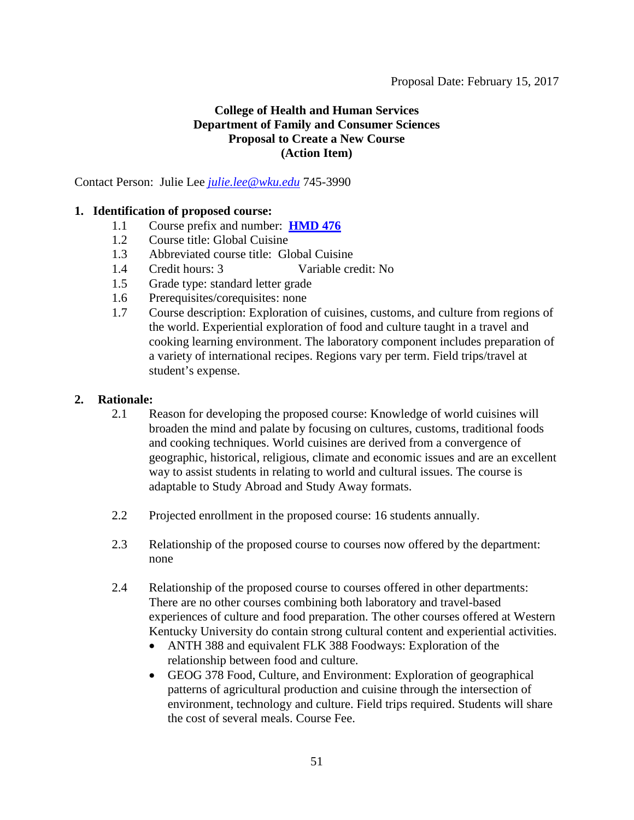## **College of Health and Human Services Department of Family and Consumer Sciences Proposal to Create a New Course (Action Item)**

Contact Person: Julie Lee *[julie.lee@wku.edu](mailto:julie.lee@wku.edu)* 745-3990

## **1. Identification of proposed course:**

- 1.1 Course prefix and number: **[HMD 476](#page-1-0)**
- 1.2 Course title: Global Cuisine
- 1.3 Abbreviated course title: Global Cuisine
- 1.4 Credit hours: 3 Variable credit: No
- 1.5 Grade type: standard letter grade
- 1.6 Prerequisites/corequisites: none
- 1.7 Course description: Exploration of cuisines, customs, and culture from regions of the world. Experiential exploration of food and culture taught in a travel and cooking learning environment. The laboratory component includes preparation of a variety of international recipes. Regions vary per term. Field trips/travel at student's expense.

## **2. Rationale:**

- 2.1 Reason for developing the proposed course: Knowledge of world cuisines will broaden the mind and palate by focusing on cultures, customs, traditional foods and cooking techniques. World cuisines are derived from a convergence of geographic, historical, religious, climate and economic issues and are an excellent way to assist students in relating to world and cultural issues. The course is adaptable to Study Abroad and Study Away formats.
- 2.2 Projected enrollment in the proposed course: 16 students annually.
- 2.3 Relationship of the proposed course to courses now offered by the department: none
- 2.4 Relationship of the proposed course to courses offered in other departments: There are no other courses combining both laboratory and travel-based experiences of culture and food preparation. The other courses offered at Western Kentucky University do contain strong cultural content and experiential activities.
	- ANTH 388 and equivalent FLK 388 Foodways: Exploration of the relationship between food and culture.
	- GEOG 378 Food, Culture, and Environment: Exploration of geographical patterns of agricultural production and cuisine through the intersection of environment, technology and culture. Field trips required. Students will share the cost of several meals. Course Fee.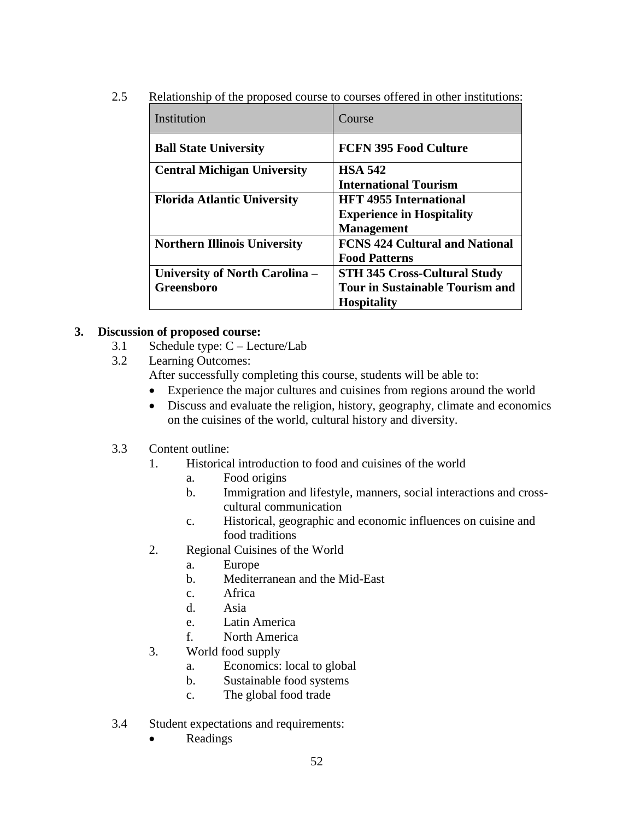2.5 Relationship of the proposed course to courses offered in other institutions:

| Institution                         | Course                                 |
|-------------------------------------|----------------------------------------|
| <b>Ball State University</b>        | <b>FCFN 395 Food Culture</b>           |
| <b>Central Michigan University</b>  | <b>HSA 542</b>                         |
|                                     | <b>International Tourism</b>           |
| <b>Florida Atlantic University</b>  | <b>HFT 4955 International</b>          |
|                                     | <b>Experience in Hospitality</b>       |
|                                     | <b>Management</b>                      |
| <b>Northern Illinois University</b> | <b>FCNS 424 Cultural and National</b>  |
|                                     | <b>Food Patterns</b>                   |
| University of North Carolina -      | <b>STH 345 Cross-Cultural Study</b>    |
| <b>Greensboro</b>                   | <b>Tour in Sustainable Tourism and</b> |
|                                     | <b>Hospitality</b>                     |

## **3. Discussion of proposed course:**

- 3.1 Schedule type: C Lecture/Lab
- 3.2 Learning Outcomes:

After successfully completing this course, students will be able to:

- Experience the major cultures and cuisines from regions around the world
- Discuss and evaluate the religion, history, geography, climate and economics on the cuisines of the world, cultural history and diversity.

## 3.3 Content outline:

- 1. Historical introduction to food and cuisines of the world
	- a. Food origins
	- b. Immigration and lifestyle, manners, social interactions and crosscultural communication
	- c. Historical, geographic and economic influences on cuisine and food traditions
- 2. Regional Cuisines of the World
	- a. Europe
	- b. Mediterranean and the Mid-East
	- c. Africa
	- d. Asia
	- e. Latin America
	- f. North America
- 3. World food supply
	- a. Economics: local to global
	- b. Sustainable food systems
	- c. The global food trade
- 3.4 Student expectations and requirements:
	- Readings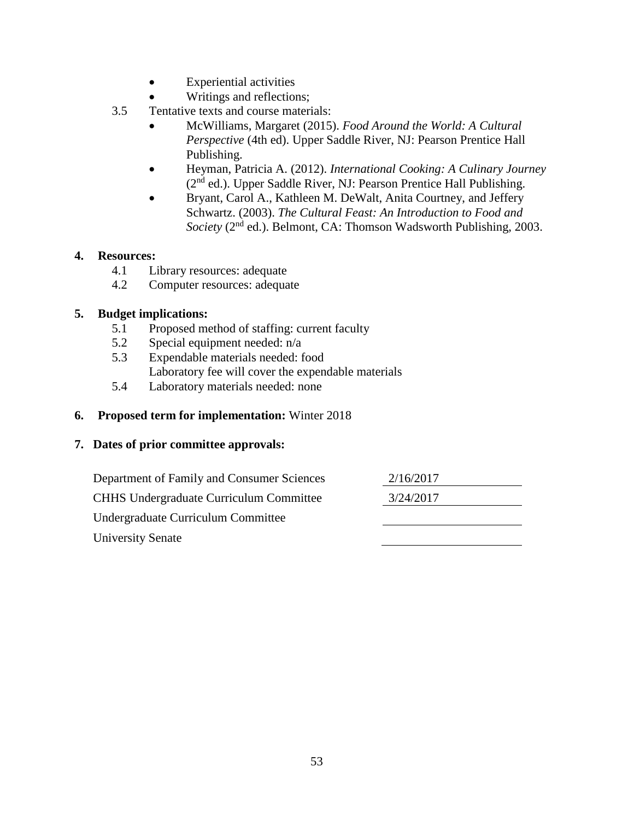- Experiential activities
- Writings and reflections;
- 3.5 Tentative texts and course materials:
	- McWilliams, Margaret (2015). *Food Around the World: A Cultural Perspective* (4th ed). Upper Saddle River, NJ: Pearson Prentice Hall Publishing.
	- Heyman, Patricia A. (2012). *International Cooking: A Culinary Journey* (2<sup>nd</sup> ed.). Upper Saddle River, NJ: Pearson Prentice Hall Publishing.
	- Bryant, Carol A., Kathleen M. DeWalt, Anita Courtney, and Jeffery Schwartz. (2003). *The Cultural Feast: An Introduction to Food and Society* (2<sup>nd</sup> ed.). Belmont, CA: Thomson Wadsworth Publishing, 2003.

## **4. Resources:**

- 4.1 Library resources: adequate
- 4.2 Computer resources: adequate

## **5. Budget implications:**

- 5.1 Proposed method of staffing: current faculty
- 5.2 Special equipment needed: n/a
- 5.3 Expendable materials needed: food Laboratory fee will cover the expendable materials
- 5.4 Laboratory materials needed: none

## **6. Proposed term for implementation:** Winter 2018

| Department of Family and Consumer Sciences     | 2/16/2017 |  |
|------------------------------------------------|-----------|--|
| <b>CHHS Undergraduate Curriculum Committee</b> | 3/24/2017 |  |
| Undergraduate Curriculum Committee             |           |  |
| <b>University Senate</b>                       |           |  |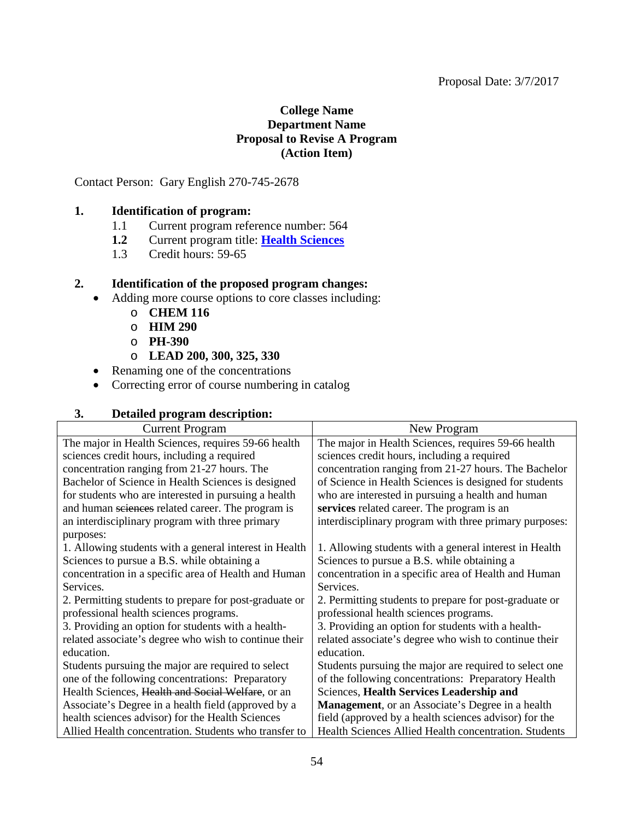#### Proposal Date: 3/7/2017

## **College Name Department Name Proposal to Revise A Program (Action Item)**

Contact Person: Gary English 270-745-2678

## **1. Identification of program:**

- 1.1 Current program reference number: 564<br>1.2 Current program title: Health Sciences
- **1.2** Current program title: **[Health Sciences](#page-1-0)**
- 1.3 Credit hours: 59-65

#### **2. Identification of the proposed program changes:**

- Adding more course options to core classes including:
	- o **CHEM 116**
	- o **HIM 290**
	- o **PH-390**
	- o **LEAD 200, 300, 325, 330**
- Renaming one of the concentrations
- Correcting error of course numbering in catalog

## **3. Detailed program description:**

| <b>Current Program</b>                                 | New Program                                              |
|--------------------------------------------------------|----------------------------------------------------------|
| The major in Health Sciences, requires 59-66 health    | The major in Health Sciences, requires 59-66 health      |
| sciences credit hours, including a required            | sciences credit hours, including a required              |
| concentration ranging from 21-27 hours. The            | concentration ranging from 21-27 hours. The Bachelor     |
| Bachelor of Science in Health Sciences is designed     | of Science in Health Sciences is designed for students   |
| for students who are interested in pursuing a health   | who are interested in pursuing a health and human        |
| and human sciences related career. The program is      | services related career. The program is an               |
| an interdisciplinary program with three primary        | interdisciplinary program with three primary purposes:   |
| purposes:                                              |                                                          |
| 1. Allowing students with a general interest in Health | 1. Allowing students with a general interest in Health   |
| Sciences to pursue a B.S. while obtaining a            | Sciences to pursue a B.S. while obtaining a              |
| concentration in a specific area of Health and Human   | concentration in a specific area of Health and Human     |
| Services.                                              | Services.                                                |
| 2. Permitting students to prepare for post-graduate or | 2. Permitting students to prepare for post-graduate or   |
| professional health sciences programs.                 | professional health sciences programs.                   |
| 3. Providing an option for students with a health-     | 3. Providing an option for students with a health-       |
| related associate's degree who wish to continue their  | related associate's degree who wish to continue their    |
| education.                                             | education.                                               |
| Students pursuing the major are required to select     | Students pursuing the major are required to select one   |
| one of the following concentrations: Preparatory       | of the following concentrations: Preparatory Health      |
| Health Sciences, Health and Social Welfare, or an      | Sciences, Health Services Leadership and                 |
| Associate's Degree in a health field (approved by a    | <b>Management</b> , or an Associate's Degree in a health |
| health sciences advisor) for the Health Sciences       | field (approved by a health sciences advisor) for the    |
| Allied Health concentration. Students who transfer to  | Health Sciences Allied Health concentration. Students    |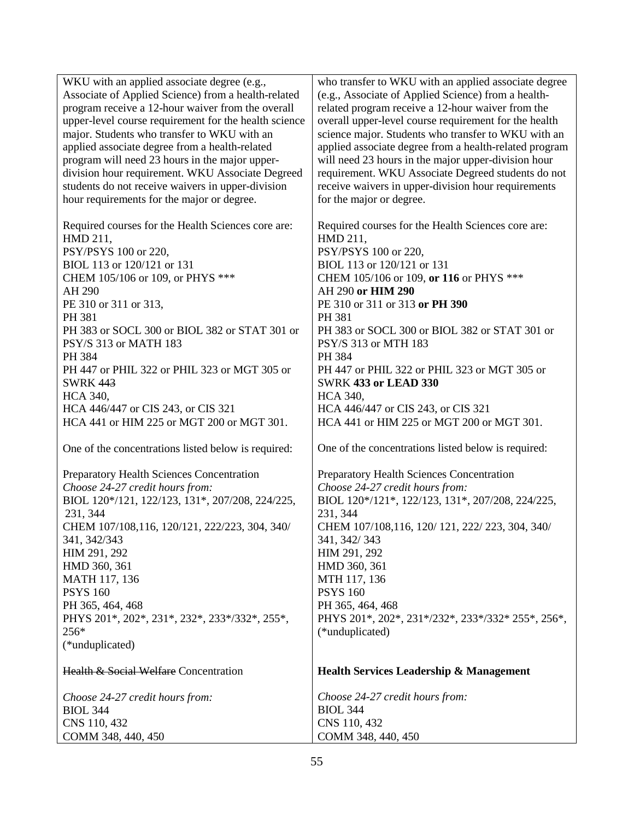WKU with an applied associate degree (e.g., Associate of Applied Science) from a health-related program receive a 12-hour waiver from the overall upper-level course requirement for the health science major. Students who transfer to WKU with an applied associate degree from a health-related program will need 23 hours in the major upperdivision hour requirement. WKU Associate Degreed students do not receive waivers in upper-division hour requirements for the major or degree. Required courses for the Health Sciences core are: HMD 211, PSY/PSYS 100 or 220, BIOL 113 or 120/121 or 131 CHEM 105/106 or 109, or PHYS \*\*\* AH 290 PE 310 or 311 or 313, PH 381 PH 383 or SOCL 300 or BIOL 382 or STAT 301 or PSY/S 313 or MATH 183 PH 384 PH 447 or PHIL 322 or PHIL 323 or MGT 305 or SWRK 443 HCA 340, HCA 446/447 or CIS 243, or CIS 321 HCA 441 or HIM 225 or MGT 200 or MGT 301. One of the concentrations listed below is required: Preparatory Health Sciences Concentration *Choose 24-27 credit hours from:* BIOL 120\*/121, 122/123, 131\*, 207/208, 224/225, 231, 344 CHEM 107/108,116, 120/121, 222/223, 304, 340/ 341, 342/343 HIM 291, 292 HMD 360, 361 MATH 117, 136 PSYS 160 PH 365, 464, 468 PHYS 201\*, 202\*, 231\*, 232\*, 233\*/332\*, 255\*, 256\* (\*unduplicated) Health & Social Welfare Concentration *Choose 24-27 credit hours from:* BIOL 344 CNS 110, 432 COMM 348, 440, 450 who transfer to WKU with an applied associate degree (e.g., Associate of Applied Science) from a healthrelated program receive a 12-hour waiver from the overall upper-level course requirement for the health science major. Students who transfer to WKU with an applied associate degree from a health-related program will need 23 hours in the major upper-division hour requirement. WKU Associate Degreed students do not receive waivers in upper-division hour requirements for the major or degree. Required courses for the Health Sciences core are: HMD 211, PSY/PSYS 100 or 220, BIOL 113 or 120/121 or 131 CHEM 105/106 or 109, **or 116** or PHYS \*\*\* AH 290 **or HIM 290** PE 310 or 311 or 313 **or PH 390** PH 381 PH 383 or SOCL 300 or BIOL 382 or STAT 301 or PSY/S 313 or MTH 183 PH 384 PH 447 or PHIL 322 or PHIL 323 or MGT 305 or SWRK **433 or LEAD 330** HCA 340, HCA 446/447 or CIS 243, or CIS 321 HCA 441 or HIM 225 or MGT 200 or MGT 301. One of the concentrations listed below is required: Preparatory Health Sciences Concentration *Choose 24-27 credit hours from:* BIOL 120\*/121\*, 122/123, 131\*, 207/208, 224/225, 231, 344 CHEM 107/108,116, 120/ 121, 222/ 223, 304, 340/ 341, 342/ 343 HIM 291, 292 HMD 360, 361 MTH 117, 136 PSYS 160 PH 365, 464, 468 PHYS 201\*, 202\*, 231\*/232\*, 233\*/332\* 255\*, 256\*, (\*unduplicated) **Health Services Leadership & Management**  *Choose 24-27 credit hours from:* BIOL 344 CNS 110, 432 COMM 348, 440, 450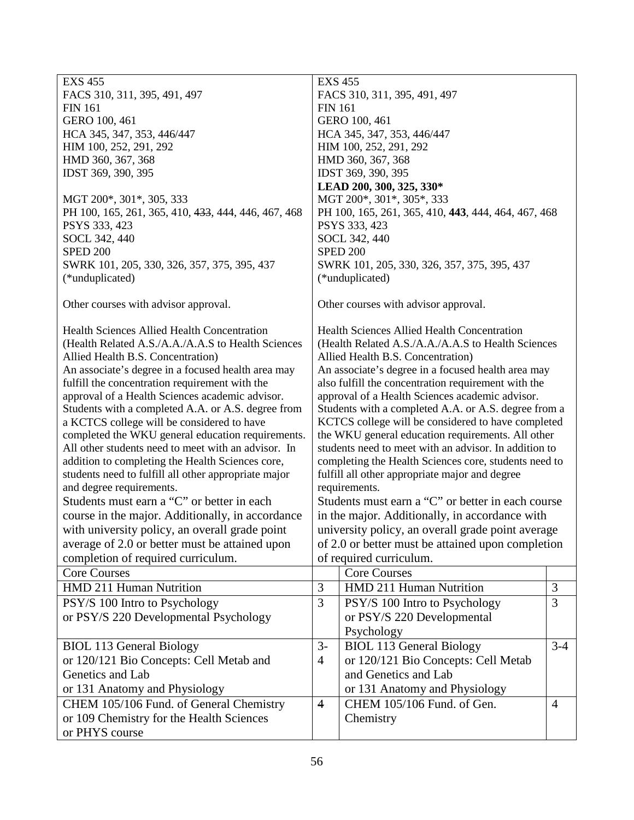| <b>EXS 455</b>                                       |                                                      | <b>EXS 455</b>                                        |                |  |  |
|------------------------------------------------------|------------------------------------------------------|-------------------------------------------------------|----------------|--|--|
| FACS 310, 311, 395, 491, 497                         |                                                      | FACS 310, 311, 395, 491, 497                          |                |  |  |
| <b>FIN 161</b>                                       |                                                      | <b>FIN 161</b>                                        |                |  |  |
| GERO 100, 461                                        |                                                      | GERO 100, 461                                         |                |  |  |
| HCA 345, 347, 353, 446/447                           |                                                      | HCA 345, 347, 353, 446/447                            |                |  |  |
| HIM 100, 252, 291, 292                               |                                                      | HIM 100, 252, 291, 292                                |                |  |  |
| HMD 360, 367, 368                                    |                                                      | HMD 360, 367, 368                                     |                |  |  |
| IDST 369, 390, 395                                   |                                                      | IDST 369, 390, 395                                    |                |  |  |
|                                                      |                                                      | LEAD 200, 300, 325, 330*                              |                |  |  |
| MGT 200*, 301*, 305, 333                             |                                                      | MGT 200*, 301*, 305*, 333                             |                |  |  |
| PH 100, 165, 261, 365, 410, 433, 444, 446, 467, 468  |                                                      | PH 100, 165, 261, 365, 410, 443, 444, 464, 467, 468   |                |  |  |
| PSYS 333, 423                                        |                                                      | PSYS 333, 423                                         |                |  |  |
| SOCL 342, 440                                        |                                                      | SOCL 342, 440                                         |                |  |  |
| <b>SPED 200</b>                                      |                                                      | <b>SPED 200</b>                                       |                |  |  |
| SWRK 101, 205, 330, 326, 357, 375, 395, 437          |                                                      | SWRK 101, 205, 330, 326, 357, 375, 395, 437           |                |  |  |
| (*unduplicated)                                      |                                                      | (*unduplicated)                                       |                |  |  |
| Other courses with advisor approval.                 |                                                      | Other courses with advisor approval.                  |                |  |  |
| <b>Health Sciences Allied Health Concentration</b>   |                                                      | <b>Health Sciences Allied Health Concentration</b>    |                |  |  |
| (Health Related A.S./A.A./A.A.S to Health Sciences   |                                                      | (Health Related A.S./A.A./A.A.S to Health Sciences    |                |  |  |
| Allied Health B.S. Concentration)                    |                                                      | Allied Health B.S. Concentration)                     |                |  |  |
| An associate's degree in a focused health area may   |                                                      | An associate's degree in a focused health area may    |                |  |  |
| fulfill the concentration requirement with the       |                                                      | also fulfill the concentration requirement with the   |                |  |  |
| approval of a Health Sciences academic advisor.      |                                                      | approval of a Health Sciences academic advisor.       |                |  |  |
| Students with a completed A.A. or A.S. degree from   | Students with a completed A.A. or A.S. degree from a |                                                       |                |  |  |
| a KCTCS college will be considered to have           |                                                      | KCTCS college will be considered to have completed    |                |  |  |
| completed the WKU general education requirements.    |                                                      | the WKU general education requirements. All other     |                |  |  |
| All other students need to meet with an advisor. In  |                                                      | students need to meet with an advisor. In addition to |                |  |  |
| addition to completing the Health Sciences core,     |                                                      | completing the Health Sciences core, students need to |                |  |  |
| students need to fulfill all other appropriate major |                                                      | fulfill all other appropriate major and degree        |                |  |  |
| and degree requirements.                             |                                                      | requirements.                                         |                |  |  |
| Students must earn a "C" or better in each           |                                                      | Students must earn a "C" or better in each course     |                |  |  |
| course in the major. Additionally, in accordance     | in the major. Additionally, in accordance with       |                                                       |                |  |  |
| with university policy, an overall grade point       | university policy, an overall grade point average    |                                                       |                |  |  |
| average of 2.0 or better must be attained upon       | of 2.0 or better must be attained upon completion    |                                                       |                |  |  |
| completion of required curriculum.                   | of required curriculum.                              |                                                       |                |  |  |
| <b>Core Courses</b>                                  |                                                      | <b>Core Courses</b>                                   |                |  |  |
| HMD 211 Human Nutrition                              | 3                                                    | HMD 211 Human Nutrition                               | 3              |  |  |
| PSY/S 100 Intro to Psychology                        | 3                                                    | PSY/S 100 Intro to Psychology                         | $\overline{3}$ |  |  |
| or PSY/S 220 Developmental Psychology                |                                                      | or PSY/S 220 Developmental                            |                |  |  |
|                                                      |                                                      | Psychology                                            |                |  |  |
| <b>BIOL 113 General Biology</b>                      | $3-$                                                 | <b>BIOL 113 General Biology</b>                       | $3 - 4$        |  |  |
| or 120/121 Bio Concepts: Cell Metab and              | $\overline{4}$                                       | or 120/121 Bio Concepts: Cell Metab                   |                |  |  |
| Genetics and Lab                                     |                                                      | and Genetics and Lab                                  |                |  |  |
| or 131 Anatomy and Physiology                        |                                                      | or 131 Anatomy and Physiology                         |                |  |  |
| CHEM 105/106 Fund. of General Chemistry              | $\overline{4}$                                       | CHEM 105/106 Fund. of Gen.                            | $\overline{4}$ |  |  |
| or 109 Chemistry for the Health Sciences             |                                                      | Chemistry                                             |                |  |  |
|                                                      |                                                      |                                                       |                |  |  |
| or PHYS course                                       |                                                      |                                                       |                |  |  |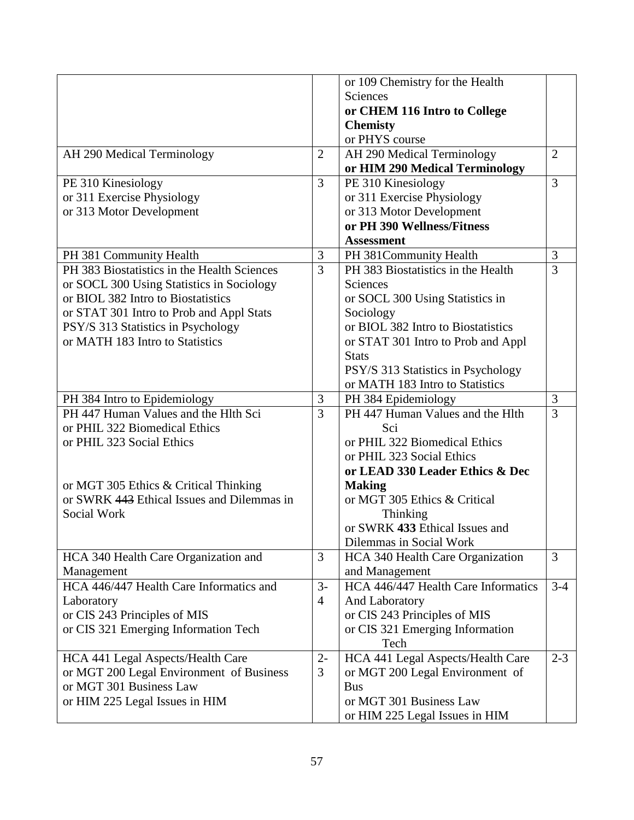| or 109 Chemistry for the Health                                                                     |                |
|-----------------------------------------------------------------------------------------------------|----------------|
| Sciences                                                                                            |                |
|                                                                                                     |                |
| or CHEM 116 Intro to College                                                                        |                |
| <b>Chemisty</b>                                                                                     |                |
| or PHYS course                                                                                      |                |
| $\overline{2}$<br>AH 290 Medical Terminology<br>AH 290 Medical Terminology                          | $\overline{2}$ |
| or HIM 290 Medical Terminology                                                                      |                |
| $\overline{3}$<br>PE 310 Kinesiology<br>PE 310 Kinesiology                                          | 3              |
| or 311 Exercise Physiology<br>or 311 Exercise Physiology                                            |                |
| or 313 Motor Development<br>or 313 Motor Development                                                |                |
| or PH 390 Wellness/Fitness                                                                          |                |
| <b>Assessment</b>                                                                                   |                |
| 3<br>PH 381 Community Health<br>PH 381Community Health                                              | 3              |
| $\overline{3}$<br>PH 383 Biostatistics in the Health Sciences<br>PH 383 Biostatistics in the Health | 3              |
| Sciences<br>or SOCL 300 Using Statistics in Sociology                                               |                |
| or BIOL 382 Intro to Biostatistics<br>or SOCL 300 Using Statistics in                               |                |
| Sociology<br>or STAT 301 Intro to Prob and Appl Stats                                               |                |
| or BIOL 382 Intro to Biostatistics<br>PSY/S 313 Statistics in Psychology                            |                |
| or MATH 183 Intro to Statistics<br>or STAT 301 Intro to Prob and Appl                               |                |
| <b>Stats</b>                                                                                        |                |
| PSY/S 313 Statistics in Psychology                                                                  |                |
| or MATH 183 Intro to Statistics                                                                     |                |
| PH 384 Epidemiology<br>PH 384 Intro to Epidemiology<br>3                                            | 3              |
| $\overline{3}$<br>PH 447 Human Values and the Hlth Sci<br>PH 447 Human Values and the Hlth          | $\overline{3}$ |
| or PHIL 322 Biomedical Ethics<br>Sci                                                                |                |
| or PHIL 322 Biomedical Ethics<br>or PHIL 323 Social Ethics                                          |                |
| or PHIL 323 Social Ethics                                                                           |                |
|                                                                                                     |                |
| or LEAD 330 Leader Ethics & Dec                                                                     |                |
| or MGT 305 Ethics & Critical Thinking<br><b>Making</b>                                              |                |
| or SWRK 443 Ethical Issues and Dilemmas in<br>or MGT 305 Ethics & Critical                          |                |
| Social Work<br>Thinking                                                                             |                |
| or SWRK 433 Ethical Issues and                                                                      |                |
| Dilemmas in Social Work                                                                             |                |
| $\overline{3}$<br>HCA 340 Health Care Organization and<br><b>HCA 340 Health Care Organization</b>   | $\overline{3}$ |
| and Management<br>Management                                                                        |                |
| $3-$<br>HCA 446/447 Health Care Informatics<br>HCA 446/447 Health Care Informatics and              | $3 - 4$        |
| $\overline{4}$<br>And Laboratory<br>Laboratory                                                      |                |
| or CIS 243 Principles of MIS<br>or CIS 243 Principles of MIS                                        |                |
| or CIS 321 Emerging Information Tech<br>or CIS 321 Emerging Information                             |                |
| Tech                                                                                                |                |
| $2 -$<br>HCA 441 Legal Aspects/Health Care<br>HCA 441 Legal Aspects/Health Care                     | $2 - 3$        |
| or MGT 200 Legal Environment of Business<br>3<br>or MGT 200 Legal Environment of                    |                |
| or MGT 301 Business Law<br><b>Bus</b>                                                               |                |
| or MGT 301 Business Law<br>or HIM 225 Legal Issues in HIM                                           |                |
|                                                                                                     |                |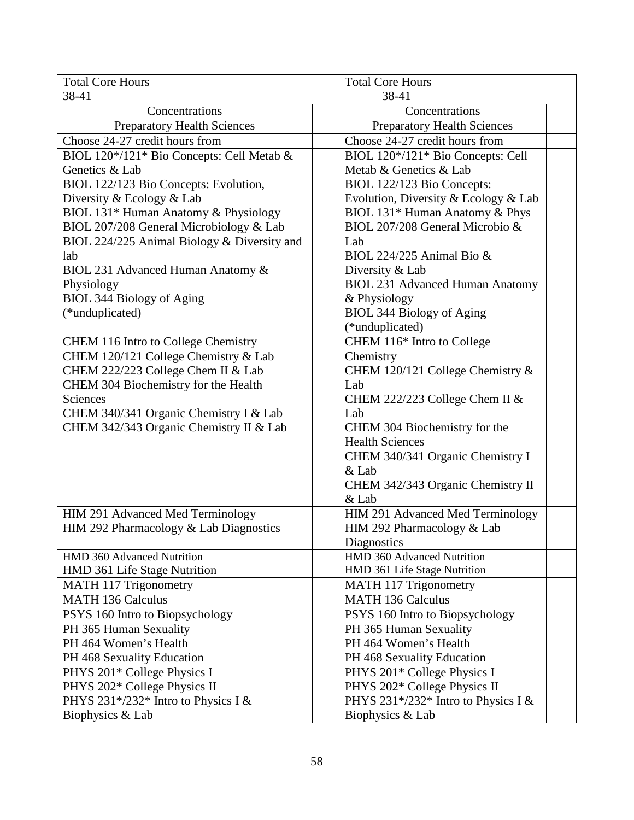| <b>Total Core Hours</b>                     | <b>Total Core Hours</b>                |  |
|---------------------------------------------|----------------------------------------|--|
| 38-41                                       | 38-41                                  |  |
| Concentrations                              | Concentrations                         |  |
| <b>Preparatory Health Sciences</b>          | <b>Preparatory Health Sciences</b>     |  |
| Choose 24-27 credit hours from              | Choose 24-27 credit hours from         |  |
| BIOL 120*/121* Bio Concepts: Cell Metab &   | BIOL 120*/121* Bio Concepts: Cell      |  |
| Genetics & Lab                              | Metab & Genetics & Lab                 |  |
| BIOL 122/123 Bio Concepts: Evolution,       | BIOL 122/123 Bio Concepts:             |  |
| Diversity & Ecology & Lab                   | Evolution, Diversity & Ecology & Lab   |  |
| BIOL 131* Human Anatomy & Physiology        | BIOL 131* Human Anatomy & Phys         |  |
| BIOL 207/208 General Microbiology & Lab     | BIOL 207/208 General Microbio &        |  |
| BIOL 224/225 Animal Biology & Diversity and | Lab                                    |  |
| lab                                         | BIOL 224/225 Animal Bio &              |  |
| BIOL 231 Advanced Human Anatomy &           | Diversity & Lab                        |  |
| Physiology                                  | <b>BIOL 231 Advanced Human Anatomy</b> |  |
| <b>BIOL 344 Biology of Aging</b>            | & Physiology                           |  |
| (*unduplicated)                             | BIOL 344 Biology of Aging              |  |
|                                             | (*unduplicated)                        |  |
| CHEM 116 Intro to College Chemistry         | CHEM 116* Intro to College             |  |
| CHEM 120/121 College Chemistry & Lab        | Chemistry                              |  |
| CHEM 222/223 College Chem II & Lab          | CHEM 120/121 College Chemistry &       |  |
| CHEM 304 Biochemistry for the Health        | Lab                                    |  |
| Sciences                                    | CHEM 222/223 College Chem II $&$       |  |
| CHEM 340/341 Organic Chemistry I & Lab      | Lab                                    |  |
| CHEM 342/343 Organic Chemistry II & Lab     | CHEM 304 Biochemistry for the          |  |
|                                             | <b>Health Sciences</b>                 |  |
|                                             | CHEM 340/341 Organic Chemistry I       |  |
|                                             | $&$ Lab                                |  |
|                                             | CHEM 342/343 Organic Chemistry II      |  |
|                                             | & Lab                                  |  |
| HIM 291 Advanced Med Terminology            | HIM 291 Advanced Med Terminology       |  |
| HIM 292 Pharmacology & Lab Diagnostics      | HIM 292 Pharmacology & Lab             |  |
|                                             | Diagnostics                            |  |
| HMD 360 Advanced Nutrition                  | HMD 360 Advanced Nutrition             |  |
| HMD 361 Life Stage Nutrition                | HMD 361 Life Stage Nutrition           |  |
| MATH 117 Trigonometry                       | MATH 117 Trigonometry                  |  |
| <b>MATH 136 Calculus</b>                    | <b>MATH 136 Calculus</b>               |  |
| PSYS 160 Intro to Biopsychology             | PSYS 160 Intro to Biopsychology        |  |
| PH 365 Human Sexuality                      | PH 365 Human Sexuality                 |  |
| PH 464 Women's Health                       | PH 464 Women's Health                  |  |
| PH 468 Sexuality Education                  | PH 468 Sexuality Education             |  |
| PHYS 201* College Physics I                 | PHYS 201* College Physics I            |  |
| PHYS 202* College Physics II                | PHYS 202* College Physics II           |  |
| PHYS 231*/232* Intro to Physics I &         | PHYS 231*/232* Intro to Physics I &    |  |
| Biophysics & Lab                            | Biophysics & Lab                       |  |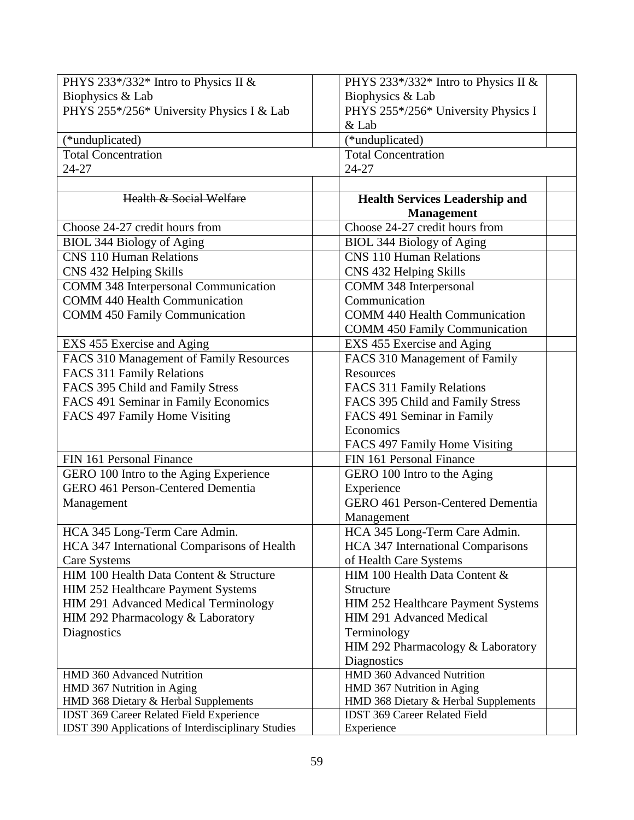| PHYS 233*/332* Intro to Physics II &                      | PHYS 233*/332* Intro to Physics II &     |
|-----------------------------------------------------------|------------------------------------------|
| Biophysics & Lab                                          | Biophysics & Lab                         |
| PHYS 255*/256* University Physics I & Lab                 | PHYS 255*/256* University Physics I      |
|                                                           | $&$ Lab                                  |
| (*unduplicated)                                           | (*unduplicated)                          |
| <b>Total Concentration</b>                                | <b>Total Concentration</b>               |
| 24-27                                                     | 24-27                                    |
|                                                           |                                          |
| <b>Health &amp; Social Welfare</b>                        | <b>Health Services Leadership and</b>    |
|                                                           | <b>Management</b>                        |
| Choose 24-27 credit hours from                            | Choose 24-27 credit hours from           |
| BIOL 344 Biology of Aging                                 | BIOL 344 Biology of Aging                |
| <b>CNS 110 Human Relations</b>                            | <b>CNS 110 Human Relations</b>           |
| CNS 432 Helping Skills                                    | CNS 432 Helping Skills                   |
| <b>COMM 348 Interpersonal Communication</b>               | COMM 348 Interpersonal                   |
| <b>COMM 440 Health Communication</b>                      | Communication                            |
| <b>COMM 450 Family Communication</b>                      | <b>COMM 440 Health Communication</b>     |
|                                                           | <b>COMM 450 Family Communication</b>     |
| EXS 455 Exercise and Aging                                | EXS 455 Exercise and Aging               |
| FACS 310 Management of Family Resources                   | FACS 310 Management of Family            |
| FACS 311 Family Relations                                 | <b>Resources</b>                         |
| FACS 395 Child and Family Stress                          | FACS 311 Family Relations                |
| FACS 491 Seminar in Family Economics                      | FACS 395 Child and Family Stress         |
| FACS 497 Family Home Visiting                             | FACS 491 Seminar in Family               |
|                                                           | Economics                                |
|                                                           | FACS 497 Family Home Visiting            |
| FIN 161 Personal Finance                                  | FIN 161 Personal Finance                 |
| GERO 100 Intro to the Aging Experience                    | GERO 100 Intro to the Aging              |
| <b>GERO 461 Person-Centered Dementia</b>                  | Experience                               |
| Management                                                | <b>GERO 461 Person-Centered Dementia</b> |
|                                                           | Management                               |
| HCA 345 Long-Term Care Admin.                             | HCA 345 Long-Term Care Admin.            |
| HCA 347 International Comparisons of Health               | <b>HCA 347 International Comparisons</b> |
| Care Systems                                              | of Health Care Systems                   |
| HIM 100 Health Data Content & Structure                   | HIM 100 Health Data Content &            |
| HIM 252 Healthcare Payment Systems                        | Structure                                |
| HIM 291 Advanced Medical Terminology                      | HIM 252 Healthcare Payment Systems       |
| HIM 292 Pharmacology & Laboratory                         | HIM 291 Advanced Medical                 |
| Diagnostics                                               | Terminology                              |
|                                                           | HIM 292 Pharmacology & Laboratory        |
|                                                           | Diagnostics                              |
| HMD 360 Advanced Nutrition                                | HMD 360 Advanced Nutrition               |
| HMD 367 Nutrition in Aging                                | HMD 367 Nutrition in Aging               |
| HMD 368 Dietary & Herbal Supplements                      | HMD 368 Dietary & Herbal Supplements     |
| IDST 369 Career Related Field Experience                  | <b>IDST 369 Career Related Field</b>     |
| <b>IDST 390 Applications of Interdisciplinary Studies</b> | Experience                               |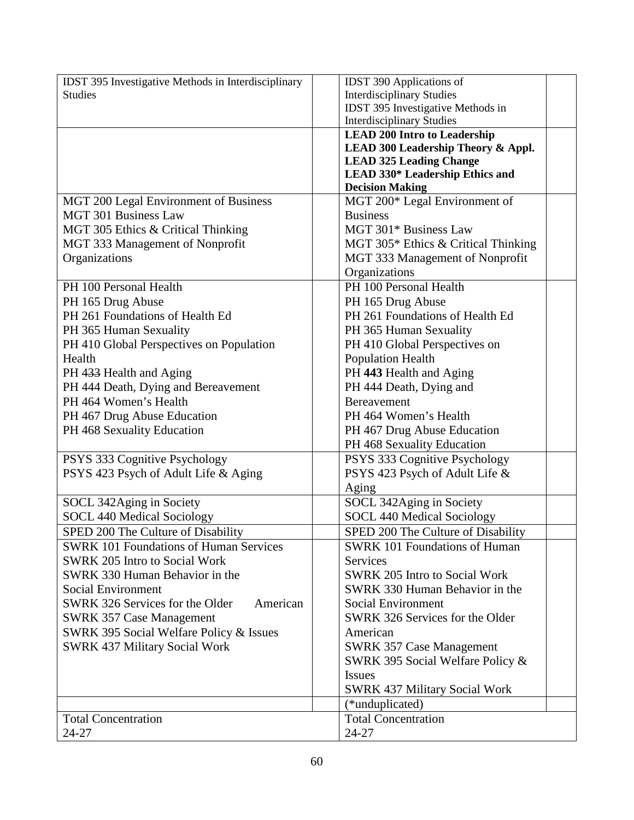| <b>IDST 395 Investigative Methods in Interdisciplinary</b> | <b>IDST 390 Applications of</b>      |
|------------------------------------------------------------|--------------------------------------|
| <b>Studies</b>                                             | <b>Interdisciplinary Studies</b>     |
|                                                            | IDST 395 Investigative Methods in    |
|                                                            | <b>Interdisciplinary Studies</b>     |
|                                                            | <b>LEAD 200 Intro to Leadership</b>  |
|                                                            | LEAD 300 Leadership Theory & Appl.   |
|                                                            | <b>LEAD 325 Leading Change</b>       |
|                                                            | LEAD 330* Leadership Ethics and      |
|                                                            | <b>Decision Making</b>               |
| MGT 200 Legal Environment of Business                      | MGT 200* Legal Environment of        |
| <b>MGT 301 Business Law</b>                                | <b>Business</b>                      |
| MGT 305 Ethics & Critical Thinking                         | MGT 301* Business Law                |
| MGT 333 Management of Nonprofit                            | MGT 305* Ethics & Critical Thinking  |
| Organizations                                              | MGT 333 Management of Nonprofit      |
|                                                            | Organizations                        |
| PH 100 Personal Health                                     | PH 100 Personal Health               |
| PH 165 Drug Abuse                                          | PH 165 Drug Abuse                    |
| PH 261 Foundations of Health Ed                            | PH 261 Foundations of Health Ed      |
| PH 365 Human Sexuality                                     | PH 365 Human Sexuality               |
| PH 410 Global Perspectives on Population                   | PH 410 Global Perspectives on        |
| Health                                                     | <b>Population Health</b>             |
| PH 433 Health and Aging                                    | PH 443 Health and Aging              |
| PH 444 Death, Dying and Bereavement                        | PH 444 Death, Dying and              |
| PH 464 Women's Health                                      | <b>Bereavement</b>                   |
| PH 467 Drug Abuse Education                                | PH 464 Women's Health                |
| PH 468 Sexuality Education                                 | PH 467 Drug Abuse Education          |
|                                                            | PH 468 Sexuality Education           |
|                                                            |                                      |
| PSYS 333 Cognitive Psychology                              | PSYS 333 Cognitive Psychology        |
| PSYS 423 Psych of Adult Life & Aging                       | PSYS 423 Psych of Adult Life &       |
|                                                            | Aging                                |
| SOCL 342Aging in Society                                   | SOCL 342Aging in Society             |
| <b>SOCL 440 Medical Sociology</b>                          | <b>SOCL 440 Medical Sociology</b>    |
| SPED 200 The Culture of Disability                         | SPED 200 The Culture of Disability   |
| <b>SWRK 101 Foundations of Human Services</b>              | <b>SWRK 101 Foundations of Human</b> |
| <b>SWRK 205 Intro to Social Work</b>                       | Services                             |
| SWRK 330 Human Behavior in the                             | <b>SWRK 205 Intro to Social Work</b> |
| <b>Social Environment</b>                                  | SWRK 330 Human Behavior in the       |
| SWRK 326 Services for the Older<br>American                | <b>Social Environment</b>            |
| <b>SWRK 357 Case Management</b>                            | SWRK 326 Services for the Older      |
| SWRK 395 Social Welfare Policy & Issues                    | American                             |
| <b>SWRK 437 Military Social Work</b>                       | <b>SWRK 357 Case Management</b>      |
|                                                            | SWRK 395 Social Welfare Policy &     |
|                                                            | <b>Issues</b>                        |
|                                                            | <b>SWRK 437 Military Social Work</b> |
|                                                            | (*unduplicated)                      |
| <b>Total Concentration</b>                                 | <b>Total Concentration</b>           |
| 24-27                                                      | $24 - 27$                            |
|                                                            |                                      |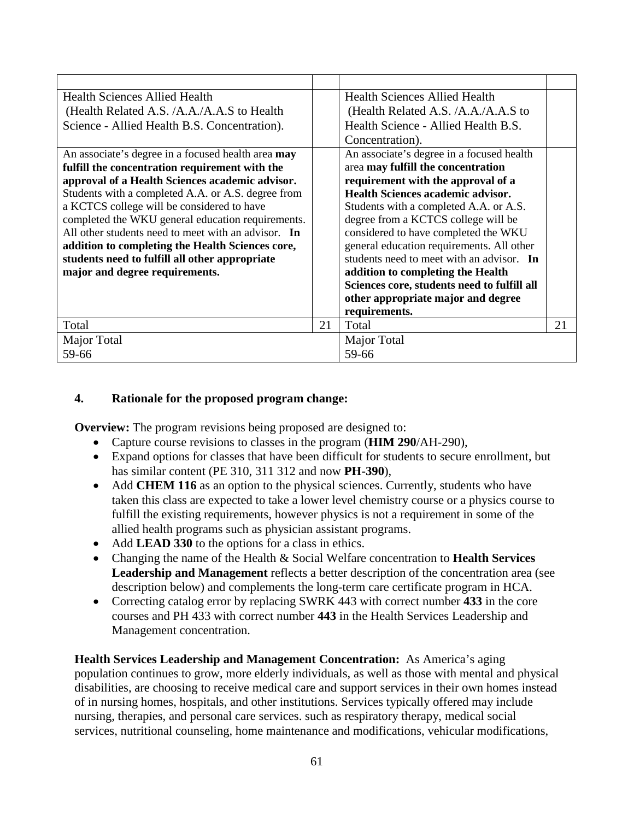| <b>Health Sciences Allied Health</b>                |    | <b>Health Sciences Allied Health</b>        |    |
|-----------------------------------------------------|----|---------------------------------------------|----|
| (Health Related A.S. /A.A./A.A.S to Health          |    | (Health Related A.S. /A.A./A.A.S to         |    |
| Science - Allied Health B.S. Concentration).        |    | Health Science - Allied Health B.S.         |    |
|                                                     |    | Concentration).                             |    |
| An associate's degree in a focused health area may  |    | An associate's degree in a focused health   |    |
| fulfill the concentration requirement with the      |    | area may fulfill the concentration          |    |
| approval of a Health Sciences academic advisor.     |    | requirement with the approval of a          |    |
| Students with a completed A.A. or A.S. degree from  |    | Health Sciences academic advisor.           |    |
| a KCTCS college will be considered to have          |    | Students with a completed A.A. or A.S.      |    |
| completed the WKU general education requirements.   |    | degree from a KCTCS college will be         |    |
| All other students need to meet with an advisor. In |    | considered to have completed the WKU        |    |
| addition to completing the Health Sciences core,    |    | general education requirements. All other   |    |
| students need to fulfill all other appropriate      |    | students need to meet with an advisor. In   |    |
| major and degree requirements.                      |    | addition to completing the Health           |    |
|                                                     |    | Sciences core, students need to fulfill all |    |
|                                                     |    | other appropriate major and degree          |    |
|                                                     |    | requirements.                               |    |
| Total                                               | 21 | Total                                       | 21 |
| Major Total                                         |    | Major Total                                 |    |
| 59-66                                               |    | 59-66                                       |    |

## **4. Rationale for the proposed program change:**

**Overview:** The program revisions being proposed are designed to:

- Capture course revisions to classes in the program (**HIM 290**/AH-290),
- Expand options for classes that have been difficult for students to secure enrollment, but has similar content (PE 310, 311 312 and now **PH-390**),
- Add **CHEM 116** as an option to the physical sciences. Currently, students who have taken this class are expected to take a lower level chemistry course or a physics course to fulfill the existing requirements, however physics is not a requirement in some of the allied health programs such as physician assistant programs.
- Add **LEAD 330** to the options for a class in ethics.
- Changing the name of the Health & Social Welfare concentration to **Health Services Leadership and Management** reflects a better description of the concentration area (see description below) and complements the long-term care certificate program in HCA.
- Correcting catalog error by replacing SWRK 443 with correct number **433** in the core courses and PH 433 with correct number **443** in the Health Services Leadership and Management concentration.

**Health Services Leadership and Management Concentration:** As America's aging population continues to grow, more elderly individuals, as well as those with mental and physical disabilities, are choosing to receive medical care and support services in their own homes instead of in nursing homes, hospitals, and other institutions. Services typically offered may include nursing, therapies, and personal care services. such as respiratory therapy, medical social services, nutritional counseling, home maintenance and modifications, vehicular modifications,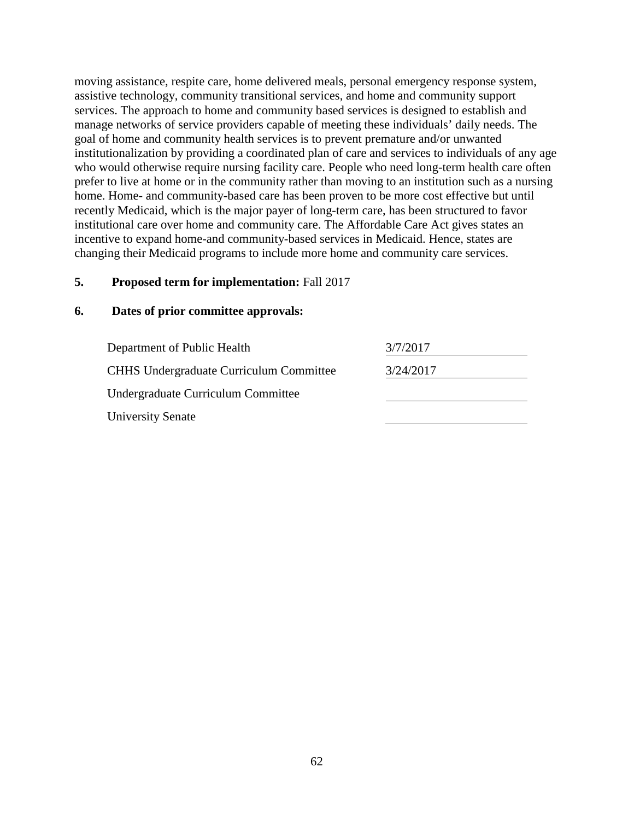moving assistance, respite care, home delivered meals, personal emergency response system, assistive technology, community transitional services, and home and community support services. The approach to home and community based services is designed to establish and manage networks of service providers capable of meeting these individuals' daily needs. The goal of home and community health services is to prevent premature and/or unwanted institutionalization by providing a coordinated plan of care and services to individuals of any age who would otherwise require nursing facility care. People who need long-term health care often prefer to live at home or in the community rather than moving to an institution such as a nursing home. Home- and community-based care has been proven to be more cost effective but until recently Medicaid, which is the major payer of long-term care, has been structured to favor institutional care over home and community care. The Affordable Care Act gives states an incentive to expand home-and community-based services in Medicaid. Hence, states are changing their Medicaid programs to include more home and community care services.

## **5. Proposed term for implementation:** Fall 2017

| Department of Public Health                    | 3/7/2017  |
|------------------------------------------------|-----------|
| <b>CHHS Undergraduate Curriculum Committee</b> | 3/24/2017 |
| Undergraduate Curriculum Committee             |           |
| <b>University Senate</b>                       |           |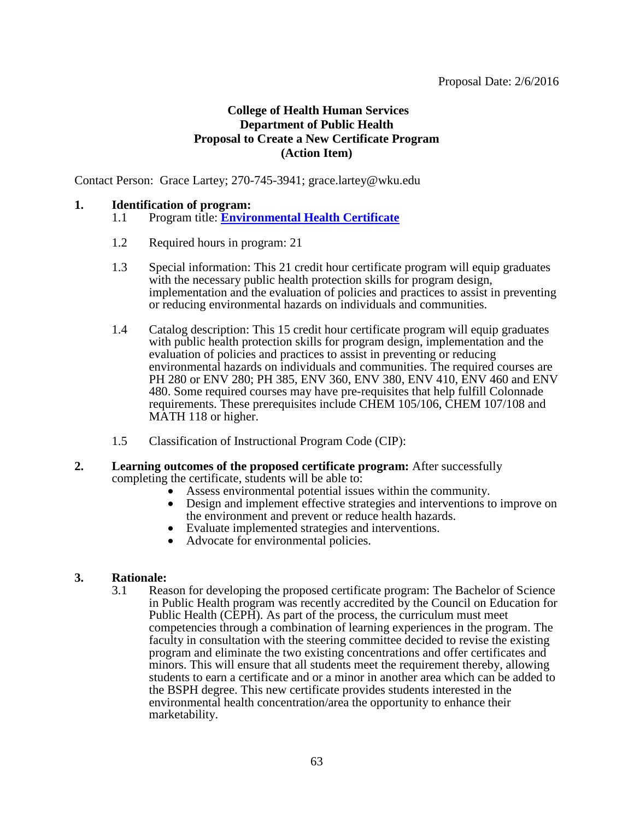## **College of Health Human Services Department of Public Health Proposal to Create a New Certificate Program (Action Item)**

Contact Person: Grace Lartey; 270-745-3941; grace.lartey@wku.edu

#### **1. Identification of program:**

- 1.1 Program title: **[Environmental Health Certificate](#page-2-0)**
- 1.2 Required hours in program: 21
- 1.3 Special information: This 21 credit hour certificate program will equip graduates with the necessary public health protection skills for program design, implementation and the evaluation of policies and practices to assist in preventing or reducing environmental hazards on individuals and communities.
- 1.4 Catalog description: This 15 credit hour certificate program will equip graduates with public health protection skills for program design, implementation and the evaluation of policies and practices to assist in preventing or reducing environmental hazards on individuals and communities. The required courses are PH 280 or ENV 280; PH 385, ENV 360, ENV 380, ENV 410, ENV 460 and ENV 480. Some required courses may have pre-requisites that help fulfill Colonnade requirements. These prerequisites include CHEM 105/106, CHEM 107/108 and MATH 118 or higher.
- 1.5 Classification of Instructional Program Code (CIP):

#### **2. Learning outcomes of the proposed certificate program:** After successfully completing the certificate, students will be able to:

- Assess environmental potential issues within the community.
- Design and implement effective strategies and interventions to improve on the environment and prevent or reduce health hazards.
- Evaluate implemented strategies and interventions.
- Advocate for environmental policies.

## **3. Rationale:**

3.1 Reason for developing the proposed certificate program: The Bachelor of Science in Public Health program was recently accredited by the Council on Education for Public Health (CEPH). As part of the process, the curriculum must meet competencies through a combination of learning experiences in the program. The faculty in consultation with the steering committee decided to revise the existing program and eliminate the two existing concentrations and offer certificates and minors. This will ensure that all students meet the requirement thereby, allowing students to earn a certificate and or a minor in another area which can be added to the BSPH degree. This new certificate provides students interested in the environmental health concentration/area the opportunity to enhance their marketability.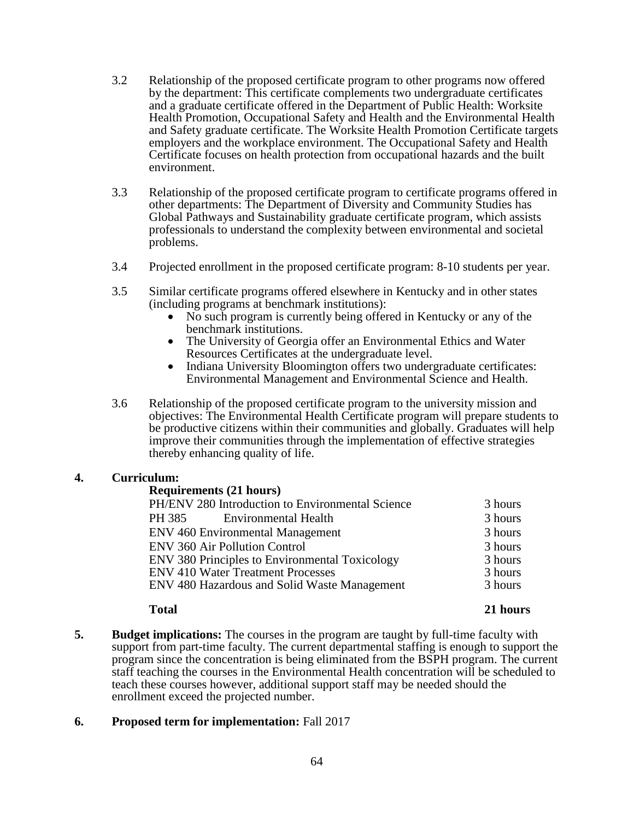- 3.2 Relationship of the proposed certificate program to other programs now offered by the department: This certificate complements two undergraduate certificates and a graduate certificate offered in the Department of Public Health: Worksite Health Promotion, Occupational Safety and Health and the Environmental Health and Safety graduate certificate. The Worksite Health Promotion Certificate targets employers and the workplace environment. The Occupational Safety and Health Certificate focuses on health protection from occupational hazards and the built environment.
- 3.3 Relationship of the proposed certificate program to certificate programs offered in other departments: The Department of Diversity and Community Studies has Global Pathways and Sustainability graduate certificate program, which assists professionals to understand the complexity between environmental and societal problems.
- 3.4 Projected enrollment in the proposed certificate program: 8-10 students per year.
- 3.5 Similar certificate programs offered elsewhere in Kentucky and in other states (including programs at benchmark institutions):
	- No such program is currently being offered in Kentucky or any of the benchmark institutions.
	- The University of Georgia offer an Environmental Ethics and Water Resources Certificates at the undergraduate level.
	- Indiana University Bloomington offers two undergraduate certificates: Environmental Management and Environmental Science and Health.
- 3.6 Relationship of the proposed certificate program to the university mission and objectives: The Environmental Health Certificate program will prepare students to be productive citizens within their communities and globally. Graduates will help improve their communities through the implementation of effective strategies thereby enhancing quality of life.

## **4. Curriculum:**

#### **Requirements (21 hours)**

| PH/ENV 280 Introduction to Environmental Science | 3 hours |
|--------------------------------------------------|---------|
| PH 385<br><b>Environmental Health</b>            | 3 hours |
| <b>ENV 460 Environmental Management</b>          | 3 hours |
| <b>ENV 360 Air Pollution Control</b>             | 3 hours |
| ENV 380 Principles to Environmental Toxicology   | 3 hours |
| <b>ENV 410 Water Treatment Processes</b>         | 3 hours |
| ENV 480 Hazardous and Solid Waste Management     | 3 hours |
|                                                  |         |

## **Total 21 hours**

**5. Budget implications:** The courses in the program are taught by full-time faculty with support from part-time faculty. The current departmental staffing is enough to support the program since the concentration is being eliminated from the BSPH program. The current staff teaching the courses in the Environmental Health concentration will be scheduled to teach these courses however, additional support staff may be needed should the enrollment exceed the projected number.

## **6. Proposed term for implementation:** Fall 2017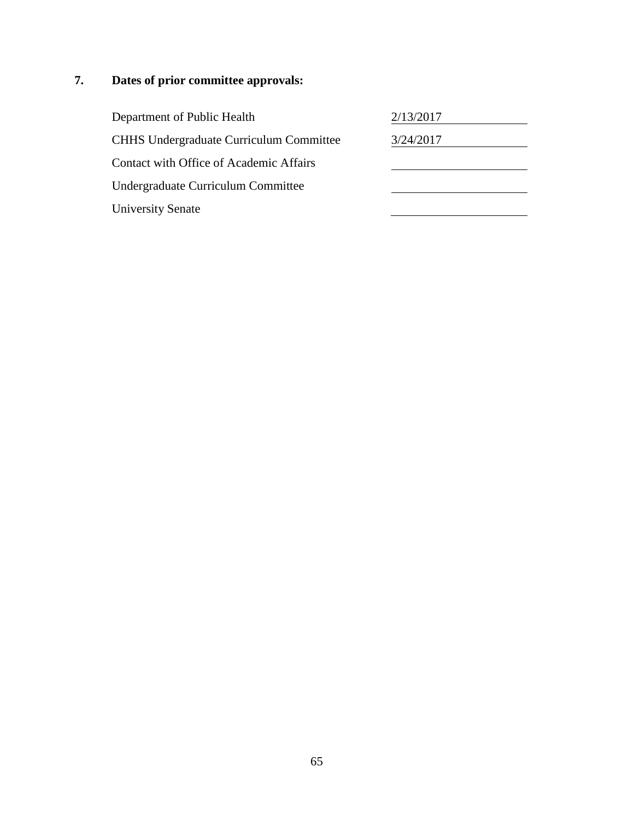| Department of Public Health                    | 2/13/2017 |
|------------------------------------------------|-----------|
| <b>CHHS Undergraduate Curriculum Committee</b> | 3/24/2017 |
| Contact with Office of Academic Affairs        |           |
| Undergraduate Curriculum Committee             |           |
| <b>University Senate</b>                       |           |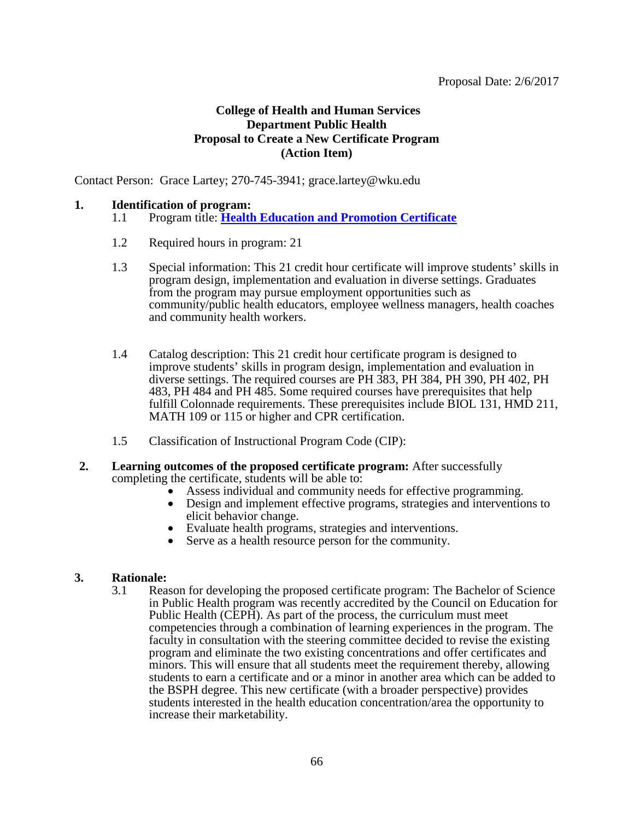## **College of Health and Human Services Department Public Health Proposal to Create a New Certificate Program (Action Item)**

Contact Person: Grace Lartey; 270-745-3941; grace.lartey@wku.edu

#### **1. Identification of program:**

- 1.1 Program title: **[Health Education and Promotion Certificate](#page-2-0)**
- 1.2 Required hours in program: 21
- 1.3 Special information: This 21 credit hour certificate will improve students' skills in program design, implementation and evaluation in diverse settings. Graduates from the program may pursue employment opportunities such as community/public health educators, employee wellness managers, health coaches and community health workers.
- 1.4 Catalog description: This 21 credit hour certificate program is designed to improve students' skills in program design, implementation and evaluation in diverse settings. The required courses are PH 383, PH 384, PH 390, PH 402, PH 483, PH 484 and PH 485. Some required courses have prerequisites that help fulfill Colonnade requirements. These prerequisites include BIOL 131, HMD 211, MATH 109 or 115 or higher and CPR certification.
- 1.5 Classification of Instructional Program Code (CIP):
- **2. Learning outcomes of the proposed certificate program:** After successfully completing the certificate, students will be able to:
	- Assess individual and community needs for effective programming.
	- Design and implement effective programs, strategies and interventions to elicit behavior change.
	- Evaluate health programs, strategies and interventions.
	- Serve as a health resource person for the community.

## **3. Rationale:**

3.1 Reason for developing the proposed certificate program: The Bachelor of Science in Public Health program was recently accredited by the Council on Education for Public Health (CEPH). As part of the process, the curriculum must meet competencies through a combination of learning experiences in the program. The faculty in consultation with the steering committee decided to revise the existing program and eliminate the two existing concentrations and offer certificates and minors. This will ensure that all students meet the requirement thereby, allowing students to earn a certificate and or a minor in another area which can be added to the BSPH degree. This new certificate (with a broader perspective) provides students interested in the health education concentration/area the opportunity to increase their marketability.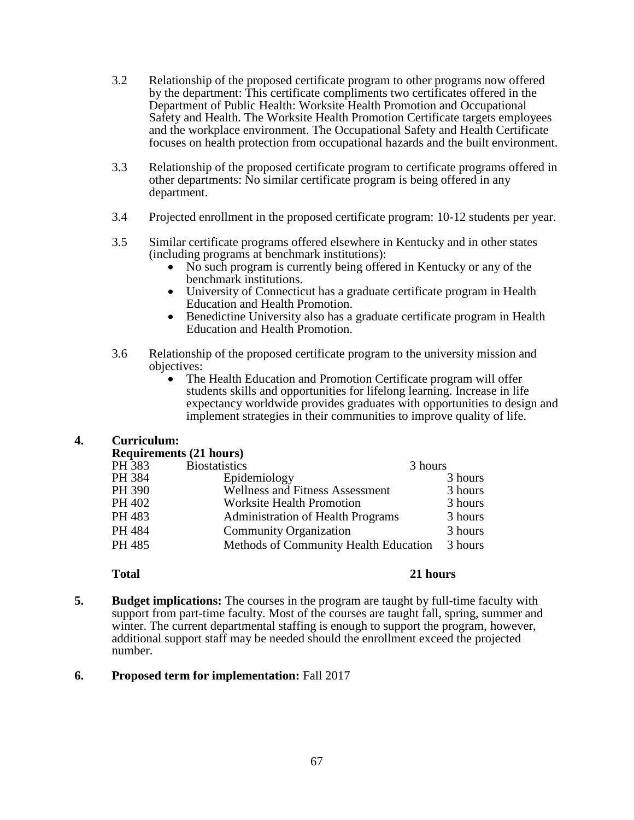- 3.2 Relationship of the proposed certificate program to other programs now offered by the department: This certificate compliments two certificates offered in the Department of Public Health: Worksite Health Promotion and Occupational Safety and Health. The Worksite Health Promotion Certificate targets employees and the workplace environment. The Occupational Safety and Health Certificate focuses on health protection from occupational hazards and the built environment.
- 3.3 Relationship of the proposed certificate program to certificate programs offered in other departments: No similar certificate program is being offered in any department.
- 3.4 Projected enrollment in the proposed certificate program: 10-12 students per year.
- 3.5 Similar certificate programs offered elsewhere in Kentucky and in other states (including programs at benchmark institutions):
	- No such program is currently being offered in Kentucky or any of the benchmark institutions.
	- University of Connecticut has a graduate certificate program in Health Education and Health Promotion.
	- Benedictine University also has a graduate certificate program in Health Education and Health Promotion.
- 3.6 Relationship of the proposed certificate program to the university mission and objectives:
	- The Health Education and Promotion Certificate program will offer students skills and opportunities for lifelong learning. Increase in life expectancy worldwide provides graduates with opportunities to design and implement strategies in their communities to improve quality of life.

## **4. Curriculum:**

#### **Requirements (21 hours)**

| PH 383 | <b>Biostatistics</b>                     | 3 hours |
|--------|------------------------------------------|---------|
| PH 384 | Epidemiology                             | 3 hours |
| PH 390 | Wellness and Fitness Assessment          | 3 hours |
| PH 402 | <b>Worksite Health Promotion</b>         | 3 hours |
| PH 483 | <b>Administration of Health Programs</b> | 3 hours |
| PH 484 | <b>Community Organization</b>            | 3 hours |
| PH 485 | Methods of Community Health Education    | 3 hours |
|        |                                          |         |

## **Total 21 hours**

**5. Budget implications:** The courses in the program are taught by full-time faculty with support from part-time faculty. Most of the courses are taught fall, spring, summer and winter. The current departmental staffing is enough to support the program, however, additional support staff may be needed should the enrollment exceed the projected number.

## **6. Proposed term for implementation:** Fall 2017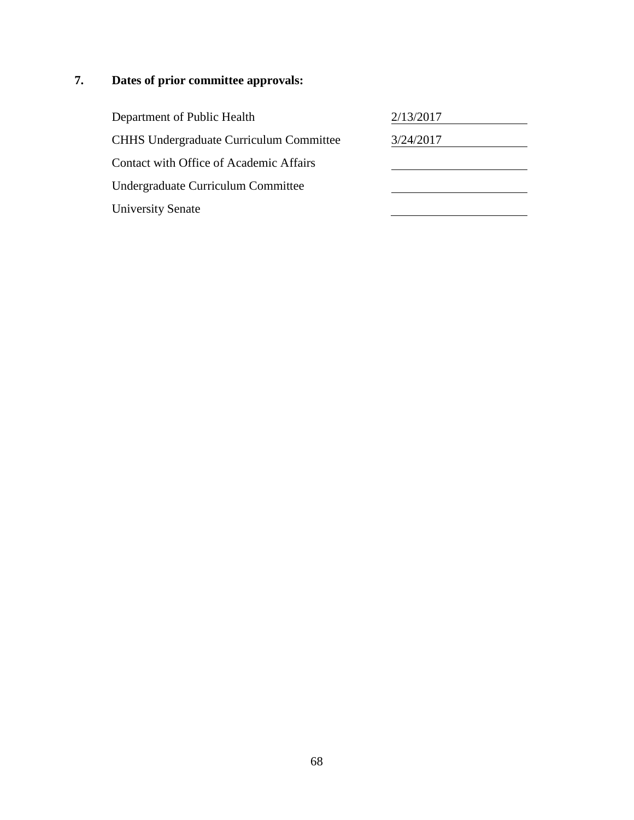| Department of Public Health                    | 2/13/2017 |
|------------------------------------------------|-----------|
| <b>CHHS Undergraduate Curriculum Committee</b> | 3/24/2017 |
| Contact with Office of Academic Affairs        |           |
| Undergraduate Curriculum Committee             |           |
| <b>University Senate</b>                       |           |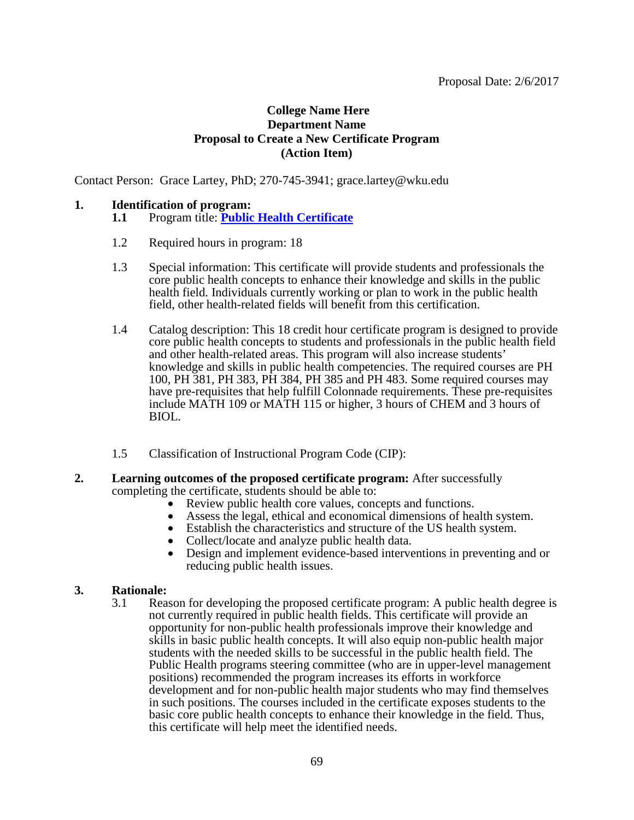## **College Name Here Department Name Proposal to Create a New Certificate Program (Action Item)**

Contact Person: Grace Lartey, PhD; 270-745-3941; grace.lartey@wku.edu

#### **1. Identification of program:**

## **1.1** Program title: **[Public Health Certificate](#page-2-0)**

- 1.2 Required hours in program: 18
- 1.3 Special information: This certificate will provide students and professionals the core public health concepts to enhance their knowledge and skills in the public health field. Individuals currently working or plan to work in the public health field, other health-related fields will benefit from this certification.
- 1.4 Catalog description: This 18 credit hour certificate program is designed to provide core public health concepts to students and professionals in the public health field and other health-related areas. This program will also increase students' knowledge and skills in public health competencies. The required courses are PH 100, PH 381, PH 383, PH 384, PH 385 and PH 483. Some required courses may have pre-requisites that help fulfill Colonnade requirements. These pre-requisites include MATH 109 or MATH 115 or higher, 3 hours of CHEM and 3 hours of BIOL.
- 1.5 Classification of Instructional Program Code (CIP):
- **2. Learning outcomes of the proposed certificate program:** After successfully completing the certificate, students should be able to:
	- Review public health core values, concepts and functions.
	- Assess the legal, ethical and economical dimensions of health system.
	- Establish the characteristics and structure of the US health system.
	- Collect/locate and analyze public health data.
	- Design and implement evidence-based interventions in preventing and or reducing public health issues.

# **3. Rationale:**

3.1 Reason for developing the proposed certificate program: A public health degree is not currently required in public health fields. This certificate will provide an opportunity for non-public health professionals improve their knowledge and skills in basic public health concepts. It will also equip non-public health major students with the needed skills to be successful in the public health field. The Public Health programs steering committee (who are in upper-level management positions) recommended the program increases its efforts in workforce development and for non-public health major students who may find themselves in such positions. The courses included in the certificate exposes students to the basic core public health concepts to enhance their knowledge in the field. Thus, this certificate will help meet the identified needs.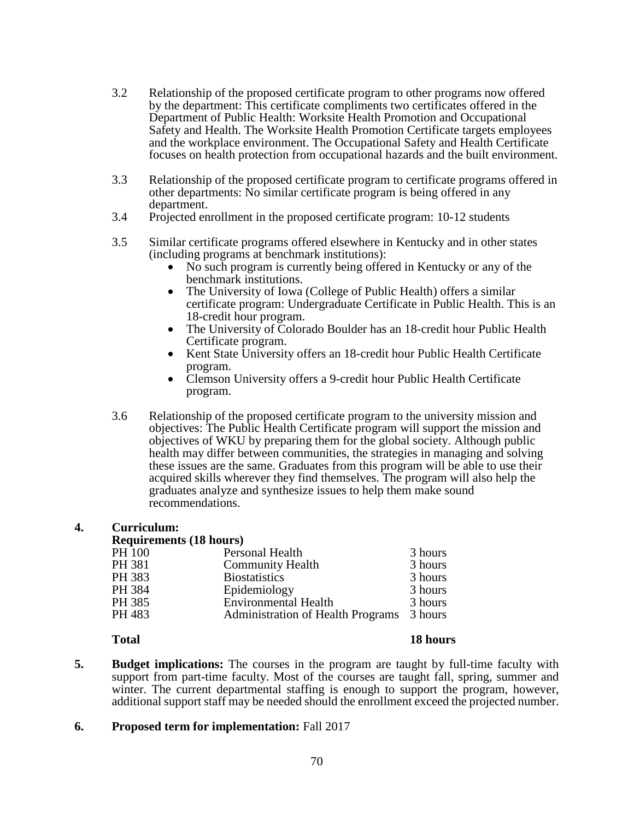- 3.2 Relationship of the proposed certificate program to other programs now offered by the department: This certificate compliments two certificates offered in the Department of Public Health: Worksite Health Promotion and Occupational Safety and Health. The Worksite Health Promotion Certificate targets employees and the workplace environment. The Occupational Safety and Health Certificate focuses on health protection from occupational hazards and the built environment.
- 3.3 Relationship of the proposed certificate program to certificate programs offered in other departments: No similar certificate program is being offered in any department.
- 3.4 Projected enrollment in the proposed certificate program: 10-12 students
- 3.5 Similar certificate programs offered elsewhere in Kentucky and in other states (including programs at benchmark institutions):
	- No such program is currently being offered in Kentucky or any of the benchmark institutions.
	- The University of Iowa (College of Public Health) offers a similar certificate program: Undergraduate Certificate in Public Health. This is an 18-credit hour program.
	- The University of Colorado Boulder has an 18-credit hour Public Health Certificate program.
	- Kent State University offers an 18-credit hour Public Health Certificate program.
	- Clemson University offers a 9-credit hour Public Health Certificate program.
- 3.6 Relationship of the proposed certificate program to the university mission and objectives: The Public Health Certificate program will support the mission and objectives of WKU by preparing them for the global society. Although public health may differ between communities, the strategies in managing and solving these issues are the same. Graduates from this program will be able to use their acquired skills wherever they find themselves. The program will also help the graduates analyze and synthesize issues to help them make sound recommendations.

## **4. Curriculum:**

#### **Requirements (18 hours)**

| PH 100 | Personal Health                           | 3 hours |
|--------|-------------------------------------------|---------|
| PH 381 | <b>Community Health</b>                   | 3 hours |
| PH 383 | <b>Biostatistics</b>                      | 3 hours |
| PH 384 | Epidemiology                              | 3 hours |
| PH 385 | <b>Environmental Health</b>               | 3 hours |
| PH 483 | Administration of Health Programs 3 hours |         |
|        |                                           |         |

#### **Total 18 hours**

**5. Budget implications:** The courses in the program are taught by full-time faculty with support from part-time faculty. Most of the courses are taught fall, spring, summer and winter. The current departmental staffing is enough to support the program, however, additional support staff may be needed should the enrollment exceed the projected number.

## **6. Proposed term for implementation:** Fall 2017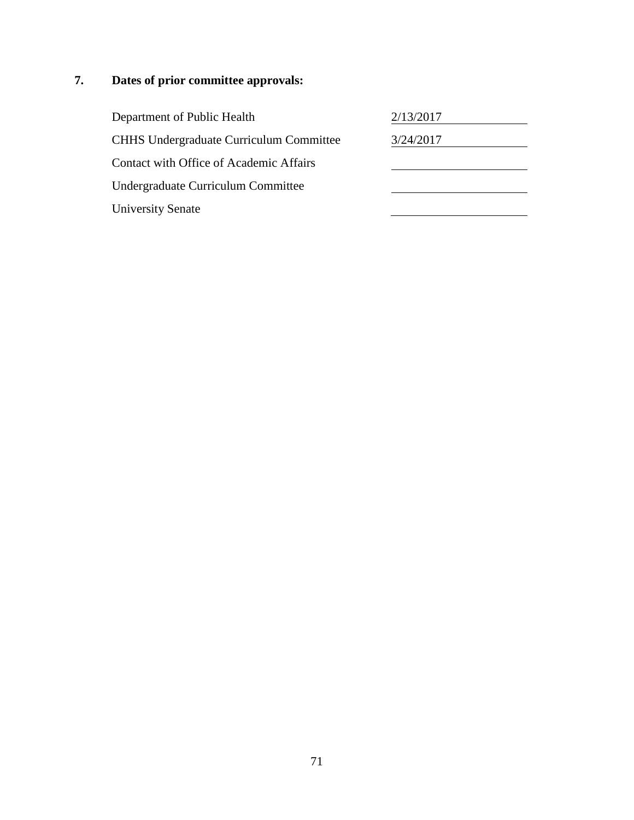| Department of Public Health                    | 2/13/2017 |
|------------------------------------------------|-----------|
| <b>CHHS Undergraduate Curriculum Committee</b> | 3/24/2017 |
| Contact with Office of Academic Affairs        |           |
| Undergraduate Curriculum Committee             |           |
| <b>University Senate</b>                       |           |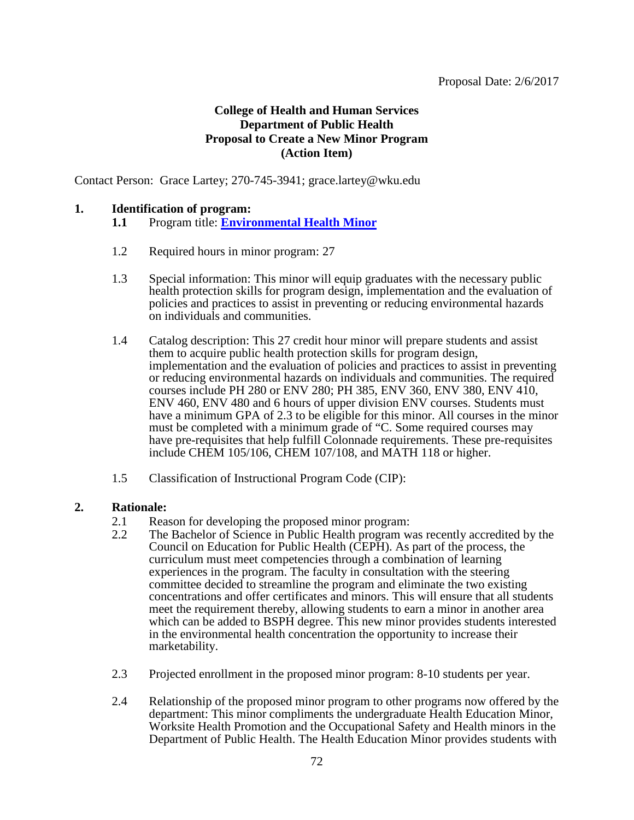## **College of Health and Human Services Department of Public Health Proposal to Create a New Minor Program (Action Item)**

Contact Person: Grace Lartey; 270-745-3941; grace.lartey@wku.edu

#### **1. Identification of program:**

- **1.1** Program title: **[Environmental Health Minor](#page-2-0)**
- 1.2 Required hours in minor program: 27
- 1.3 Special information: This minor will equip graduates with the necessary public health protection skills for program design, implementation and the evaluation of policies and practices to assist in preventing or reducing environmental hazards on individuals and communities.
- 1.4 Catalog description: This 27 credit hour minor will prepare students and assist them to acquire public health protection skills for program design, implementation and the evaluation of policies and practices to assist in preventing or reducing environmental hazards on individuals and communities. The required courses include PH 280 or ENV 280; PH 385, ENV 360, ENV 380, ENV 410, ENV 460, ENV 480 and 6 hours of upper division ENV courses. Students must have a minimum GPA of 2.3 to be eligible for this minor. All courses in the minor must be completed with a minimum grade of "C. Some required courses may have pre-requisites that help fulfill Colonnade requirements. These pre-requisites include CHEM 105/106, CHEM 107/108, and MATH 118 or higher.
- 1.5 Classification of Instructional Program Code (CIP):

#### **2. Rationale:**

- 2.1 Reason for developing the proposed minor program:
- 2.2 The Bachelor of Science in Public Health program was recently accredited by the Council on Education for Public Health (CEPH). As part of the process, the curriculum must meet competencies through a combination of learning experiences in the program. The faculty in consultation with the steering committee decided to streamline the program and eliminate the two existing concentrations and offer certificates and minors. This will ensure that all students meet the requirement thereby, allowing students to earn a minor in another area which can be added to BSPH degree. This new minor provides students interested in the environmental health concentration the opportunity to increase their marketability.
- 2.3 Projected enrollment in the proposed minor program: 8-10 students per year.
- 2.4 Relationship of the proposed minor program to other programs now offered by the department: This minor compliments the undergraduate Health Education Minor, Worksite Health Promotion and the Occupational Safety and Health minors in the Department of Public Health. The Health Education Minor provides students with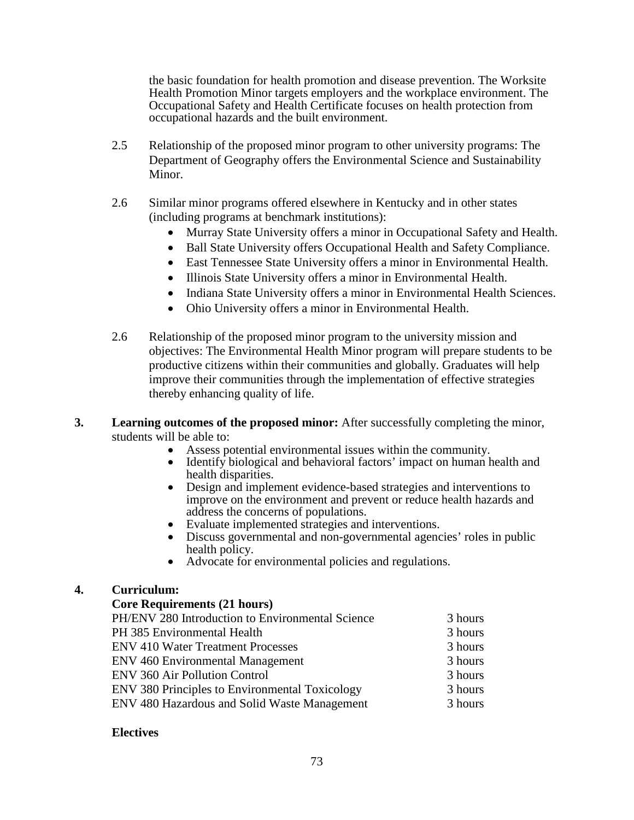the basic foundation for health promotion and disease prevention. The Worksite Health Promotion Minor targets employers and the workplace environment. The Occupational Safety and Health Certificate focuses on health protection from occupational hazards and the built environment.

- 2.5 Relationship of the proposed minor program to other university programs: The Department of Geography offers the Environmental Science and Sustainability Minor.
- 2.6 Similar minor programs offered elsewhere in Kentucky and in other states (including programs at benchmark institutions):
	- Murray State University offers a minor in Occupational Safety and Health.
	- Ball State University offers Occupational Health and Safety Compliance.
	- East Tennessee State University offers a minor in Environmental Health.
	- Illinois State University offers a minor in Environmental Health.
	- Indiana State University offers a minor in Environmental Health Sciences.
	- Ohio University offers a minor in Environmental Health.
- 2.6 Relationship of the proposed minor program to the university mission and objectives: The Environmental Health Minor program will prepare students to be productive citizens within their communities and globally. Graduates will help improve their communities through the implementation of effective strategies thereby enhancing quality of life.
- **3. Learning outcomes of the proposed minor:** After successfully completing the minor, students will be able to:<br>• Assess potential environmental issues within the community.
	-
	- Hentify biological and behavioral factors' impact on human health and health disparities.
	- Design and implement evidence-based strategies and interventions to improve on the environment and prevent or reduce health hazards and
	-
	- Evaluate implemented strategies and interventions.<br>• Discuss governmental and non-governmental agencies' roles in public<br>health policy.
	- Advocate for environmental policies and regulations.

## **4. Curriculum:**

#### **Core Requirements (21 hours)**

| PH/ENV 280 Introduction to Environmental Science      | 3 hours |
|-------------------------------------------------------|---------|
| PH 385 Environmental Health                           | 3 hours |
| <b>ENV 410 Water Treatment Processes</b>              | 3 hours |
| <b>ENV 460 Environmental Management</b>               | 3 hours |
| <b>ENV 360 Air Pollution Control</b>                  | 3 hours |
| <b>ENV 380 Principles to Environmental Toxicology</b> | 3 hours |
| <b>ENV 480 Hazardous and Solid Waste Management</b>   | 3 hours |

## **Electives**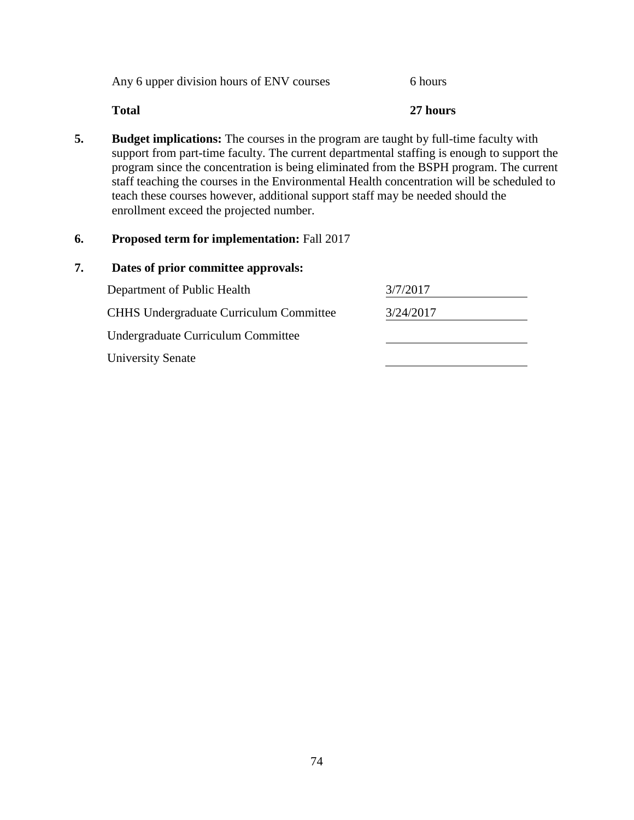| Any 6 upper division hours of ENV courses | 6 hours |
|-------------------------------------------|---------|
|-------------------------------------------|---------|

# **Total 27 hours**

**5. Budget implications:** The courses in the program are taught by full-time faculty with support from part-time faculty. The current departmental staffing is enough to support the program since the concentration is being eliminated from the BSPH program. The current staff teaching the courses in the Environmental Health concentration will be scheduled to teach these courses however, additional support staff may be needed should the enrollment exceed the projected number.

# **6. Proposed term for implementation:** Fall 2017

| Department of Public Health                    | 3/7/2017  |
|------------------------------------------------|-----------|
| <b>CHHS</b> Undergraduate Curriculum Committee | 3/24/2017 |
| Undergraduate Curriculum Committee             |           |
| <b>University Senate</b>                       |           |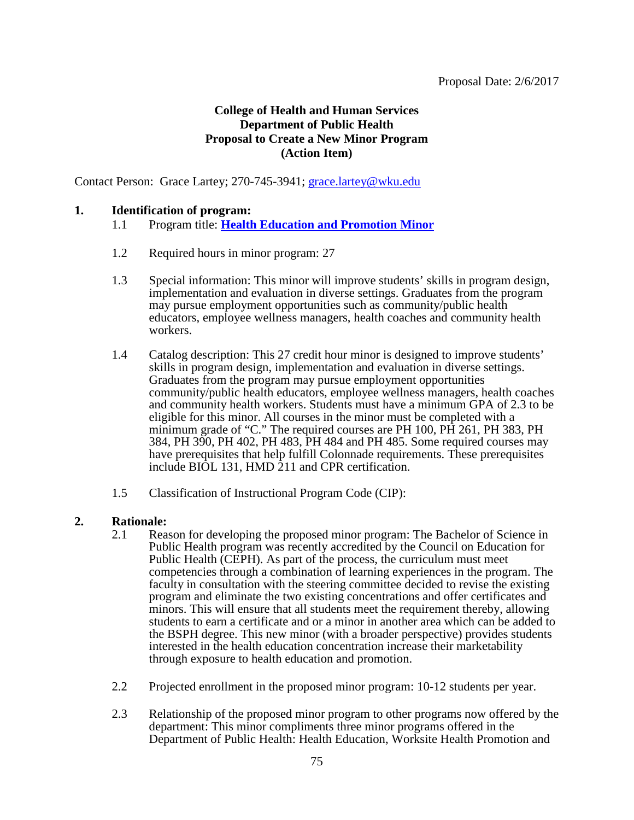# **College of Health and Human Services Department of Public Health Proposal to Create a New Minor Program (Action Item)**

Contact Person: Grace Lartey; 270-745-3941; [grace.lartey@wku.edu](mailto:grace.lartey@wku.edu)

## **1. Identification of program:**

- 1.1 Program title: **[Health Education and Promotion Minor](#page-2-0)**
- 1.2 Required hours in minor program: 27
- 1.3 Special information: This minor will improve students' skills in program design, implementation and evaluation in diverse settings. Graduates from the program may pursue employment opportunities such as community/public health educators, employee wellness managers, health coaches and community health workers.
- 1.4 Catalog description: This 27 credit hour minor is designed to improve students' skills in program design, implementation and evaluation in diverse settings. Graduates from the program may pursue employment opportunities community/public health educators, employee wellness managers, health coaches and community health workers. Students must have a minimum GPA of 2.3 to be eligible for this minor. All courses in the minor must be completed with a minimum grade of "C." The required courses are PH 100, PH 261, PH 383, PH 384, PH 390, PH 402, PH 483, PH 484 and PH 485. Some required courses may have prerequisites that help fulfill Colonnade requirements. These prerequisites include BIOL 131, HMD 211 and CPR certification.
- 1.5 Classification of Instructional Program Code (CIP):

#### **2. Rationale:**

- 2.1 Reason for developing the proposed minor program: The Bachelor of Science in Public Health program was recently accredited by the Council on Education for Public Health (CEPH). As part of the process, the curriculum must meet competencies through a combination of learning experiences in the program. The faculty in consultation with the steering committee decided to revise the existing program and eliminate the two existing concentrations and offer certificates and minors. This will ensure that all students meet the requirement thereby, allowing students to earn a certificate and or a minor in another area which can be added to the BSPH degree. This new minor (with a broader perspective) provides students interested in the health education concentration increase their marketability through exposure to health education and promotion.
- 2.2 Projected enrollment in the proposed minor program: 10-12 students per year.
- 2.3 Relationship of the proposed minor program to other programs now offered by the department: This minor compliments three minor programs offered in the Department of Public Health: Health Education, Worksite Health Promotion and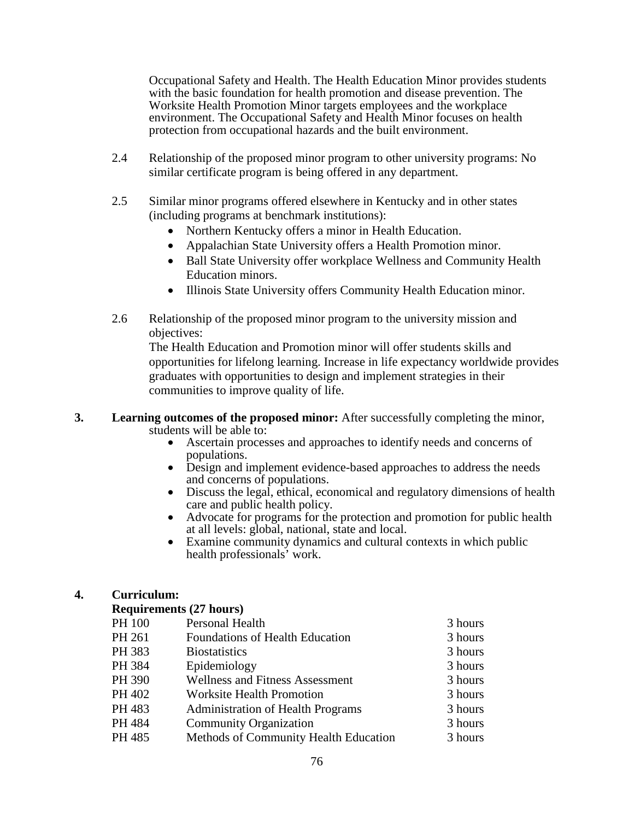Occupational Safety and Health. The Health Education Minor provides students with the basic foundation for health promotion and disease prevention. The Worksite Health Promotion Minor targets employees and the workplace environment. The Occupational Safety and Health Minor focuses on health protection from occupational hazards and the built environment.

- 2.4 Relationship of the proposed minor program to other university programs: No similar certificate program is being offered in any department.
- 2.5 Similar minor programs offered elsewhere in Kentucky and in other states (including programs at benchmark institutions):
	- Northern Kentucky offers a minor in Health Education.
	- Appalachian State University offers a Health Promotion minor.
	- Ball State University offer workplace Wellness and Community Health Education minors.
	- Illinois State University offers Community Health Education minor.
- 2.6 Relationship of the proposed minor program to the university mission and objectives:

The Health Education and Promotion minor will offer students skills and opportunities for lifelong learning. Increase in life expectancy worldwide provides graduates with opportunities to design and implement strategies in their communities to improve quality of life.

## **3. Learning outcomes of the proposed minor:** After successfully completing the minor, students will be able to:

- Ascertain processes and approaches to identify needs and concerns of populations.
- Design and implement evidence-based approaches to address the needs and concerns of populations.
- Discuss the legal, ethical, economical and regulatory dimensions of health care and public health policy.
- Advocate for programs for the protection and promotion for public health at all levels: global, national, state and local.
- Examine community dynamics and cultural contexts in which public health professionals' work.

# **4. Curriculum:**

## **Requirements (27 hours)**

| PH 100 | Personal Health                          | 3 hours |
|--------|------------------------------------------|---------|
| PH 261 | <b>Foundations of Health Education</b>   | 3 hours |
| PH 383 | <b>Biostatistics</b>                     | 3 hours |
| PH 384 | Epidemiology                             | 3 hours |
| PH 390 | <b>Wellness and Fitness Assessment</b>   | 3 hours |
| PH 402 | <b>Worksite Health Promotion</b>         | 3 hours |
| PH 483 | <b>Administration of Health Programs</b> | 3 hours |
| PH 484 | <b>Community Organization</b>            | 3 hours |
| PH 485 | Methods of Community Health Education    | 3 hours |
|        |                                          |         |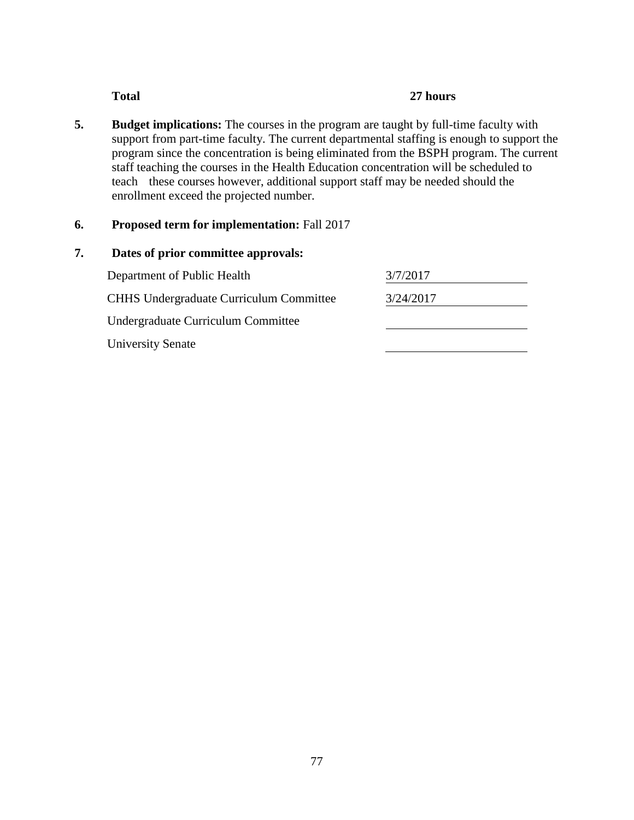## **Total 27 hours**

**5. Budget implications:** The courses in the program are taught by full-time faculty with support from part-time faculty. The current departmental staffing is enough to support the program since the concentration is being eliminated from the BSPH program. The current staff teaching the courses in the Health Education concentration will be scheduled to teach these courses however, additional support staff may be needed should the enrollment exceed the projected number.

# **6. Proposed term for implementation:** Fall 2017

| 7. | Dates of prior committee approvals:            |           |  |
|----|------------------------------------------------|-----------|--|
|    | Department of Public Health                    | 3/7/2017  |  |
|    | <b>CHHS Undergraduate Curriculum Committee</b> | 3/24/2017 |  |
|    | Undergraduate Curriculum Committee             |           |  |
|    | <b>University Senate</b>                       |           |  |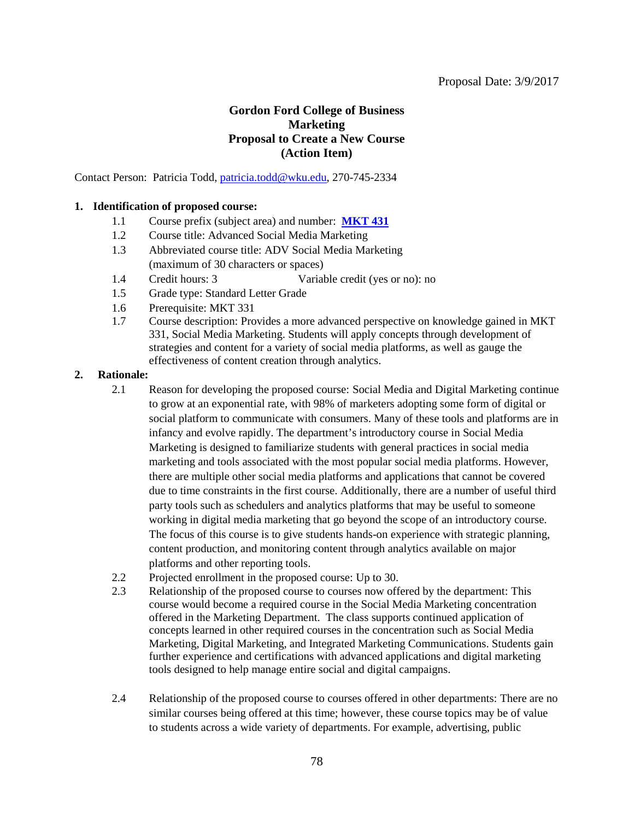# **Gordon Ford College of Business Marketing Proposal to Create a New Course (Action Item)**

Contact Person: Patricia Todd, [patricia.todd@wku.edu,](mailto:patricia.todd@wku.edu) 270-745-2334

#### **1. Identification of proposed course:**

- 1.1 Course prefix (subject area) and number: **[MKT 431](#page-2-0)**
- 1.2 Course title: Advanced Social Media Marketing
- 1.3 Abbreviated course title: ADV Social Media Marketing (maximum of 30 characters or spaces)
- 1.4 Credit hours: 3 Variable credit (yes or no): no
- 1.5 Grade type: Standard Letter Grade
- 1.6 Prerequisite: MKT 331
- 1.7 Course description: Provides a more advanced perspective on knowledge gained in MKT 331, Social Media Marketing. Students will apply concepts through development of strategies and content for a variety of social media platforms, as well as gauge the effectiveness of content creation through analytics.

#### **2. Rationale:**

- 2.1 Reason for developing the proposed course: Social Media and Digital Marketing continue to grow at an exponential rate, with 98% of marketers adopting some form of digital or social platform to communicate with consumers. Many of these tools and platforms are in infancy and evolve rapidly. The department's introductory course in Social Media Marketing is designed to familiarize students with general practices in social media marketing and tools associated with the most popular social media platforms. However, there are multiple other social media platforms and applications that cannot be covered due to time constraints in the first course. Additionally, there are a number of useful third party tools such as schedulers and analytics platforms that may be useful to someone working in digital media marketing that go beyond the scope of an introductory course. The focus of this course is to give students hands-on experience with strategic planning, content production, and monitoring content through analytics available on major platforms and other reporting tools.
- 2.2 Projected enrollment in the proposed course: Up to 30.
- 2.3 Relationship of the proposed course to courses now offered by the department: This course would become a required course in the Social Media Marketing concentration offered in the Marketing Department. The class supports continued application of concepts learned in other required courses in the concentration such as Social Media Marketing, Digital Marketing, and Integrated Marketing Communications. Students gain further experience and certifications with advanced applications and digital marketing tools designed to help manage entire social and digital campaigns.
- 2.4 Relationship of the proposed course to courses offered in other departments: There are no similar courses being offered at this time; however, these course topics may be of value to students across a wide variety of departments. For example, advertising, public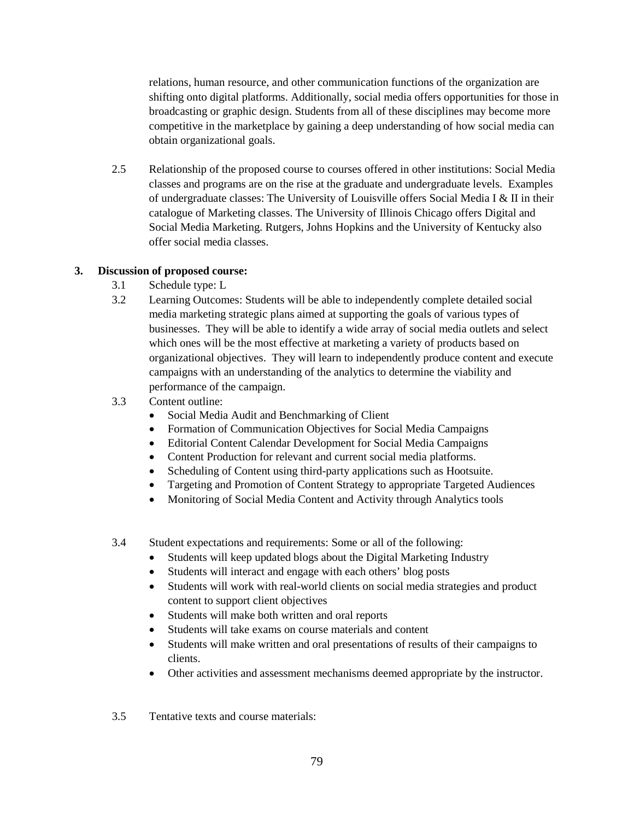relations, human resource, and other communication functions of the organization are shifting onto digital platforms. Additionally, social media offers opportunities for those in broadcasting or graphic design. Students from all of these disciplines may become more competitive in the marketplace by gaining a deep understanding of how social media can obtain organizational goals.

2.5 Relationship of the proposed course to courses offered in other institutions: Social Media classes and programs are on the rise at the graduate and undergraduate levels. Examples of undergraduate classes: The University of Louisville offers Social Media I & II in their catalogue of Marketing classes. The University of Illinois Chicago offers Digital and Social Media Marketing. Rutgers, Johns Hopkins and the University of Kentucky also offer social media classes.

#### **3. Discussion of proposed course:**

- 3.1 Schedule type: L
- 3.2 Learning Outcomes: Students will be able to independently complete detailed social media marketing strategic plans aimed at supporting the goals of various types of businesses. They will be able to identify a wide array of social media outlets and select which ones will be the most effective at marketing a variety of products based on organizational objectives. They will learn to independently produce content and execute campaigns with an understanding of the analytics to determine the viability and performance of the campaign.
- 3.3 Content outline:
	- Social Media Audit and Benchmarking of Client
	- Formation of Communication Objectives for Social Media Campaigns
	- Editorial Content Calendar Development for Social Media Campaigns
	- Content Production for relevant and current social media platforms.
	- Scheduling of Content using third-party applications such as Hootsuite.
	- Targeting and Promotion of Content Strategy to appropriate Targeted Audiences
	- Monitoring of Social Media Content and Activity through Analytics tools
- 3.4 Student expectations and requirements: Some or all of the following:
	- Students will keep updated blogs about the Digital Marketing Industry
	- Students will interact and engage with each others' blog posts
	- Students will work with real-world clients on social media strategies and product content to support client objectives
	- Students will make both written and oral reports
	- Students will take exams on course materials and content
	- Students will make written and oral presentations of results of their campaigns to clients.
	- Other activities and assessment mechanisms deemed appropriate by the instructor.

3.5 Tentative texts and course materials: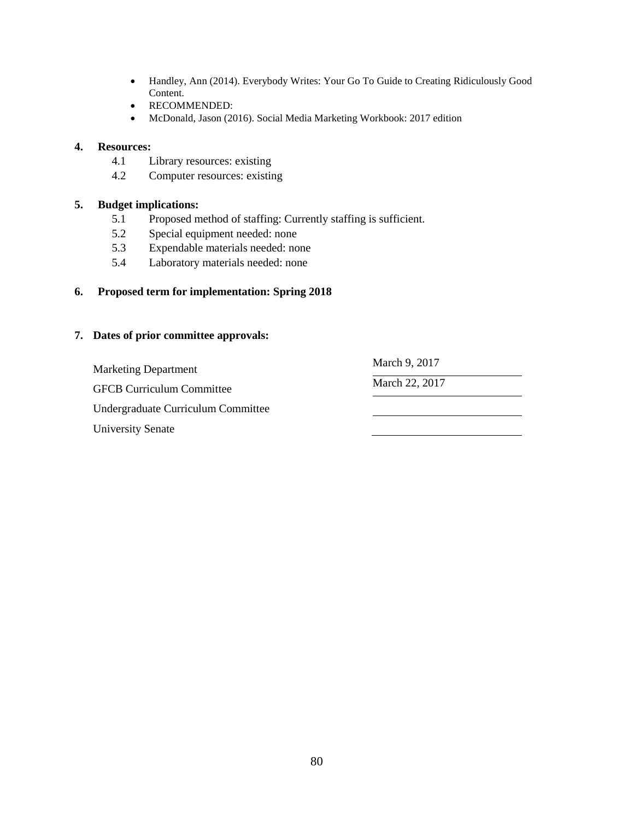- Handley, Ann (2014). Everybody Writes: Your Go To Guide to Creating Ridiculously Good Content.
- RECOMMENDED:
- McDonald, Jason (2016). Social Media Marketing Workbook: 2017 edition

#### **4. Resources:**

- 4.1 Library resources: existing
- 4.2 Computer resources: existing

## **5. Budget implications:**

- 5.1 Proposed method of staffing: Currently staffing is sufficient.
- 5.2 Special equipment needed: none
- 5.3 Expendable materials needed: none
- 5.4 Laboratory materials needed: none

## **6. Proposed term for implementation: Spring 2018**

#### **7. Dates of prior committee approvals:**

Marketing Department March 9, 2017

GFCB Curriculum Committee March 22, 2017

Undergraduate Curriculum Committee

University Senate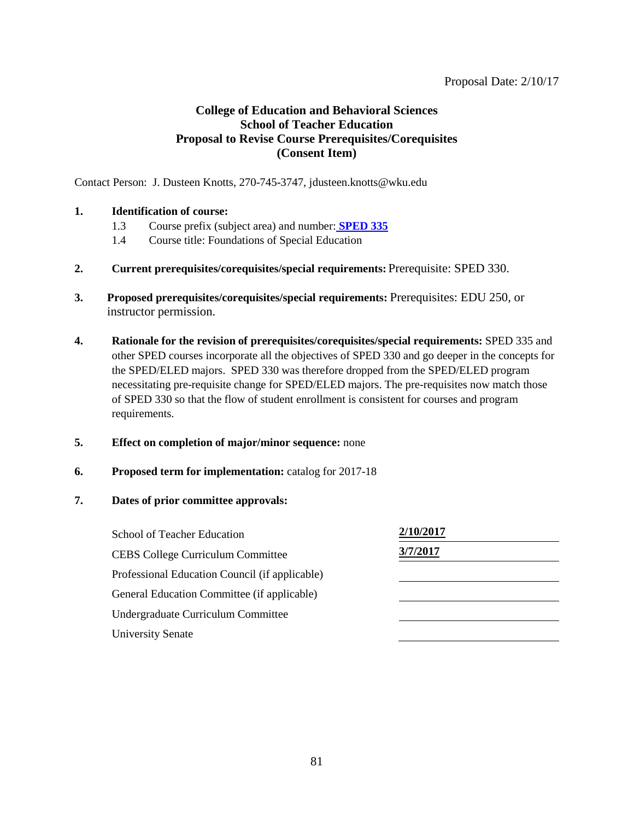#### Proposal Date: 2/10/17

# **College of Education and Behavioral Sciences School of Teacher Education Proposal to Revise Course Prerequisites/Corequisites (Consent Item)**

Contact Person: J. Dusteen Knotts, 270-745-3747, jdusteen.knotts@wku.edu

## **1. Identification of course:**

- 1.3 Course prefix (subject area) and number: **[SPED 335](#page-2-0)**
- 1.4 Course title: Foundations of Special Education
- **2. Current prerequisites/corequisites/special requirements:** Prerequisite: SPED 330.
- **3. Proposed prerequisites/corequisites/special requirements:** Prerequisites: EDU 250, or instructor permission.
- **4. Rationale for the revision of prerequisites/corequisites/special requirements:** SPED 335 and other SPED courses incorporate all the objectives of SPED 330 and go deeper in the concepts for the SPED/ELED majors. SPED 330 was therefore dropped from the SPED/ELED program necessitating pre-requisite change for SPED/ELED majors. The pre-requisites now match those of SPED 330 so that the flow of student enrollment is consistent for courses and program requirements.
- **5. Effect on completion of major/minor sequence:** none
- **6. Proposed term for implementation:** catalog for 2017-18
- **7. Dates of prior committee approvals:**

| School of Teacher Education                    | 2/10/2017 |  |
|------------------------------------------------|-----------|--|
| <b>CEBS College Curriculum Committee</b>       | 3/7/2017  |  |
| Professional Education Council (if applicable) |           |  |
| General Education Committee (if applicable)    |           |  |
| Undergraduate Curriculum Committee             |           |  |
| <b>University Senate</b>                       |           |  |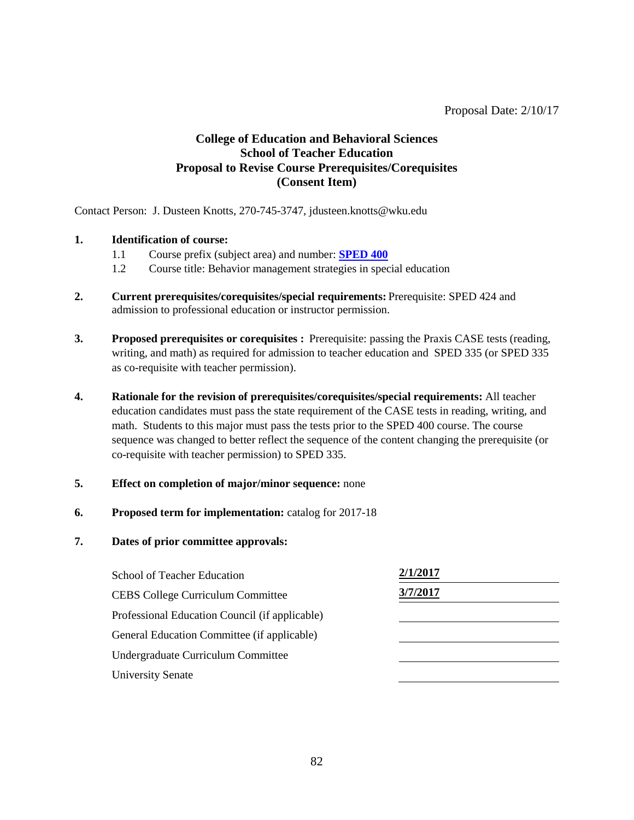# **College of Education and Behavioral Sciences School of Teacher Education Proposal to Revise Course Prerequisites/Corequisites (Consent Item)**

Contact Person: J. Dusteen Knotts, 270-745-3747, jdusteen.knotts@wku.edu

## **1. Identification of course:**

- 1.1 Course prefix (subject area) and number: **[SPED 400](#page-2-0)**
- 1.2 Course title: Behavior management strategies in special education
- **2. Current prerequisites/corequisites/special requirements:** Prerequisite: SPED 424 and admission to professional education or instructor permission.
- **3. Proposed prerequisites or corequisites :** Prerequisite: passing the Praxis CASE tests (reading, writing, and math) as required for admission to teacher education and SPED 335 (or SPED 335 as co-requisite with teacher permission).
- **4. Rationale for the revision of prerequisites/corequisites/special requirements:** All teacher education candidates must pass the state requirement of the CASE tests in reading, writing, and math. Students to this major must pass the tests prior to the SPED 400 course. The course sequence was changed to better reflect the sequence of the content changing the prerequisite (or co-requisite with teacher permission) to SPED 335.
- **5. Effect on completion of major/minor sequence:** none
- **6. Proposed term for implementation:** catalog for 2017-18

| <b>School of Teacher Education</b>             | 2/1/2017 |
|------------------------------------------------|----------|
| <b>CEBS College Curriculum Committee</b>       | 3/7/2017 |
| Professional Education Council (if applicable) |          |
| General Education Committee (if applicable)    |          |
| Undergraduate Curriculum Committee             |          |
| <b>University Senate</b>                       |          |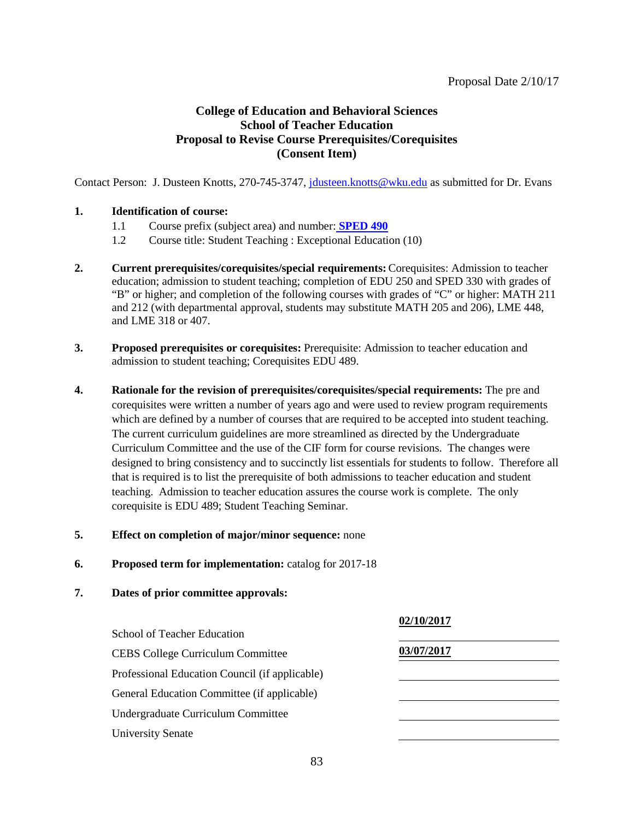# **College of Education and Behavioral Sciences School of Teacher Education Proposal to Revise Course Prerequisites/Corequisites (Consent Item)**

Contact Person: J. Dusteen Knotts, 270-745-3747, *jdusteen.knotts@wku.edu* as submitted for Dr. Evans

## **1. Identification of course:**

- 1.1 Course prefix (subject area) and number: **[SPED 490](#page-2-0)**
- 1.2 Course title: Student Teaching : Exceptional Education (10)
- **2. Current prerequisites/corequisites/special requirements:** Corequisites: Admission to teacher education; admission to student teaching; completion of EDU 250 and SPED 330 with grades of "B" or higher; and completion of the following courses with grades of "C" or higher: MATH 211 and 212 (with departmental approval, students may substitute MATH 205 and 206), LME 448, and LME 318 or 407.
- **3. Proposed prerequisites or corequisites:** Prerequisite: Admission to teacher education and admission to student teaching; Corequisites EDU 489.
- **4. Rationale for the revision of prerequisites/corequisites/special requirements:** The pre and corequisites were written a number of years ago and were used to review program requirements which are defined by a number of courses that are required to be accepted into student teaching. The current curriculum guidelines are more streamlined as directed by the Undergraduate Curriculum Committee and the use of the CIF form for course revisions. The changes were designed to bring consistency and to succinctly list essentials for students to follow. Therefore all that is required is to list the prerequisite of both admissions to teacher education and student teaching. Admission to teacher education assures the course work is complete. The only corequisite is EDU 489; Student Teaching Seminar.

#### **5. Effect on completion of major/minor sequence:** none

**6. Proposed term for implementation:** catalog for 2017-18

|                                                | 02/10/2017 |
|------------------------------------------------|------------|
| School of Teacher Education                    |            |
| <b>CEBS College Curriculum Committee</b>       | 03/07/2017 |
| Professional Education Council (if applicable) |            |
| General Education Committee (if applicable)    |            |
| Undergraduate Curriculum Committee             |            |
| <b>University Senate</b>                       |            |
|                                                |            |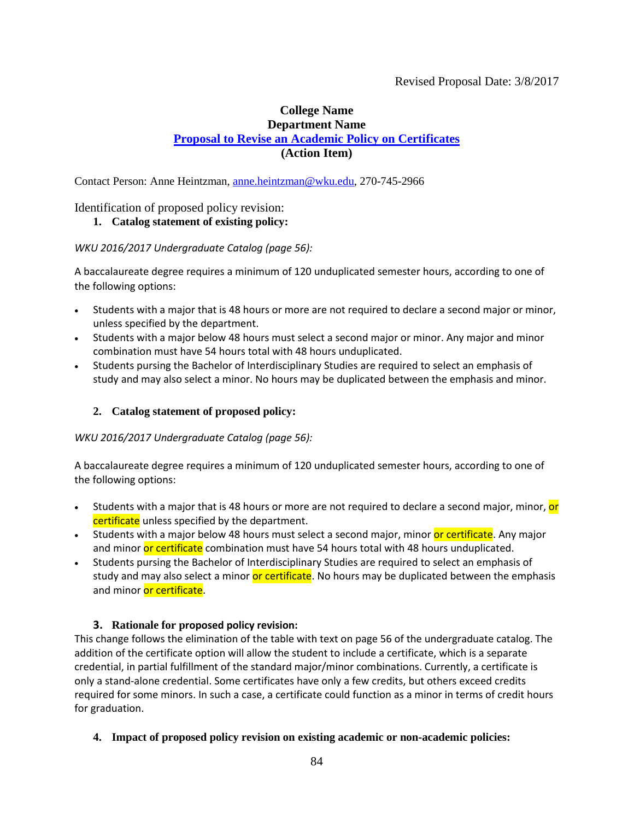# **College Name Department Name [Proposal to Revise an Academic Policy on Certificates](#page-2-0) (Action Item)**

Contact Person: Anne Heintzman, [anne.heintzman@wku.edu,](mailto:anne.heintzman@wku.edu) 270-745-2966

## Identification of proposed policy revision:

# **1. Catalog statement of existing policy:**

## *WKU 2016/2017 Undergraduate Catalog (page 56):*

A baccalaureate degree requires a minimum of 120 unduplicated semester hours, according to one of the following options:

- Students with a major that is 48 hours or more are not required to declare a second major or minor, unless specified by the department.
- Students with a major below 48 hours must select a second major or minor. Any major and minor combination must have 54 hours total with 48 hours unduplicated.
- Students pursing the Bachelor of Interdisciplinary Studies are required to select an emphasis of study and may also select a minor. No hours may be duplicated between the emphasis and minor.

## **2. Catalog statement of proposed policy:**

#### *WKU 2016/2017 Undergraduate Catalog (page 56):*

A baccalaureate degree requires a minimum of 120 unduplicated semester hours, according to one of the following options:

- Students with a major that is 48 hours or more are not required to declare a second major, minor, or certificate unless specified by the department.
- Students with a major below 48 hours must select a second major, minor or certificate. Any major and minor or certificate combination must have 54 hours total with 48 hours unduplicated.
- Students pursing the Bachelor of Interdisciplinary Studies are required to select an emphasis of study and may also select a minor or certificate. No hours may be duplicated between the emphasis and minor or certificate.

## **3. Rationale for proposed policy revision:**

This change follows the elimination of the table with text on page 56 of the undergraduate catalog. The addition of the certificate option will allow the student to include a certificate, which is a separate credential, in partial fulfillment of the standard major/minor combinations. Currently, a certificate is only a stand-alone credential. Some certificates have only a few credits, but others exceed credits required for some minors. In such a case, a certificate could function as a minor in terms of credit hours for graduation.

**4. Impact of proposed policy revision on existing academic or non-academic policies:**